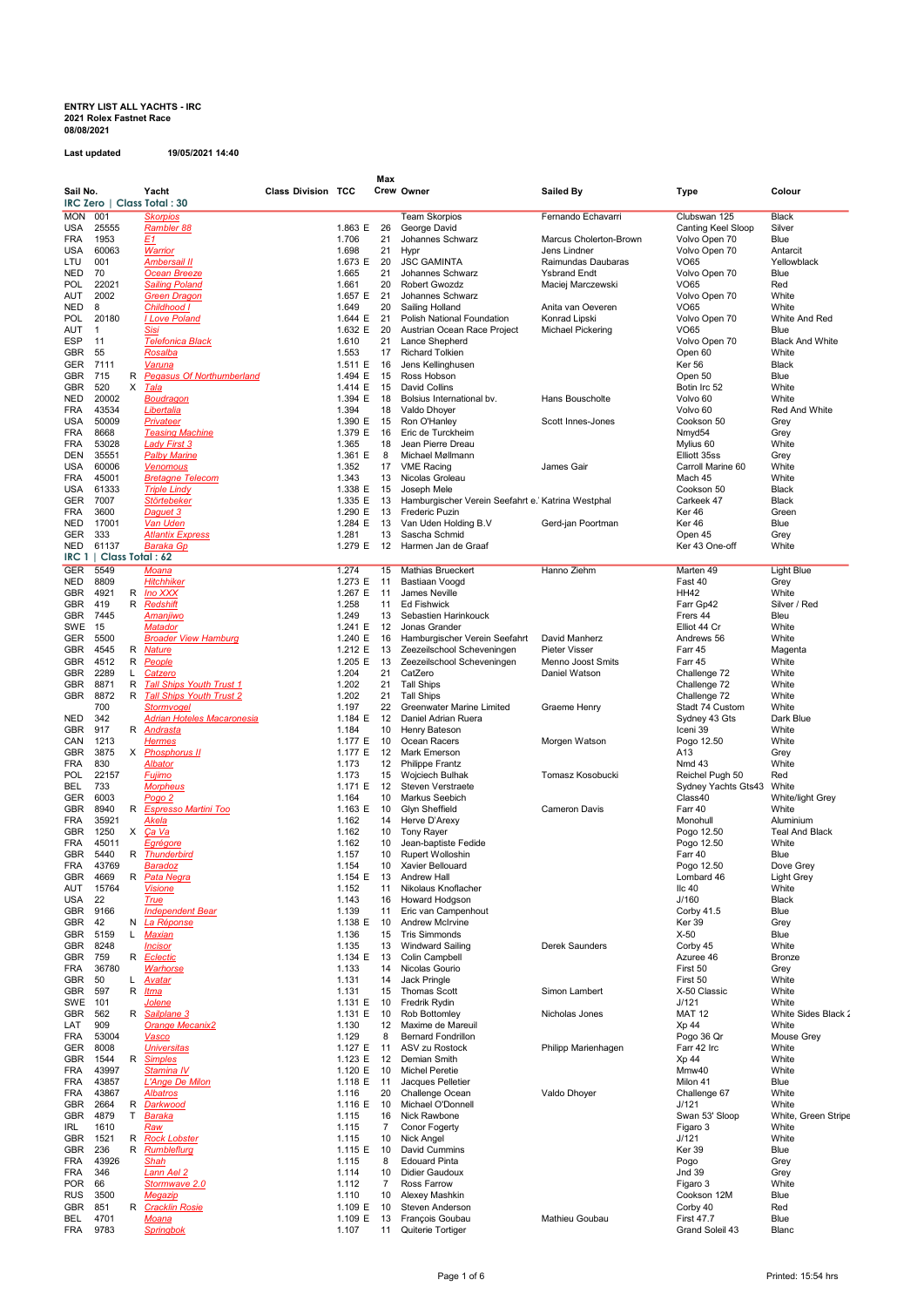## ENTRY LIST ALL YACHTS - IRC 2021 Rolex Fastnet Race 08/08/2021

Last updated 19/05/2021 14:40

| Crew Owner<br>Sail No.<br>Yacht<br><b>Class Division TCC</b><br><b>Sailed By</b><br>Type<br>Colour<br>IRC Zero   Class Total : 30<br><b>MON 001</b><br><b>Skorpios</b><br><b>Team Skorpios</b><br>Fernando Echavarri<br>Clubswan 125<br><b>Black</b><br>25555<br>1.863 E<br>26<br>George David<br>Canting Keel Sloop<br>Silver<br>USA<br><b>Rambler 88</b><br>1953<br><u>E1</u><br>1.706<br>21<br>Blue<br>FRA<br>Johannes Schwarz<br>Marcus Cholerton-Brown<br>Volvo Open 70<br>60063<br>USA<br><b>Warrior</b><br>1.698<br>21<br>Jens Lindner<br>Volvo Open 70<br>Hypr<br>Antarcit<br>LTU<br>001<br><b>Ambersail II</b><br>1.673 E<br>20<br><b>JSC GAMINTA</b><br>Raimundas Daubaras<br><b>VO65</b><br>Yellowblack<br>NED<br>70<br><b>Ocean Breeze</b><br>1.665<br>21<br>Johannes Schwarz<br><b>Ysbrand Endt</b><br>Volvo Open 70<br>Blue<br>POL<br>22021<br><b>Sailing Poland</b><br>Robert Gwozdz<br>Maciej Marczewski<br><b>VO65</b><br>Red<br>1.661<br>20<br>AUT<br>2002<br><b>Green Dragon</b><br>1.657 E<br>21<br>Johannes Schwarz<br>Volvo Open 70<br>White<br>NED<br>8<br>Anita van Oeveren<br>VO65<br>White<br>Childhood I<br>1.649<br>20<br>Sailing Holland<br>POL<br>20180<br><b>Love Poland</b><br>1.644 E<br>21<br>Konrad Lipski<br>White And Red<br>Polish National Foundation<br>Volvo Open 70<br>AUT<br>Sisi<br>1.632 E<br>20<br><b>VO65</b><br>Blue<br>Austrian Ocean Race Project<br><b>Michael Pickering</b><br>$\mathbf{1}$<br>ESP<br>11<br><b>Telefonica Black</b><br>1.610<br>21<br>Lance Shepherd<br>Volvo Open 70<br>GBR<br>55<br>1.553<br>17<br><b>Richard Tolkien</b><br>White<br>Rosalba<br>Open 60<br>GER<br>7111<br>1.511 E<br>16<br>Jens Kellinghusen<br><b>Ker 56</b><br><b>Black</b><br><u>Varuna</u><br>GBR<br>715<br><b>Pegasus Of Northumberland</b><br>1.494 E<br>15<br>Ross Hobson<br>Blue<br>R<br>Open 50<br>GBR<br>520<br>X<br><u>Tala</u><br>1.414 E<br><b>David Collins</b><br>Botin Irc 52<br>White<br>15<br>NED<br>20002<br>1.394 E<br>18<br>Bolsius International bv.<br>Hans Bouscholte<br>Volvo 60<br>White<br><b>Boudragon</b><br>43534<br>Red And White<br>FRA<br><u>Libertalia</u><br>1.394<br>18<br>Valdo Dhoyer<br>Volvo 60<br>50009<br>Privateer<br>1.390 E<br>Ron O'Hanley<br>USA<br>15<br>Scott Innes-Jones<br>Cookson 50<br>Grey<br>8668<br>1.379 E<br>FRA<br><b>Teasing Machine</b><br>16<br>Eric de Turckheim<br>Nmyd54<br>Grey<br>53028<br>FRA<br><b>Lady First 3</b><br>1.365<br>Jean Pierre Dreau<br>Mylius 60<br>White<br>18<br>DEN<br>35551<br><b>Palby Marine</b><br>1.361 E<br>8<br>Michael Møllmann<br>Elliott 35ss<br>Grey<br>USA<br>60006<br>1.352<br>17<br><b>VME Racing</b><br>James Gair<br>Carroll Marine 60<br>White<br><b>Venomous</b><br>FRA<br>45001<br>1.343<br>13<br>Nicolas Groleau<br>Mach 45<br>White<br><b>Bretagne Telecom</b><br>USA<br>61333<br><b>Triple Lindy</b><br>1.338 E<br>Cookson 50<br><b>Black</b><br>15<br>Joseph Mele<br>GER<br>7007<br>Störtebeker<br>1.335 E<br>13<br>Hamburgischer Verein Seefahrt e.' Katrina Westphal<br>Carkeek 47<br>Black<br>3600<br>1.290 E<br><b>Frederic Puzin</b><br>FRA<br>Daguet 3<br>13<br>Ker 46<br>Green<br>17001<br>Van Uden<br>1.284 E<br>Van Uden Holding B.V<br>Ker 46<br>Blue<br>NED<br>13<br>Gerd-jan Poortman<br>333<br>1.281<br>13<br>Sascha Schmid<br>GER<br><b>Atlantix Express</b><br>Open 45<br>Grey<br>61137<br><b>Baraka Gp</b><br>1.279 E<br>Harmen Jan de Graaf<br>Ker 43 One-off<br>White<br>NED<br>12<br>IRC 1   Class Total : 62<br>5549<br>GER<br>Moana<br>1.274<br>Hanno Ziehm<br>15<br><b>Mathias Brueckert</b><br>Marten 49<br>Light Blue<br>8809<br>1.273 E<br>Fast 40<br>NED<br><b>Hitchhiker</b><br>11<br>Bastiaan Voogd<br>Grey<br>4921<br>GBR<br>Ino XXX<br>1.267 E<br>James Neville<br><b>HH42</b><br>White<br>R<br>11<br>419<br>GBR<br>R<br><u>Redshift</u><br>1.258<br><b>Ed Fishwick</b><br>Silver / Red<br>11<br>Farr Gp42<br>GBR<br>7445<br>1.249<br>Sebastien Harinkouck<br>Frers 44<br>Bleu<br>Amanjiwo<br>13<br>SWE<br>15<br>Matador<br>1.241 E<br>12<br>Jonas Grander<br>Elliot 44 Cr<br>White<br>5500<br><b>Broader View Hamburg</b><br>1.240 E<br>David Manherz<br>Andrews 56<br>White<br>GER<br>16<br>Hamburgischer Verein Seefahrt<br>GBR<br>4545<br>1.212 E<br>Zeezeilschool Scheveningen<br><b>Pieter Visser</b><br>Farr 45<br>Magenta<br>R<br><u>Nature</u><br>13<br>GBR<br>4512<br>R<br>1.205 E<br>13<br>Zeezeilschool Scheveningen<br>Menno Joost Smits<br>Farr 45<br>White<br><b>People</b><br>2289<br>Catzero<br>1.204<br>21<br>CatZero<br>Daniel Watson<br>GBR<br>L<br>Challenge 72<br>White<br>8871<br>R<br><b>Tall Ships Youth Trust 1</b><br>21<br><b>Tall Ships</b><br>White<br>GBR<br>1.202<br>Challenge 72<br>8872<br><b>Tall Ships Youth Trust 2</b><br>GBR<br>1.202<br>21<br><b>Tall Ships</b><br>White<br>R<br>Challenge 72<br>700<br>1.197<br>22<br>Greenwater Marine Limited<br>White<br>Stormvogel<br>Graeme Henry<br>Stadt 74 Custom<br>342<br><b>Adrian Hoteles Macaronesia</b><br>1.184 E<br>12<br>Daniel Adrian Ruera<br>Sydney 43 Gts<br>Dark Blue<br>NED<br>GBR<br>917<br>R Andrasta<br>1.184<br>10<br>Henry Bateson<br>Iceni 39<br>White<br>1213<br>1.177 E<br>Ocean Racers<br>Morgen Watson<br>White<br>CAN<br><b>Hermes</b><br>10<br>Pogo 12.50<br>GBR<br>3875<br><b>Phosphorus II</b><br>1.177 E<br>12<br>Mark Emerson<br>A13<br>Grey<br>X<br>830<br>White<br>FRA<br>Albator<br>1.173<br>12<br><b>Philippe Frantz</b><br>Nmd 43<br>22157<br>Fujimo<br>1.173<br>Tomasz Kosobucki<br>Red<br>POL<br>15<br>Wojciech Bulhak<br>Reichel Pugh 50<br>733<br>1.171 E<br>Sydney Yachts Gts43 White<br>BEL<br><b>Morpheus</b><br>12<br>Steven Verstraete<br>6003<br>GER<br>Pogo 2<br>1.164<br>Markus Seebich<br>Class40<br>White/light Grey<br>10<br>GBR<br>8940<br>R Espresso Martini Too<br>1.163 E<br>10<br>Glyn Sheffield<br><b>Cameron Davis</b><br>Farr 40<br>White<br>35921<br><u>Akela</u><br>1.162<br>Herve D'Arexy<br>Aluminium<br>FRA<br>14<br>Monohull<br>1250<br><u>Ça Va</u><br><b>Tony Rayer</b><br>GBR<br>X<br>1.162<br>10<br>Pogo 12.50<br><b>Teal And Black</b><br>45011<br>Jean-baptiste Fedide<br>White<br>FRA<br><u>Egrégore</u><br>1.162<br>10<br>Pogo 12.50<br>GBR<br>5440<br><b>Rupert Wolloshin</b><br>R<br><b>Thunderbird</b><br>1.157<br>10<br>Farr 40<br>Blue<br>FRA<br>43769<br>1.154<br>10<br>Xavier Bellouard<br><b>Baradoz</b><br>Pogo 12.50<br>Dove Grev<br>GBR<br>4669<br>R<br><b>Pata Negra</b><br>1.154 E<br>13<br>Andrew Hall<br>Lombard 46<br>Light Grey<br>15764<br>1.152<br>$I_{\text{IC}}$ 40<br>White<br>AUT<br><b>Visione</b><br>11<br>Nikolaus Knoflacher<br>22<br>USA<br><b>True</b><br>1.143<br>Howard Hodgson<br>J/160<br>Black<br>16<br>GBR<br>9166<br><b>Independent Bear</b><br>1.139<br>11<br>Eric van Campenhout<br>Corby 41.5<br>Blue<br>GBR<br>42<br>La Réponse<br>1.138 E<br>10<br>Andrew McIrvine<br>Ker 39<br>Grey<br>N<br>GBR<br>5159<br><u>Maxian</u><br>1.136<br>15<br><b>Tris Simmonds</b><br>$X-50$<br>Blue<br>L<br>GBR<br>8248<br><b>Windward Sailing</b><br>Derek Saunders<br>Corby 45<br>White<br><u> Incisor</u><br>1.135<br>13<br>GBR<br>759<br>R Eclectic<br>1.134 E<br>13<br>Colin Campbell<br>Azuree 46<br>Bronze<br>36780<br>Nicolas Gourio<br>First 50<br>FRA<br>Warhorse<br>1.133<br>14<br>Grey<br>GBR<br>50<br>Avatar<br>1.131<br>Jack Pringle<br>First 50<br>White<br>L.<br>14<br>GBR<br>597<br>R<br>15<br><b>Thomas Scott</b><br>Simon Lambert<br>X-50 Classic<br>White<br><u>Itma</u><br>1.131<br>SWE<br>101<br>Jolene<br>1.131 E<br>Fredrik Rydin<br>J/121<br>White<br>10<br>562<br>1.131 E<br>GBR<br>R<br>Sailplane 3<br>10<br>Rob Bottomley<br><b>MAT 12</b><br>Nicholas Jones<br>909<br><b>Orange Mecanix2</b><br>1.130<br>12<br>Xp 44<br>White<br>LAT<br>Maxime de Mareuil<br>FRA<br>53004<br>1.129<br>8<br><b>Bernard Fondrillon</b><br>Pogo 36 Qr<br>Mouse Grey<br><u>Vasco</u><br>8008<br>1.127 E<br>White<br>GER<br><b>Universitas</b><br>11<br>ASV zu Rostock<br>Philipp Marienhagen<br>Farr 42 Irc<br>GBR<br>1544<br><b>Simples</b><br>1.123 E<br>White<br>R<br>12<br>Demian Smith<br>Xp 44<br>43997<br>Stamina IV<br>1.120 E<br><b>Michel Peretie</b><br>Mmw40<br>White<br>FRA<br>10<br>43857<br>L'Ange De Milon<br>1.118 E<br>Blue<br>FRA<br>11<br>Jacques Pelletier<br>Milon 41<br>43867<br>White<br>20<br>Challenge Ocean<br>Valdo Dhoyer<br>FRA<br>Albatros<br>1.116<br>Challenge 67<br>GBR<br>2664<br>R<br>Darkwood<br>1.116 E<br>Michael O'Donnell<br>J/121<br>White<br>10<br>4879<br>GBR<br>T<br><b>Baraka</b><br>1.115<br>16<br>Nick Rawbone<br>Swan 53' Sloop<br>1610<br>7<br>Conor Fogerty<br>White<br>IRL<br><u>Raw</u><br>1.115<br>Figaro 3<br>1521<br><b>Rock Lobster</b><br>10<br>Nick Angel<br>J/121<br>White<br>GBR<br>R<br>1.115<br>236<br>R Rumbleflurg<br>Ker 39<br>Blue<br>GBR<br>1.115 E<br>10<br>David Cummins<br>43926<br>Shah<br><b>Edouard Pinta</b><br>FRA<br>1.115<br>8<br>Pogo<br>Grey<br>346<br>Didier Gaudoux<br><b>Jnd 39</b><br>FRA<br>Lann Ael 2<br>1.114<br>10<br>Grey<br>POR<br>66<br>Stormwave 2.0<br>1.112<br>7<br>White<br>Ross Farrow<br>Figaro 3<br>RUS<br>3500<br>1.110<br>10<br>Alexey Mashkin<br>Cookson 12M<br>Blue<br>Megazip<br>GBR<br>851<br>R Cracklin Rosie<br>1.109 E<br>Steven Anderson<br>Corby 40<br>Red<br>10<br>BEL<br>4701<br>1.109 E<br>François Goubau<br>Mathieu Goubau<br><b>First 47.7</b><br>Blue<br>Moana<br>13 |  |  |  | Max |  |                        |
|-----------------------------------------------------------------------------------------------------------------------------------------------------------------------------------------------------------------------------------------------------------------------------------------------------------------------------------------------------------------------------------------------------------------------------------------------------------------------------------------------------------------------------------------------------------------------------------------------------------------------------------------------------------------------------------------------------------------------------------------------------------------------------------------------------------------------------------------------------------------------------------------------------------------------------------------------------------------------------------------------------------------------------------------------------------------------------------------------------------------------------------------------------------------------------------------------------------------------------------------------------------------------------------------------------------------------------------------------------------------------------------------------------------------------------------------------------------------------------------------------------------------------------------------------------------------------------------------------------------------------------------------------------------------------------------------------------------------------------------------------------------------------------------------------------------------------------------------------------------------------------------------------------------------------------------------------------------------------------------------------------------------------------------------------------------------------------------------------------------------------------------------------------------------------------------------------------------------------------------------------------------------------------------------------------------------------------------------------------------------------------------------------------------------------------------------------------------------------------------------------------------------------------------------------------------------------------------------------------------------------------------------------------------------------------------------------------------------------------------------------------------------------------------------------------------------------------------------------------------------------------------------------------------------------------------------------------------------------------------------------------------------------------------------------------------------------------------------------------------------------------------------------------------------------------------------------------------------------------------------------------------------------------------------------------------------------------------------------------------------------------------------------------------------------------------------------------------------------------------------------------------------------------------------------------------------------------------------------------------------------------------------------------------------------------------------------------------------------------------------------------------------------------------------------------------------------------------------------------------------------------------------------------------------------------------------------------------------------------------------------------------------------------------------------------------------------------------------------------------------------------------------------------------------------------------------------------------------------------------------------------------------------------------------------------------------------------------------------------------------------------------------------------------------------------------------------------------------------------------------------------------------------------------------------------------------------------------------------------------------------------------------------------------------------------------------------------------------------------------------------------------------------------------------------------------------------------------------------------------------------------------------------------------------------------------------------------------------------------------------------------------------------------------------------------------------------------------------------------------------------------------------------------------------------------------------------------------------------------------------------------------------------------------------------------------------------------------------------------------------------------------------------------------------------------------------------------------------------------------------------------------------------------------------------------------------------------------------------------------------------------------------------------------------------------------------------------------------------------------------------------------------------------------------------------------------------------------------------------------------------------------------------------------------------------------------------------------------------------------------------------------------------------------------------------------------------------------------------------------------------------------------------------------------------------------------------------------------------------------------------------------------------------------------------------------------------------------------------------------------------------------------------------------------------------------------------------------------------------------------------------------------------------------------------------------------------------------------------------------------------------------------------------------------------------------------------------------------------------------------------------------------------------------------------------------------------------------------------------------------------------------------------------------------------------------------------------------------------------------------------------------------------------------------------------------------------------------------------------------------------------------------------------------------------------------------------------------------------------------------------------------------------------------------------------------------------------------------------------------------------------------------------------------------------------------------------------------------------------------------------------------------------------------------------------------------------------------------------------------------------------------------------------------------------------------------------------------------------------------------------------------------------------------------------------------------------------------------------------------------------------------------------------------------------------------------------------------------------------------------------------------------------------------------------------------------------------------------------------------------------------------------------------------------------------------------------------------------------------------------------------------------------------------------------------------------------------------------------------------------------------------------------------------------------------------------------------------------------------------------------------------------------------------------------------------------------------------------------------------------------------------------------------------------------------------------------------------------------------------------------------------------------------------------------------------------------------------------------------------------------------------------------------------------------------------------------------------------------------------------------------------------------------------------------------------------------------------------------------------------------------------------------------------------------------------------------------------------------------------------------------------------------------------------------------------------------------------------------------------------------|--|--|--|-----|--|------------------------|
|                                                                                                                                                                                                                                                                                                                                                                                                                                                                                                                                                                                                                                                                                                                                                                                                                                                                                                                                                                                                                                                                                                                                                                                                                                                                                                                                                                                                                                                                                                                                                                                                                                                                                                                                                                                                                                                                                                                                                                                                                                                                                                                                                                                                                                                                                                                                                                                                                                                                                                                                                                                                                                                                                                                                                                                                                                                                                                                                                                                                                                                                                                                                                                                                                                                                                                                                                                                                                                                                                                                                                                                                                                                                                                                                                                                                                                                                                                                                                                                                                                                                                                                                                                                                                                                                                                                                                                                                                                                                                                                                                                                                                                                                                                                                                                                                                                                                                                                                                                                                                                                                                                                                                                                                                                                                                                                                                                                                                                                                                                                                                                                                                                                                                                                                                                                                                                                                                                                                                                                                                                                                                                                                                                                                                                                                                                                                                                                                                                                                                                                                                                                                                                                                                                                                                                                                                                                                                                                                                                                                                                                                                                                                                                                                                                                                                                                                                                                                                                                                                                                                                                                                                                                                                                                                                                                                                                                                                                                                                                                                                                                                                                                                                                                                                                                                                                                                                                                                                                                                                                                                                                                                                                                                                                                                                                                                                                                                                                                                                                                                                                                                                                                                                                                                                                                                                                                                                                       |  |  |  |     |  |                        |
|                                                                                                                                                                                                                                                                                                                                                                                                                                                                                                                                                                                                                                                                                                                                                                                                                                                                                                                                                                                                                                                                                                                                                                                                                                                                                                                                                                                                                                                                                                                                                                                                                                                                                                                                                                                                                                                                                                                                                                                                                                                                                                                                                                                                                                                                                                                                                                                                                                                                                                                                                                                                                                                                                                                                                                                                                                                                                                                                                                                                                                                                                                                                                                                                                                                                                                                                                                                                                                                                                                                                                                                                                                                                                                                                                                                                                                                                                                                                                                                                                                                                                                                                                                                                                                                                                                                                                                                                                                                                                                                                                                                                                                                                                                                                                                                                                                                                                                                                                                                                                                                                                                                                                                                                                                                                                                                                                                                                                                                                                                                                                                                                                                                                                                                                                                                                                                                                                                                                                                                                                                                                                                                                                                                                                                                                                                                                                                                                                                                                                                                                                                                                                                                                                                                                                                                                                                                                                                                                                                                                                                                                                                                                                                                                                                                                                                                                                                                                                                                                                                                                                                                                                                                                                                                                                                                                                                                                                                                                                                                                                                                                                                                                                                                                                                                                                                                                                                                                                                                                                                                                                                                                                                                                                                                                                                                                                                                                                                                                                                                                                                                                                                                                                                                                                                                                                                                                                                       |  |  |  |     |  |                        |
|                                                                                                                                                                                                                                                                                                                                                                                                                                                                                                                                                                                                                                                                                                                                                                                                                                                                                                                                                                                                                                                                                                                                                                                                                                                                                                                                                                                                                                                                                                                                                                                                                                                                                                                                                                                                                                                                                                                                                                                                                                                                                                                                                                                                                                                                                                                                                                                                                                                                                                                                                                                                                                                                                                                                                                                                                                                                                                                                                                                                                                                                                                                                                                                                                                                                                                                                                                                                                                                                                                                                                                                                                                                                                                                                                                                                                                                                                                                                                                                                                                                                                                                                                                                                                                                                                                                                                                                                                                                                                                                                                                                                                                                                                                                                                                                                                                                                                                                                                                                                                                                                                                                                                                                                                                                                                                                                                                                                                                                                                                                                                                                                                                                                                                                                                                                                                                                                                                                                                                                                                                                                                                                                                                                                                                                                                                                                                                                                                                                                                                                                                                                                                                                                                                                                                                                                                                                                                                                                                                                                                                                                                                                                                                                                                                                                                                                                                                                                                                                                                                                                                                                                                                                                                                                                                                                                                                                                                                                                                                                                                                                                                                                                                                                                                                                                                                                                                                                                                                                                                                                                                                                                                                                                                                                                                                                                                                                                                                                                                                                                                                                                                                                                                                                                                                                                                                                                                                       |  |  |  |     |  |                        |
|                                                                                                                                                                                                                                                                                                                                                                                                                                                                                                                                                                                                                                                                                                                                                                                                                                                                                                                                                                                                                                                                                                                                                                                                                                                                                                                                                                                                                                                                                                                                                                                                                                                                                                                                                                                                                                                                                                                                                                                                                                                                                                                                                                                                                                                                                                                                                                                                                                                                                                                                                                                                                                                                                                                                                                                                                                                                                                                                                                                                                                                                                                                                                                                                                                                                                                                                                                                                                                                                                                                                                                                                                                                                                                                                                                                                                                                                                                                                                                                                                                                                                                                                                                                                                                                                                                                                                                                                                                                                                                                                                                                                                                                                                                                                                                                                                                                                                                                                                                                                                                                                                                                                                                                                                                                                                                                                                                                                                                                                                                                                                                                                                                                                                                                                                                                                                                                                                                                                                                                                                                                                                                                                                                                                                                                                                                                                                                                                                                                                                                                                                                                                                                                                                                                                                                                                                                                                                                                                                                                                                                                                                                                                                                                                                                                                                                                                                                                                                                                                                                                                                                                                                                                                                                                                                                                                                                                                                                                                                                                                                                                                                                                                                                                                                                                                                                                                                                                                                                                                                                                                                                                                                                                                                                                                                                                                                                                                                                                                                                                                                                                                                                                                                                                                                                                                                                                                                                       |  |  |  |     |  |                        |
|                                                                                                                                                                                                                                                                                                                                                                                                                                                                                                                                                                                                                                                                                                                                                                                                                                                                                                                                                                                                                                                                                                                                                                                                                                                                                                                                                                                                                                                                                                                                                                                                                                                                                                                                                                                                                                                                                                                                                                                                                                                                                                                                                                                                                                                                                                                                                                                                                                                                                                                                                                                                                                                                                                                                                                                                                                                                                                                                                                                                                                                                                                                                                                                                                                                                                                                                                                                                                                                                                                                                                                                                                                                                                                                                                                                                                                                                                                                                                                                                                                                                                                                                                                                                                                                                                                                                                                                                                                                                                                                                                                                                                                                                                                                                                                                                                                                                                                                                                                                                                                                                                                                                                                                                                                                                                                                                                                                                                                                                                                                                                                                                                                                                                                                                                                                                                                                                                                                                                                                                                                                                                                                                                                                                                                                                                                                                                                                                                                                                                                                                                                                                                                                                                                                                                                                                                                                                                                                                                                                                                                                                                                                                                                                                                                                                                                                                                                                                                                                                                                                                                                                                                                                                                                                                                                                                                                                                                                                                                                                                                                                                                                                                                                                                                                                                                                                                                                                                                                                                                                                                                                                                                                                                                                                                                                                                                                                                                                                                                                                                                                                                                                                                                                                                                                                                                                                                                                       |  |  |  |     |  |                        |
|                                                                                                                                                                                                                                                                                                                                                                                                                                                                                                                                                                                                                                                                                                                                                                                                                                                                                                                                                                                                                                                                                                                                                                                                                                                                                                                                                                                                                                                                                                                                                                                                                                                                                                                                                                                                                                                                                                                                                                                                                                                                                                                                                                                                                                                                                                                                                                                                                                                                                                                                                                                                                                                                                                                                                                                                                                                                                                                                                                                                                                                                                                                                                                                                                                                                                                                                                                                                                                                                                                                                                                                                                                                                                                                                                                                                                                                                                                                                                                                                                                                                                                                                                                                                                                                                                                                                                                                                                                                                                                                                                                                                                                                                                                                                                                                                                                                                                                                                                                                                                                                                                                                                                                                                                                                                                                                                                                                                                                                                                                                                                                                                                                                                                                                                                                                                                                                                                                                                                                                                                                                                                                                                                                                                                                                                                                                                                                                                                                                                                                                                                                                                                                                                                                                                                                                                                                                                                                                                                                                                                                                                                                                                                                                                                                                                                                                                                                                                                                                                                                                                                                                                                                                                                                                                                                                                                                                                                                                                                                                                                                                                                                                                                                                                                                                                                                                                                                                                                                                                                                                                                                                                                                                                                                                                                                                                                                                                                                                                                                                                                                                                                                                                                                                                                                                                                                                                                                       |  |  |  |     |  |                        |
|                                                                                                                                                                                                                                                                                                                                                                                                                                                                                                                                                                                                                                                                                                                                                                                                                                                                                                                                                                                                                                                                                                                                                                                                                                                                                                                                                                                                                                                                                                                                                                                                                                                                                                                                                                                                                                                                                                                                                                                                                                                                                                                                                                                                                                                                                                                                                                                                                                                                                                                                                                                                                                                                                                                                                                                                                                                                                                                                                                                                                                                                                                                                                                                                                                                                                                                                                                                                                                                                                                                                                                                                                                                                                                                                                                                                                                                                                                                                                                                                                                                                                                                                                                                                                                                                                                                                                                                                                                                                                                                                                                                                                                                                                                                                                                                                                                                                                                                                                                                                                                                                                                                                                                                                                                                                                                                                                                                                                                                                                                                                                                                                                                                                                                                                                                                                                                                                                                                                                                                                                                                                                                                                                                                                                                                                                                                                                                                                                                                                                                                                                                                                                                                                                                                                                                                                                                                                                                                                                                                                                                                                                                                                                                                                                                                                                                                                                                                                                                                                                                                                                                                                                                                                                                                                                                                                                                                                                                                                                                                                                                                                                                                                                                                                                                                                                                                                                                                                                                                                                                                                                                                                                                                                                                                                                                                                                                                                                                                                                                                                                                                                                                                                                                                                                                                                                                                                                                       |  |  |  |     |  |                        |
|                                                                                                                                                                                                                                                                                                                                                                                                                                                                                                                                                                                                                                                                                                                                                                                                                                                                                                                                                                                                                                                                                                                                                                                                                                                                                                                                                                                                                                                                                                                                                                                                                                                                                                                                                                                                                                                                                                                                                                                                                                                                                                                                                                                                                                                                                                                                                                                                                                                                                                                                                                                                                                                                                                                                                                                                                                                                                                                                                                                                                                                                                                                                                                                                                                                                                                                                                                                                                                                                                                                                                                                                                                                                                                                                                                                                                                                                                                                                                                                                                                                                                                                                                                                                                                                                                                                                                                                                                                                                                                                                                                                                                                                                                                                                                                                                                                                                                                                                                                                                                                                                                                                                                                                                                                                                                                                                                                                                                                                                                                                                                                                                                                                                                                                                                                                                                                                                                                                                                                                                                                                                                                                                                                                                                                                                                                                                                                                                                                                                                                                                                                                                                                                                                                                                                                                                                                                                                                                                                                                                                                                                                                                                                                                                                                                                                                                                                                                                                                                                                                                                                                                                                                                                                                                                                                                                                                                                                                                                                                                                                                                                                                                                                                                                                                                                                                                                                                                                                                                                                                                                                                                                                                                                                                                                                                                                                                                                                                                                                                                                                                                                                                                                                                                                                                                                                                                                                                       |  |  |  |     |  |                        |
|                                                                                                                                                                                                                                                                                                                                                                                                                                                                                                                                                                                                                                                                                                                                                                                                                                                                                                                                                                                                                                                                                                                                                                                                                                                                                                                                                                                                                                                                                                                                                                                                                                                                                                                                                                                                                                                                                                                                                                                                                                                                                                                                                                                                                                                                                                                                                                                                                                                                                                                                                                                                                                                                                                                                                                                                                                                                                                                                                                                                                                                                                                                                                                                                                                                                                                                                                                                                                                                                                                                                                                                                                                                                                                                                                                                                                                                                                                                                                                                                                                                                                                                                                                                                                                                                                                                                                                                                                                                                                                                                                                                                                                                                                                                                                                                                                                                                                                                                                                                                                                                                                                                                                                                                                                                                                                                                                                                                                                                                                                                                                                                                                                                                                                                                                                                                                                                                                                                                                                                                                                                                                                                                                                                                                                                                                                                                                                                                                                                                                                                                                                                                                                                                                                                                                                                                                                                                                                                                                                                                                                                                                                                                                                                                                                                                                                                                                                                                                                                                                                                                                                                                                                                                                                                                                                                                                                                                                                                                                                                                                                                                                                                                                                                                                                                                                                                                                                                                                                                                                                                                                                                                                                                                                                                                                                                                                                                                                                                                                                                                                                                                                                                                                                                                                                                                                                                                                                       |  |  |  |     |  |                        |
|                                                                                                                                                                                                                                                                                                                                                                                                                                                                                                                                                                                                                                                                                                                                                                                                                                                                                                                                                                                                                                                                                                                                                                                                                                                                                                                                                                                                                                                                                                                                                                                                                                                                                                                                                                                                                                                                                                                                                                                                                                                                                                                                                                                                                                                                                                                                                                                                                                                                                                                                                                                                                                                                                                                                                                                                                                                                                                                                                                                                                                                                                                                                                                                                                                                                                                                                                                                                                                                                                                                                                                                                                                                                                                                                                                                                                                                                                                                                                                                                                                                                                                                                                                                                                                                                                                                                                                                                                                                                                                                                                                                                                                                                                                                                                                                                                                                                                                                                                                                                                                                                                                                                                                                                                                                                                                                                                                                                                                                                                                                                                                                                                                                                                                                                                                                                                                                                                                                                                                                                                                                                                                                                                                                                                                                                                                                                                                                                                                                                                                                                                                                                                                                                                                                                                                                                                                                                                                                                                                                                                                                                                                                                                                                                                                                                                                                                                                                                                                                                                                                                                                                                                                                                                                                                                                                                                                                                                                                                                                                                                                                                                                                                                                                                                                                                                                                                                                                                                                                                                                                                                                                                                                                                                                                                                                                                                                                                                                                                                                                                                                                                                                                                                                                                                                                                                                                                                                       |  |  |  |     |  |                        |
|                                                                                                                                                                                                                                                                                                                                                                                                                                                                                                                                                                                                                                                                                                                                                                                                                                                                                                                                                                                                                                                                                                                                                                                                                                                                                                                                                                                                                                                                                                                                                                                                                                                                                                                                                                                                                                                                                                                                                                                                                                                                                                                                                                                                                                                                                                                                                                                                                                                                                                                                                                                                                                                                                                                                                                                                                                                                                                                                                                                                                                                                                                                                                                                                                                                                                                                                                                                                                                                                                                                                                                                                                                                                                                                                                                                                                                                                                                                                                                                                                                                                                                                                                                                                                                                                                                                                                                                                                                                                                                                                                                                                                                                                                                                                                                                                                                                                                                                                                                                                                                                                                                                                                                                                                                                                                                                                                                                                                                                                                                                                                                                                                                                                                                                                                                                                                                                                                                                                                                                                                                                                                                                                                                                                                                                                                                                                                                                                                                                                                                                                                                                                                                                                                                                                                                                                                                                                                                                                                                                                                                                                                                                                                                                                                                                                                                                                                                                                                                                                                                                                                                                                                                                                                                                                                                                                                                                                                                                                                                                                                                                                                                                                                                                                                                                                                                                                                                                                                                                                                                                                                                                                                                                                                                                                                                                                                                                                                                                                                                                                                                                                                                                                                                                                                                                                                                                                                                       |  |  |  |     |  |                        |
|                                                                                                                                                                                                                                                                                                                                                                                                                                                                                                                                                                                                                                                                                                                                                                                                                                                                                                                                                                                                                                                                                                                                                                                                                                                                                                                                                                                                                                                                                                                                                                                                                                                                                                                                                                                                                                                                                                                                                                                                                                                                                                                                                                                                                                                                                                                                                                                                                                                                                                                                                                                                                                                                                                                                                                                                                                                                                                                                                                                                                                                                                                                                                                                                                                                                                                                                                                                                                                                                                                                                                                                                                                                                                                                                                                                                                                                                                                                                                                                                                                                                                                                                                                                                                                                                                                                                                                                                                                                                                                                                                                                                                                                                                                                                                                                                                                                                                                                                                                                                                                                                                                                                                                                                                                                                                                                                                                                                                                                                                                                                                                                                                                                                                                                                                                                                                                                                                                                                                                                                                                                                                                                                                                                                                                                                                                                                                                                                                                                                                                                                                                                                                                                                                                                                                                                                                                                                                                                                                                                                                                                                                                                                                                                                                                                                                                                                                                                                                                                                                                                                                                                                                                                                                                                                                                                                                                                                                                                                                                                                                                                                                                                                                                                                                                                                                                                                                                                                                                                                                                                                                                                                                                                                                                                                                                                                                                                                                                                                                                                                                                                                                                                                                                                                                                                                                                                                                                       |  |  |  |     |  | <b>Black And White</b> |
|                                                                                                                                                                                                                                                                                                                                                                                                                                                                                                                                                                                                                                                                                                                                                                                                                                                                                                                                                                                                                                                                                                                                                                                                                                                                                                                                                                                                                                                                                                                                                                                                                                                                                                                                                                                                                                                                                                                                                                                                                                                                                                                                                                                                                                                                                                                                                                                                                                                                                                                                                                                                                                                                                                                                                                                                                                                                                                                                                                                                                                                                                                                                                                                                                                                                                                                                                                                                                                                                                                                                                                                                                                                                                                                                                                                                                                                                                                                                                                                                                                                                                                                                                                                                                                                                                                                                                                                                                                                                                                                                                                                                                                                                                                                                                                                                                                                                                                                                                                                                                                                                                                                                                                                                                                                                                                                                                                                                                                                                                                                                                                                                                                                                                                                                                                                                                                                                                                                                                                                                                                                                                                                                                                                                                                                                                                                                                                                                                                                                                                                                                                                                                                                                                                                                                                                                                                                                                                                                                                                                                                                                                                                                                                                                                                                                                                                                                                                                                                                                                                                                                                                                                                                                                                                                                                                                                                                                                                                                                                                                                                                                                                                                                                                                                                                                                                                                                                                                                                                                                                                                                                                                                                                                                                                                                                                                                                                                                                                                                                                                                                                                                                                                                                                                                                                                                                                                                                       |  |  |  |     |  |                        |
|                                                                                                                                                                                                                                                                                                                                                                                                                                                                                                                                                                                                                                                                                                                                                                                                                                                                                                                                                                                                                                                                                                                                                                                                                                                                                                                                                                                                                                                                                                                                                                                                                                                                                                                                                                                                                                                                                                                                                                                                                                                                                                                                                                                                                                                                                                                                                                                                                                                                                                                                                                                                                                                                                                                                                                                                                                                                                                                                                                                                                                                                                                                                                                                                                                                                                                                                                                                                                                                                                                                                                                                                                                                                                                                                                                                                                                                                                                                                                                                                                                                                                                                                                                                                                                                                                                                                                                                                                                                                                                                                                                                                                                                                                                                                                                                                                                                                                                                                                                                                                                                                                                                                                                                                                                                                                                                                                                                                                                                                                                                                                                                                                                                                                                                                                                                                                                                                                                                                                                                                                                                                                                                                                                                                                                                                                                                                                                                                                                                                                                                                                                                                                                                                                                                                                                                                                                                                                                                                                                                                                                                                                                                                                                                                                                                                                                                                                                                                                                                                                                                                                                                                                                                                                                                                                                                                                                                                                                                                                                                                                                                                                                                                                                                                                                                                                                                                                                                                                                                                                                                                                                                                                                                                                                                                                                                                                                                                                                                                                                                                                                                                                                                                                                                                                                                                                                                                                                       |  |  |  |     |  |                        |
|                                                                                                                                                                                                                                                                                                                                                                                                                                                                                                                                                                                                                                                                                                                                                                                                                                                                                                                                                                                                                                                                                                                                                                                                                                                                                                                                                                                                                                                                                                                                                                                                                                                                                                                                                                                                                                                                                                                                                                                                                                                                                                                                                                                                                                                                                                                                                                                                                                                                                                                                                                                                                                                                                                                                                                                                                                                                                                                                                                                                                                                                                                                                                                                                                                                                                                                                                                                                                                                                                                                                                                                                                                                                                                                                                                                                                                                                                                                                                                                                                                                                                                                                                                                                                                                                                                                                                                                                                                                                                                                                                                                                                                                                                                                                                                                                                                                                                                                                                                                                                                                                                                                                                                                                                                                                                                                                                                                                                                                                                                                                                                                                                                                                                                                                                                                                                                                                                                                                                                                                                                                                                                                                                                                                                                                                                                                                                                                                                                                                                                                                                                                                                                                                                                                                                                                                                                                                                                                                                                                                                                                                                                                                                                                                                                                                                                                                                                                                                                                                                                                                                                                                                                                                                                                                                                                                                                                                                                                                                                                                                                                                                                                                                                                                                                                                                                                                                                                                                                                                                                                                                                                                                                                                                                                                                                                                                                                                                                                                                                                                                                                                                                                                                                                                                                                                                                                                                                       |  |  |  |     |  |                        |
|                                                                                                                                                                                                                                                                                                                                                                                                                                                                                                                                                                                                                                                                                                                                                                                                                                                                                                                                                                                                                                                                                                                                                                                                                                                                                                                                                                                                                                                                                                                                                                                                                                                                                                                                                                                                                                                                                                                                                                                                                                                                                                                                                                                                                                                                                                                                                                                                                                                                                                                                                                                                                                                                                                                                                                                                                                                                                                                                                                                                                                                                                                                                                                                                                                                                                                                                                                                                                                                                                                                                                                                                                                                                                                                                                                                                                                                                                                                                                                                                                                                                                                                                                                                                                                                                                                                                                                                                                                                                                                                                                                                                                                                                                                                                                                                                                                                                                                                                                                                                                                                                                                                                                                                                                                                                                                                                                                                                                                                                                                                                                                                                                                                                                                                                                                                                                                                                                                                                                                                                                                                                                                                                                                                                                                                                                                                                                                                                                                                                                                                                                                                                                                                                                                                                                                                                                                                                                                                                                                                                                                                                                                                                                                                                                                                                                                                                                                                                                                                                                                                                                                                                                                                                                                                                                                                                                                                                                                                                                                                                                                                                                                                                                                                                                                                                                                                                                                                                                                                                                                                                                                                                                                                                                                                                                                                                                                                                                                                                                                                                                                                                                                                                                                                                                                                                                                                                                                       |  |  |  |     |  |                        |
|                                                                                                                                                                                                                                                                                                                                                                                                                                                                                                                                                                                                                                                                                                                                                                                                                                                                                                                                                                                                                                                                                                                                                                                                                                                                                                                                                                                                                                                                                                                                                                                                                                                                                                                                                                                                                                                                                                                                                                                                                                                                                                                                                                                                                                                                                                                                                                                                                                                                                                                                                                                                                                                                                                                                                                                                                                                                                                                                                                                                                                                                                                                                                                                                                                                                                                                                                                                                                                                                                                                                                                                                                                                                                                                                                                                                                                                                                                                                                                                                                                                                                                                                                                                                                                                                                                                                                                                                                                                                                                                                                                                                                                                                                                                                                                                                                                                                                                                                                                                                                                                                                                                                                                                                                                                                                                                                                                                                                                                                                                                                                                                                                                                                                                                                                                                                                                                                                                                                                                                                                                                                                                                                                                                                                                                                                                                                                                                                                                                                                                                                                                                                                                                                                                                                                                                                                                                                                                                                                                                                                                                                                                                                                                                                                                                                                                                                                                                                                                                                                                                                                                                                                                                                                                                                                                                                                                                                                                                                                                                                                                                                                                                                                                                                                                                                                                                                                                                                                                                                                                                                                                                                                                                                                                                                                                                                                                                                                                                                                                                                                                                                                                                                                                                                                                                                                                                                                                       |  |  |  |     |  |                        |
|                                                                                                                                                                                                                                                                                                                                                                                                                                                                                                                                                                                                                                                                                                                                                                                                                                                                                                                                                                                                                                                                                                                                                                                                                                                                                                                                                                                                                                                                                                                                                                                                                                                                                                                                                                                                                                                                                                                                                                                                                                                                                                                                                                                                                                                                                                                                                                                                                                                                                                                                                                                                                                                                                                                                                                                                                                                                                                                                                                                                                                                                                                                                                                                                                                                                                                                                                                                                                                                                                                                                                                                                                                                                                                                                                                                                                                                                                                                                                                                                                                                                                                                                                                                                                                                                                                                                                                                                                                                                                                                                                                                                                                                                                                                                                                                                                                                                                                                                                                                                                                                                                                                                                                                                                                                                                                                                                                                                                                                                                                                                                                                                                                                                                                                                                                                                                                                                                                                                                                                                                                                                                                                                                                                                                                                                                                                                                                                                                                                                                                                                                                                                                                                                                                                                                                                                                                                                                                                                                                                                                                                                                                                                                                                                                                                                                                                                                                                                                                                                                                                                                                                                                                                                                                                                                                                                                                                                                                                                                                                                                                                                                                                                                                                                                                                                                                                                                                                                                                                                                                                                                                                                                                                                                                                                                                                                                                                                                                                                                                                                                                                                                                                                                                                                                                                                                                                                                                       |  |  |  |     |  |                        |
|                                                                                                                                                                                                                                                                                                                                                                                                                                                                                                                                                                                                                                                                                                                                                                                                                                                                                                                                                                                                                                                                                                                                                                                                                                                                                                                                                                                                                                                                                                                                                                                                                                                                                                                                                                                                                                                                                                                                                                                                                                                                                                                                                                                                                                                                                                                                                                                                                                                                                                                                                                                                                                                                                                                                                                                                                                                                                                                                                                                                                                                                                                                                                                                                                                                                                                                                                                                                                                                                                                                                                                                                                                                                                                                                                                                                                                                                                                                                                                                                                                                                                                                                                                                                                                                                                                                                                                                                                                                                                                                                                                                                                                                                                                                                                                                                                                                                                                                                                                                                                                                                                                                                                                                                                                                                                                                                                                                                                                                                                                                                                                                                                                                                                                                                                                                                                                                                                                                                                                                                                                                                                                                                                                                                                                                                                                                                                                                                                                                                                                                                                                                                                                                                                                                                                                                                                                                                                                                                                                                                                                                                                                                                                                                                                                                                                                                                                                                                                                                                                                                                                                                                                                                                                                                                                                                                                                                                                                                                                                                                                                                                                                                                                                                                                                                                                                                                                                                                                                                                                                                                                                                                                                                                                                                                                                                                                                                                                                                                                                                                                                                                                                                                                                                                                                                                                                                                                                       |  |  |  |     |  |                        |
|                                                                                                                                                                                                                                                                                                                                                                                                                                                                                                                                                                                                                                                                                                                                                                                                                                                                                                                                                                                                                                                                                                                                                                                                                                                                                                                                                                                                                                                                                                                                                                                                                                                                                                                                                                                                                                                                                                                                                                                                                                                                                                                                                                                                                                                                                                                                                                                                                                                                                                                                                                                                                                                                                                                                                                                                                                                                                                                                                                                                                                                                                                                                                                                                                                                                                                                                                                                                                                                                                                                                                                                                                                                                                                                                                                                                                                                                                                                                                                                                                                                                                                                                                                                                                                                                                                                                                                                                                                                                                                                                                                                                                                                                                                                                                                                                                                                                                                                                                                                                                                                                                                                                                                                                                                                                                                                                                                                                                                                                                                                                                                                                                                                                                                                                                                                                                                                                                                                                                                                                                                                                                                                                                                                                                                                                                                                                                                                                                                                                                                                                                                                                                                                                                                                                                                                                                                                                                                                                                                                                                                                                                                                                                                                                                                                                                                                                                                                                                                                                                                                                                                                                                                                                                                                                                                                                                                                                                                                                                                                                                                                                                                                                                                                                                                                                                                                                                                                                                                                                                                                                                                                                                                                                                                                                                                                                                                                                                                                                                                                                                                                                                                                                                                                                                                                                                                                                                                       |  |  |  |     |  |                        |
|                                                                                                                                                                                                                                                                                                                                                                                                                                                                                                                                                                                                                                                                                                                                                                                                                                                                                                                                                                                                                                                                                                                                                                                                                                                                                                                                                                                                                                                                                                                                                                                                                                                                                                                                                                                                                                                                                                                                                                                                                                                                                                                                                                                                                                                                                                                                                                                                                                                                                                                                                                                                                                                                                                                                                                                                                                                                                                                                                                                                                                                                                                                                                                                                                                                                                                                                                                                                                                                                                                                                                                                                                                                                                                                                                                                                                                                                                                                                                                                                                                                                                                                                                                                                                                                                                                                                                                                                                                                                                                                                                                                                                                                                                                                                                                                                                                                                                                                                                                                                                                                                                                                                                                                                                                                                                                                                                                                                                                                                                                                                                                                                                                                                                                                                                                                                                                                                                                                                                                                                                                                                                                                                                                                                                                                                                                                                                                                                                                                                                                                                                                                                                                                                                                                                                                                                                                                                                                                                                                                                                                                                                                                                                                                                                                                                                                                                                                                                                                                                                                                                                                                                                                                                                                                                                                                                                                                                                                                                                                                                                                                                                                                                                                                                                                                                                                                                                                                                                                                                                                                                                                                                                                                                                                                                                                                                                                                                                                                                                                                                                                                                                                                                                                                                                                                                                                                                                                       |  |  |  |     |  |                        |
|                                                                                                                                                                                                                                                                                                                                                                                                                                                                                                                                                                                                                                                                                                                                                                                                                                                                                                                                                                                                                                                                                                                                                                                                                                                                                                                                                                                                                                                                                                                                                                                                                                                                                                                                                                                                                                                                                                                                                                                                                                                                                                                                                                                                                                                                                                                                                                                                                                                                                                                                                                                                                                                                                                                                                                                                                                                                                                                                                                                                                                                                                                                                                                                                                                                                                                                                                                                                                                                                                                                                                                                                                                                                                                                                                                                                                                                                                                                                                                                                                                                                                                                                                                                                                                                                                                                                                                                                                                                                                                                                                                                                                                                                                                                                                                                                                                                                                                                                                                                                                                                                                                                                                                                                                                                                                                                                                                                                                                                                                                                                                                                                                                                                                                                                                                                                                                                                                                                                                                                                                                                                                                                                                                                                                                                                                                                                                                                                                                                                                                                                                                                                                                                                                                                                                                                                                                                                                                                                                                                                                                                                                                                                                                                                                                                                                                                                                                                                                                                                                                                                                                                                                                                                                                                                                                                                                                                                                                                                                                                                                                                                                                                                                                                                                                                                                                                                                                                                                                                                                                                                                                                                                                                                                                                                                                                                                                                                                                                                                                                                                                                                                                                                                                                                                                                                                                                                                                       |  |  |  |     |  |                        |
|                                                                                                                                                                                                                                                                                                                                                                                                                                                                                                                                                                                                                                                                                                                                                                                                                                                                                                                                                                                                                                                                                                                                                                                                                                                                                                                                                                                                                                                                                                                                                                                                                                                                                                                                                                                                                                                                                                                                                                                                                                                                                                                                                                                                                                                                                                                                                                                                                                                                                                                                                                                                                                                                                                                                                                                                                                                                                                                                                                                                                                                                                                                                                                                                                                                                                                                                                                                                                                                                                                                                                                                                                                                                                                                                                                                                                                                                                                                                                                                                                                                                                                                                                                                                                                                                                                                                                                                                                                                                                                                                                                                                                                                                                                                                                                                                                                                                                                                                                                                                                                                                                                                                                                                                                                                                                                                                                                                                                                                                                                                                                                                                                                                                                                                                                                                                                                                                                                                                                                                                                                                                                                                                                                                                                                                                                                                                                                                                                                                                                                                                                                                                                                                                                                                                                                                                                                                                                                                                                                                                                                                                                                                                                                                                                                                                                                                                                                                                                                                                                                                                                                                                                                                                                                                                                                                                                                                                                                                                                                                                                                                                                                                                                                                                                                                                                                                                                                                                                                                                                                                                                                                                                                                                                                                                                                                                                                                                                                                                                                                                                                                                                                                                                                                                                                                                                                                                                                       |  |  |  |     |  |                        |
|                                                                                                                                                                                                                                                                                                                                                                                                                                                                                                                                                                                                                                                                                                                                                                                                                                                                                                                                                                                                                                                                                                                                                                                                                                                                                                                                                                                                                                                                                                                                                                                                                                                                                                                                                                                                                                                                                                                                                                                                                                                                                                                                                                                                                                                                                                                                                                                                                                                                                                                                                                                                                                                                                                                                                                                                                                                                                                                                                                                                                                                                                                                                                                                                                                                                                                                                                                                                                                                                                                                                                                                                                                                                                                                                                                                                                                                                                                                                                                                                                                                                                                                                                                                                                                                                                                                                                                                                                                                                                                                                                                                                                                                                                                                                                                                                                                                                                                                                                                                                                                                                                                                                                                                                                                                                                                                                                                                                                                                                                                                                                                                                                                                                                                                                                                                                                                                                                                                                                                                                                                                                                                                                                                                                                                                                                                                                                                                                                                                                                                                                                                                                                                                                                                                                                                                                                                                                                                                                                                                                                                                                                                                                                                                                                                                                                                                                                                                                                                                                                                                                                                                                                                                                                                                                                                                                                                                                                                                                                                                                                                                                                                                                                                                                                                                                                                                                                                                                                                                                                                                                                                                                                                                                                                                                                                                                                                                                                                                                                                                                                                                                                                                                                                                                                                                                                                                                                                       |  |  |  |     |  |                        |
|                                                                                                                                                                                                                                                                                                                                                                                                                                                                                                                                                                                                                                                                                                                                                                                                                                                                                                                                                                                                                                                                                                                                                                                                                                                                                                                                                                                                                                                                                                                                                                                                                                                                                                                                                                                                                                                                                                                                                                                                                                                                                                                                                                                                                                                                                                                                                                                                                                                                                                                                                                                                                                                                                                                                                                                                                                                                                                                                                                                                                                                                                                                                                                                                                                                                                                                                                                                                                                                                                                                                                                                                                                                                                                                                                                                                                                                                                                                                                                                                                                                                                                                                                                                                                                                                                                                                                                                                                                                                                                                                                                                                                                                                                                                                                                                                                                                                                                                                                                                                                                                                                                                                                                                                                                                                                                                                                                                                                                                                                                                                                                                                                                                                                                                                                                                                                                                                                                                                                                                                                                                                                                                                                                                                                                                                                                                                                                                                                                                                                                                                                                                                                                                                                                                                                                                                                                                                                                                                                                                                                                                                                                                                                                                                                                                                                                                                                                                                                                                                                                                                                                                                                                                                                                                                                                                                                                                                                                                                                                                                                                                                                                                                                                                                                                                                                                                                                                                                                                                                                                                                                                                                                                                                                                                                                                                                                                                                                                                                                                                                                                                                                                                                                                                                                                                                                                                                                                       |  |  |  |     |  |                        |
|                                                                                                                                                                                                                                                                                                                                                                                                                                                                                                                                                                                                                                                                                                                                                                                                                                                                                                                                                                                                                                                                                                                                                                                                                                                                                                                                                                                                                                                                                                                                                                                                                                                                                                                                                                                                                                                                                                                                                                                                                                                                                                                                                                                                                                                                                                                                                                                                                                                                                                                                                                                                                                                                                                                                                                                                                                                                                                                                                                                                                                                                                                                                                                                                                                                                                                                                                                                                                                                                                                                                                                                                                                                                                                                                                                                                                                                                                                                                                                                                                                                                                                                                                                                                                                                                                                                                                                                                                                                                                                                                                                                                                                                                                                                                                                                                                                                                                                                                                                                                                                                                                                                                                                                                                                                                                                                                                                                                                                                                                                                                                                                                                                                                                                                                                                                                                                                                                                                                                                                                                                                                                                                                                                                                                                                                                                                                                                                                                                                                                                                                                                                                                                                                                                                                                                                                                                                                                                                                                                                                                                                                                                                                                                                                                                                                                                                                                                                                                                                                                                                                                                                                                                                                                                                                                                                                                                                                                                                                                                                                                                                                                                                                                                                                                                                                                                                                                                                                                                                                                                                                                                                                                                                                                                                                                                                                                                                                                                                                                                                                                                                                                                                                                                                                                                                                                                                                                                       |  |  |  |     |  |                        |
|                                                                                                                                                                                                                                                                                                                                                                                                                                                                                                                                                                                                                                                                                                                                                                                                                                                                                                                                                                                                                                                                                                                                                                                                                                                                                                                                                                                                                                                                                                                                                                                                                                                                                                                                                                                                                                                                                                                                                                                                                                                                                                                                                                                                                                                                                                                                                                                                                                                                                                                                                                                                                                                                                                                                                                                                                                                                                                                                                                                                                                                                                                                                                                                                                                                                                                                                                                                                                                                                                                                                                                                                                                                                                                                                                                                                                                                                                                                                                                                                                                                                                                                                                                                                                                                                                                                                                                                                                                                                                                                                                                                                                                                                                                                                                                                                                                                                                                                                                                                                                                                                                                                                                                                                                                                                                                                                                                                                                                                                                                                                                                                                                                                                                                                                                                                                                                                                                                                                                                                                                                                                                                                                                                                                                                                                                                                                                                                                                                                                                                                                                                                                                                                                                                                                                                                                                                                                                                                                                                                                                                                                                                                                                                                                                                                                                                                                                                                                                                                                                                                                                                                                                                                                                                                                                                                                                                                                                                                                                                                                                                                                                                                                                                                                                                                                                                                                                                                                                                                                                                                                                                                                                                                                                                                                                                                                                                                                                                                                                                                                                                                                                                                                                                                                                                                                                                                                                                       |  |  |  |     |  |                        |
|                                                                                                                                                                                                                                                                                                                                                                                                                                                                                                                                                                                                                                                                                                                                                                                                                                                                                                                                                                                                                                                                                                                                                                                                                                                                                                                                                                                                                                                                                                                                                                                                                                                                                                                                                                                                                                                                                                                                                                                                                                                                                                                                                                                                                                                                                                                                                                                                                                                                                                                                                                                                                                                                                                                                                                                                                                                                                                                                                                                                                                                                                                                                                                                                                                                                                                                                                                                                                                                                                                                                                                                                                                                                                                                                                                                                                                                                                                                                                                                                                                                                                                                                                                                                                                                                                                                                                                                                                                                                                                                                                                                                                                                                                                                                                                                                                                                                                                                                                                                                                                                                                                                                                                                                                                                                                                                                                                                                                                                                                                                                                                                                                                                                                                                                                                                                                                                                                                                                                                                                                                                                                                                                                                                                                                                                                                                                                                                                                                                                                                                                                                                                                                                                                                                                                                                                                                                                                                                                                                                                                                                                                                                                                                                                                                                                                                                                                                                                                                                                                                                                                                                                                                                                                                                                                                                                                                                                                                                                                                                                                                                                                                                                                                                                                                                                                                                                                                                                                                                                                                                                                                                                                                                                                                                                                                                                                                                                                                                                                                                                                                                                                                                                                                                                                                                                                                                                                                       |  |  |  |     |  |                        |
|                                                                                                                                                                                                                                                                                                                                                                                                                                                                                                                                                                                                                                                                                                                                                                                                                                                                                                                                                                                                                                                                                                                                                                                                                                                                                                                                                                                                                                                                                                                                                                                                                                                                                                                                                                                                                                                                                                                                                                                                                                                                                                                                                                                                                                                                                                                                                                                                                                                                                                                                                                                                                                                                                                                                                                                                                                                                                                                                                                                                                                                                                                                                                                                                                                                                                                                                                                                                                                                                                                                                                                                                                                                                                                                                                                                                                                                                                                                                                                                                                                                                                                                                                                                                                                                                                                                                                                                                                                                                                                                                                                                                                                                                                                                                                                                                                                                                                                                                                                                                                                                                                                                                                                                                                                                                                                                                                                                                                                                                                                                                                                                                                                                                                                                                                                                                                                                                                                                                                                                                                                                                                                                                                                                                                                                                                                                                                                                                                                                                                                                                                                                                                                                                                                                                                                                                                                                                                                                                                                                                                                                                                                                                                                                                                                                                                                                                                                                                                                                                                                                                                                                                                                                                                                                                                                                                                                                                                                                                                                                                                                                                                                                                                                                                                                                                                                                                                                                                                                                                                                                                                                                                                                                                                                                                                                                                                                                                                                                                                                                                                                                                                                                                                                                                                                                                                                                                                                       |  |  |  |     |  |                        |
|                                                                                                                                                                                                                                                                                                                                                                                                                                                                                                                                                                                                                                                                                                                                                                                                                                                                                                                                                                                                                                                                                                                                                                                                                                                                                                                                                                                                                                                                                                                                                                                                                                                                                                                                                                                                                                                                                                                                                                                                                                                                                                                                                                                                                                                                                                                                                                                                                                                                                                                                                                                                                                                                                                                                                                                                                                                                                                                                                                                                                                                                                                                                                                                                                                                                                                                                                                                                                                                                                                                                                                                                                                                                                                                                                                                                                                                                                                                                                                                                                                                                                                                                                                                                                                                                                                                                                                                                                                                                                                                                                                                                                                                                                                                                                                                                                                                                                                                                                                                                                                                                                                                                                                                                                                                                                                                                                                                                                                                                                                                                                                                                                                                                                                                                                                                                                                                                                                                                                                                                                                                                                                                                                                                                                                                                                                                                                                                                                                                                                                                                                                                                                                                                                                                                                                                                                                                                                                                                                                                                                                                                                                                                                                                                                                                                                                                                                                                                                                                                                                                                                                                                                                                                                                                                                                                                                                                                                                                                                                                                                                                                                                                                                                                                                                                                                                                                                                                                                                                                                                                                                                                                                                                                                                                                                                                                                                                                                                                                                                                                                                                                                                                                                                                                                                                                                                                                                                       |  |  |  |     |  |                        |
|                                                                                                                                                                                                                                                                                                                                                                                                                                                                                                                                                                                                                                                                                                                                                                                                                                                                                                                                                                                                                                                                                                                                                                                                                                                                                                                                                                                                                                                                                                                                                                                                                                                                                                                                                                                                                                                                                                                                                                                                                                                                                                                                                                                                                                                                                                                                                                                                                                                                                                                                                                                                                                                                                                                                                                                                                                                                                                                                                                                                                                                                                                                                                                                                                                                                                                                                                                                                                                                                                                                                                                                                                                                                                                                                                                                                                                                                                                                                                                                                                                                                                                                                                                                                                                                                                                                                                                                                                                                                                                                                                                                                                                                                                                                                                                                                                                                                                                                                                                                                                                                                                                                                                                                                                                                                                                                                                                                                                                                                                                                                                                                                                                                                                                                                                                                                                                                                                                                                                                                                                                                                                                                                                                                                                                                                                                                                                                                                                                                                                                                                                                                                                                                                                                                                                                                                                                                                                                                                                                                                                                                                                                                                                                                                                                                                                                                                                                                                                                                                                                                                                                                                                                                                                                                                                                                                                                                                                                                                                                                                                                                                                                                                                                                                                                                                                                                                                                                                                                                                                                                                                                                                                                                                                                                                                                                                                                                                                                                                                                                                                                                                                                                                                                                                                                                                                                                                                                       |  |  |  |     |  |                        |
|                                                                                                                                                                                                                                                                                                                                                                                                                                                                                                                                                                                                                                                                                                                                                                                                                                                                                                                                                                                                                                                                                                                                                                                                                                                                                                                                                                                                                                                                                                                                                                                                                                                                                                                                                                                                                                                                                                                                                                                                                                                                                                                                                                                                                                                                                                                                                                                                                                                                                                                                                                                                                                                                                                                                                                                                                                                                                                                                                                                                                                                                                                                                                                                                                                                                                                                                                                                                                                                                                                                                                                                                                                                                                                                                                                                                                                                                                                                                                                                                                                                                                                                                                                                                                                                                                                                                                                                                                                                                                                                                                                                                                                                                                                                                                                                                                                                                                                                                                                                                                                                                                                                                                                                                                                                                                                                                                                                                                                                                                                                                                                                                                                                                                                                                                                                                                                                                                                                                                                                                                                                                                                                                                                                                                                                                                                                                                                                                                                                                                                                                                                                                                                                                                                                                                                                                                                                                                                                                                                                                                                                                                                                                                                                                                                                                                                                                                                                                                                                                                                                                                                                                                                                                                                                                                                                                                                                                                                                                                                                                                                                                                                                                                                                                                                                                                                                                                                                                                                                                                                                                                                                                                                                                                                                                                                                                                                                                                                                                                                                                                                                                                                                                                                                                                                                                                                                                                                       |  |  |  |     |  |                        |
|                                                                                                                                                                                                                                                                                                                                                                                                                                                                                                                                                                                                                                                                                                                                                                                                                                                                                                                                                                                                                                                                                                                                                                                                                                                                                                                                                                                                                                                                                                                                                                                                                                                                                                                                                                                                                                                                                                                                                                                                                                                                                                                                                                                                                                                                                                                                                                                                                                                                                                                                                                                                                                                                                                                                                                                                                                                                                                                                                                                                                                                                                                                                                                                                                                                                                                                                                                                                                                                                                                                                                                                                                                                                                                                                                                                                                                                                                                                                                                                                                                                                                                                                                                                                                                                                                                                                                                                                                                                                                                                                                                                                                                                                                                                                                                                                                                                                                                                                                                                                                                                                                                                                                                                                                                                                                                                                                                                                                                                                                                                                                                                                                                                                                                                                                                                                                                                                                                                                                                                                                                                                                                                                                                                                                                                                                                                                                                                                                                                                                                                                                                                                                                                                                                                                                                                                                                                                                                                                                                                                                                                                                                                                                                                                                                                                                                                                                                                                                                                                                                                                                                                                                                                                                                                                                                                                                                                                                                                                                                                                                                                                                                                                                                                                                                                                                                                                                                                                                                                                                                                                                                                                                                                                                                                                                                                                                                                                                                                                                                                                                                                                                                                                                                                                                                                                                                                                                                       |  |  |  |     |  |                        |
|                                                                                                                                                                                                                                                                                                                                                                                                                                                                                                                                                                                                                                                                                                                                                                                                                                                                                                                                                                                                                                                                                                                                                                                                                                                                                                                                                                                                                                                                                                                                                                                                                                                                                                                                                                                                                                                                                                                                                                                                                                                                                                                                                                                                                                                                                                                                                                                                                                                                                                                                                                                                                                                                                                                                                                                                                                                                                                                                                                                                                                                                                                                                                                                                                                                                                                                                                                                                                                                                                                                                                                                                                                                                                                                                                                                                                                                                                                                                                                                                                                                                                                                                                                                                                                                                                                                                                                                                                                                                                                                                                                                                                                                                                                                                                                                                                                                                                                                                                                                                                                                                                                                                                                                                                                                                                                                                                                                                                                                                                                                                                                                                                                                                                                                                                                                                                                                                                                                                                                                                                                                                                                                                                                                                                                                                                                                                                                                                                                                                                                                                                                                                                                                                                                                                                                                                                                                                                                                                                                                                                                                                                                                                                                                                                                                                                                                                                                                                                                                                                                                                                                                                                                                                                                                                                                                                                                                                                                                                                                                                                                                                                                                                                                                                                                                                                                                                                                                                                                                                                                                                                                                                                                                                                                                                                                                                                                                                                                                                                                                                                                                                                                                                                                                                                                                                                                                                                                       |  |  |  |     |  |                        |
|                                                                                                                                                                                                                                                                                                                                                                                                                                                                                                                                                                                                                                                                                                                                                                                                                                                                                                                                                                                                                                                                                                                                                                                                                                                                                                                                                                                                                                                                                                                                                                                                                                                                                                                                                                                                                                                                                                                                                                                                                                                                                                                                                                                                                                                                                                                                                                                                                                                                                                                                                                                                                                                                                                                                                                                                                                                                                                                                                                                                                                                                                                                                                                                                                                                                                                                                                                                                                                                                                                                                                                                                                                                                                                                                                                                                                                                                                                                                                                                                                                                                                                                                                                                                                                                                                                                                                                                                                                                                                                                                                                                                                                                                                                                                                                                                                                                                                                                                                                                                                                                                                                                                                                                                                                                                                                                                                                                                                                                                                                                                                                                                                                                                                                                                                                                                                                                                                                                                                                                                                                                                                                                                                                                                                                                                                                                                                                                                                                                                                                                                                                                                                                                                                                                                                                                                                                                                                                                                                                                                                                                                                                                                                                                                                                                                                                                                                                                                                                                                                                                                                                                                                                                                                                                                                                                                                                                                                                                                                                                                                                                                                                                                                                                                                                                                                                                                                                                                                                                                                                                                                                                                                                                                                                                                                                                                                                                                                                                                                                                                                                                                                                                                                                                                                                                                                                                                                                       |  |  |  |     |  |                        |
|                                                                                                                                                                                                                                                                                                                                                                                                                                                                                                                                                                                                                                                                                                                                                                                                                                                                                                                                                                                                                                                                                                                                                                                                                                                                                                                                                                                                                                                                                                                                                                                                                                                                                                                                                                                                                                                                                                                                                                                                                                                                                                                                                                                                                                                                                                                                                                                                                                                                                                                                                                                                                                                                                                                                                                                                                                                                                                                                                                                                                                                                                                                                                                                                                                                                                                                                                                                                                                                                                                                                                                                                                                                                                                                                                                                                                                                                                                                                                                                                                                                                                                                                                                                                                                                                                                                                                                                                                                                                                                                                                                                                                                                                                                                                                                                                                                                                                                                                                                                                                                                                                                                                                                                                                                                                                                                                                                                                                                                                                                                                                                                                                                                                                                                                                                                                                                                                                                                                                                                                                                                                                                                                                                                                                                                                                                                                                                                                                                                                                                                                                                                                                                                                                                                                                                                                                                                                                                                                                                                                                                                                                                                                                                                                                                                                                                                                                                                                                                                                                                                                                                                                                                                                                                                                                                                                                                                                                                                                                                                                                                                                                                                                                                                                                                                                                                                                                                                                                                                                                                                                                                                                                                                                                                                                                                                                                                                                                                                                                                                                                                                                                                                                                                                                                                                                                                                                                                       |  |  |  |     |  |                        |
|                                                                                                                                                                                                                                                                                                                                                                                                                                                                                                                                                                                                                                                                                                                                                                                                                                                                                                                                                                                                                                                                                                                                                                                                                                                                                                                                                                                                                                                                                                                                                                                                                                                                                                                                                                                                                                                                                                                                                                                                                                                                                                                                                                                                                                                                                                                                                                                                                                                                                                                                                                                                                                                                                                                                                                                                                                                                                                                                                                                                                                                                                                                                                                                                                                                                                                                                                                                                                                                                                                                                                                                                                                                                                                                                                                                                                                                                                                                                                                                                                                                                                                                                                                                                                                                                                                                                                                                                                                                                                                                                                                                                                                                                                                                                                                                                                                                                                                                                                                                                                                                                                                                                                                                                                                                                                                                                                                                                                                                                                                                                                                                                                                                                                                                                                                                                                                                                                                                                                                                                                                                                                                                                                                                                                                                                                                                                                                                                                                                                                                                                                                                                                                                                                                                                                                                                                                                                                                                                                                                                                                                                                                                                                                                                                                                                                                                                                                                                                                                                                                                                                                                                                                                                                                                                                                                                                                                                                                                                                                                                                                                                                                                                                                                                                                                                                                                                                                                                                                                                                                                                                                                                                                                                                                                                                                                                                                                                                                                                                                                                                                                                                                                                                                                                                                                                                                                                                                       |  |  |  |     |  |                        |
|                                                                                                                                                                                                                                                                                                                                                                                                                                                                                                                                                                                                                                                                                                                                                                                                                                                                                                                                                                                                                                                                                                                                                                                                                                                                                                                                                                                                                                                                                                                                                                                                                                                                                                                                                                                                                                                                                                                                                                                                                                                                                                                                                                                                                                                                                                                                                                                                                                                                                                                                                                                                                                                                                                                                                                                                                                                                                                                                                                                                                                                                                                                                                                                                                                                                                                                                                                                                                                                                                                                                                                                                                                                                                                                                                                                                                                                                                                                                                                                                                                                                                                                                                                                                                                                                                                                                                                                                                                                                                                                                                                                                                                                                                                                                                                                                                                                                                                                                                                                                                                                                                                                                                                                                                                                                                                                                                                                                                                                                                                                                                                                                                                                                                                                                                                                                                                                                                                                                                                                                                                                                                                                                                                                                                                                                                                                                                                                                                                                                                                                                                                                                                                                                                                                                                                                                                                                                                                                                                                                                                                                                                                                                                                                                                                                                                                                                                                                                                                                                                                                                                                                                                                                                                                                                                                                                                                                                                                                                                                                                                                                                                                                                                                                                                                                                                                                                                                                                                                                                                                                                                                                                                                                                                                                                                                                                                                                                                                                                                                                                                                                                                                                                                                                                                                                                                                                                                                       |  |  |  |     |  |                        |
|                                                                                                                                                                                                                                                                                                                                                                                                                                                                                                                                                                                                                                                                                                                                                                                                                                                                                                                                                                                                                                                                                                                                                                                                                                                                                                                                                                                                                                                                                                                                                                                                                                                                                                                                                                                                                                                                                                                                                                                                                                                                                                                                                                                                                                                                                                                                                                                                                                                                                                                                                                                                                                                                                                                                                                                                                                                                                                                                                                                                                                                                                                                                                                                                                                                                                                                                                                                                                                                                                                                                                                                                                                                                                                                                                                                                                                                                                                                                                                                                                                                                                                                                                                                                                                                                                                                                                                                                                                                                                                                                                                                                                                                                                                                                                                                                                                                                                                                                                                                                                                                                                                                                                                                                                                                                                                                                                                                                                                                                                                                                                                                                                                                                                                                                                                                                                                                                                                                                                                                                                                                                                                                                                                                                                                                                                                                                                                                                                                                                                                                                                                                                                                                                                                                                                                                                                                                                                                                                                                                                                                                                                                                                                                                                                                                                                                                                                                                                                                                                                                                                                                                                                                                                                                                                                                                                                                                                                                                                                                                                                                                                                                                                                                                                                                                                                                                                                                                                                                                                                                                                                                                                                                                                                                                                                                                                                                                                                                                                                                                                                                                                                                                                                                                                                                                                                                                                                                       |  |  |  |     |  |                        |
|                                                                                                                                                                                                                                                                                                                                                                                                                                                                                                                                                                                                                                                                                                                                                                                                                                                                                                                                                                                                                                                                                                                                                                                                                                                                                                                                                                                                                                                                                                                                                                                                                                                                                                                                                                                                                                                                                                                                                                                                                                                                                                                                                                                                                                                                                                                                                                                                                                                                                                                                                                                                                                                                                                                                                                                                                                                                                                                                                                                                                                                                                                                                                                                                                                                                                                                                                                                                                                                                                                                                                                                                                                                                                                                                                                                                                                                                                                                                                                                                                                                                                                                                                                                                                                                                                                                                                                                                                                                                                                                                                                                                                                                                                                                                                                                                                                                                                                                                                                                                                                                                                                                                                                                                                                                                                                                                                                                                                                                                                                                                                                                                                                                                                                                                                                                                                                                                                                                                                                                                                                                                                                                                                                                                                                                                                                                                                                                                                                                                                                                                                                                                                                                                                                                                                                                                                                                                                                                                                                                                                                                                                                                                                                                                                                                                                                                                                                                                                                                                                                                                                                                                                                                                                                                                                                                                                                                                                                                                                                                                                                                                                                                                                                                                                                                                                                                                                                                                                                                                                                                                                                                                                                                                                                                                                                                                                                                                                                                                                                                                                                                                                                                                                                                                                                                                                                                                                                       |  |  |  |     |  |                        |
|                                                                                                                                                                                                                                                                                                                                                                                                                                                                                                                                                                                                                                                                                                                                                                                                                                                                                                                                                                                                                                                                                                                                                                                                                                                                                                                                                                                                                                                                                                                                                                                                                                                                                                                                                                                                                                                                                                                                                                                                                                                                                                                                                                                                                                                                                                                                                                                                                                                                                                                                                                                                                                                                                                                                                                                                                                                                                                                                                                                                                                                                                                                                                                                                                                                                                                                                                                                                                                                                                                                                                                                                                                                                                                                                                                                                                                                                                                                                                                                                                                                                                                                                                                                                                                                                                                                                                                                                                                                                                                                                                                                                                                                                                                                                                                                                                                                                                                                                                                                                                                                                                                                                                                                                                                                                                                                                                                                                                                                                                                                                                                                                                                                                                                                                                                                                                                                                                                                                                                                                                                                                                                                                                                                                                                                                                                                                                                                                                                                                                                                                                                                                                                                                                                                                                                                                                                                                                                                                                                                                                                                                                                                                                                                                                                                                                                                                                                                                                                                                                                                                                                                                                                                                                                                                                                                                                                                                                                                                                                                                                                                                                                                                                                                                                                                                                                                                                                                                                                                                                                                                                                                                                                                                                                                                                                                                                                                                                                                                                                                                                                                                                                                                                                                                                                                                                                                                                                       |  |  |  |     |  |                        |
|                                                                                                                                                                                                                                                                                                                                                                                                                                                                                                                                                                                                                                                                                                                                                                                                                                                                                                                                                                                                                                                                                                                                                                                                                                                                                                                                                                                                                                                                                                                                                                                                                                                                                                                                                                                                                                                                                                                                                                                                                                                                                                                                                                                                                                                                                                                                                                                                                                                                                                                                                                                                                                                                                                                                                                                                                                                                                                                                                                                                                                                                                                                                                                                                                                                                                                                                                                                                                                                                                                                                                                                                                                                                                                                                                                                                                                                                                                                                                                                                                                                                                                                                                                                                                                                                                                                                                                                                                                                                                                                                                                                                                                                                                                                                                                                                                                                                                                                                                                                                                                                                                                                                                                                                                                                                                                                                                                                                                                                                                                                                                                                                                                                                                                                                                                                                                                                                                                                                                                                                                                                                                                                                                                                                                                                                                                                                                                                                                                                                                                                                                                                                                                                                                                                                                                                                                                                                                                                                                                                                                                                                                                                                                                                                                                                                                                                                                                                                                                                                                                                                                                                                                                                                                                                                                                                                                                                                                                                                                                                                                                                                                                                                                                                                                                                                                                                                                                                                                                                                                                                                                                                                                                                                                                                                                                                                                                                                                                                                                                                                                                                                                                                                                                                                                                                                                                                                                                       |  |  |  |     |  |                        |
|                                                                                                                                                                                                                                                                                                                                                                                                                                                                                                                                                                                                                                                                                                                                                                                                                                                                                                                                                                                                                                                                                                                                                                                                                                                                                                                                                                                                                                                                                                                                                                                                                                                                                                                                                                                                                                                                                                                                                                                                                                                                                                                                                                                                                                                                                                                                                                                                                                                                                                                                                                                                                                                                                                                                                                                                                                                                                                                                                                                                                                                                                                                                                                                                                                                                                                                                                                                                                                                                                                                                                                                                                                                                                                                                                                                                                                                                                                                                                                                                                                                                                                                                                                                                                                                                                                                                                                                                                                                                                                                                                                                                                                                                                                                                                                                                                                                                                                                                                                                                                                                                                                                                                                                                                                                                                                                                                                                                                                                                                                                                                                                                                                                                                                                                                                                                                                                                                                                                                                                                                                                                                                                                                                                                                                                                                                                                                                                                                                                                                                                                                                                                                                                                                                                                                                                                                                                                                                                                                                                                                                                                                                                                                                                                                                                                                                                                                                                                                                                                                                                                                                                                                                                                                                                                                                                                                                                                                                                                                                                                                                                                                                                                                                                                                                                                                                                                                                                                                                                                                                                                                                                                                                                                                                                                                                                                                                                                                                                                                                                                                                                                                                                                                                                                                                                                                                                                                                       |  |  |  |     |  |                        |
|                                                                                                                                                                                                                                                                                                                                                                                                                                                                                                                                                                                                                                                                                                                                                                                                                                                                                                                                                                                                                                                                                                                                                                                                                                                                                                                                                                                                                                                                                                                                                                                                                                                                                                                                                                                                                                                                                                                                                                                                                                                                                                                                                                                                                                                                                                                                                                                                                                                                                                                                                                                                                                                                                                                                                                                                                                                                                                                                                                                                                                                                                                                                                                                                                                                                                                                                                                                                                                                                                                                                                                                                                                                                                                                                                                                                                                                                                                                                                                                                                                                                                                                                                                                                                                                                                                                                                                                                                                                                                                                                                                                                                                                                                                                                                                                                                                                                                                                                                                                                                                                                                                                                                                                                                                                                                                                                                                                                                                                                                                                                                                                                                                                                                                                                                                                                                                                                                                                                                                                                                                                                                                                                                                                                                                                                                                                                                                                                                                                                                                                                                                                                                                                                                                                                                                                                                                                                                                                                                                                                                                                                                                                                                                                                                                                                                                                                                                                                                                                                                                                                                                                                                                                                                                                                                                                                                                                                                                                                                                                                                                                                                                                                                                                                                                                                                                                                                                                                                                                                                                                                                                                                                                                                                                                                                                                                                                                                                                                                                                                                                                                                                                                                                                                                                                                                                                                                                                       |  |  |  |     |  |                        |
|                                                                                                                                                                                                                                                                                                                                                                                                                                                                                                                                                                                                                                                                                                                                                                                                                                                                                                                                                                                                                                                                                                                                                                                                                                                                                                                                                                                                                                                                                                                                                                                                                                                                                                                                                                                                                                                                                                                                                                                                                                                                                                                                                                                                                                                                                                                                                                                                                                                                                                                                                                                                                                                                                                                                                                                                                                                                                                                                                                                                                                                                                                                                                                                                                                                                                                                                                                                                                                                                                                                                                                                                                                                                                                                                                                                                                                                                                                                                                                                                                                                                                                                                                                                                                                                                                                                                                                                                                                                                                                                                                                                                                                                                                                                                                                                                                                                                                                                                                                                                                                                                                                                                                                                                                                                                                                                                                                                                                                                                                                                                                                                                                                                                                                                                                                                                                                                                                                                                                                                                                                                                                                                                                                                                                                                                                                                                                                                                                                                                                                                                                                                                                                                                                                                                                                                                                                                                                                                                                                                                                                                                                                                                                                                                                                                                                                                                                                                                                                                                                                                                                                                                                                                                                                                                                                                                                                                                                                                                                                                                                                                                                                                                                                                                                                                                                                                                                                                                                                                                                                                                                                                                                                                                                                                                                                                                                                                                                                                                                                                                                                                                                                                                                                                                                                                                                                                                                                       |  |  |  |     |  |                        |
|                                                                                                                                                                                                                                                                                                                                                                                                                                                                                                                                                                                                                                                                                                                                                                                                                                                                                                                                                                                                                                                                                                                                                                                                                                                                                                                                                                                                                                                                                                                                                                                                                                                                                                                                                                                                                                                                                                                                                                                                                                                                                                                                                                                                                                                                                                                                                                                                                                                                                                                                                                                                                                                                                                                                                                                                                                                                                                                                                                                                                                                                                                                                                                                                                                                                                                                                                                                                                                                                                                                                                                                                                                                                                                                                                                                                                                                                                                                                                                                                                                                                                                                                                                                                                                                                                                                                                                                                                                                                                                                                                                                                                                                                                                                                                                                                                                                                                                                                                                                                                                                                                                                                                                                                                                                                                                                                                                                                                                                                                                                                                                                                                                                                                                                                                                                                                                                                                                                                                                                                                                                                                                                                                                                                                                                                                                                                                                                                                                                                                                                                                                                                                                                                                                                                                                                                                                                                                                                                                                                                                                                                                                                                                                                                                                                                                                                                                                                                                                                                                                                                                                                                                                                                                                                                                                                                                                                                                                                                                                                                                                                                                                                                                                                                                                                                                                                                                                                                                                                                                                                                                                                                                                                                                                                                                                                                                                                                                                                                                                                                                                                                                                                                                                                                                                                                                                                                                                       |  |  |  |     |  |                        |
|                                                                                                                                                                                                                                                                                                                                                                                                                                                                                                                                                                                                                                                                                                                                                                                                                                                                                                                                                                                                                                                                                                                                                                                                                                                                                                                                                                                                                                                                                                                                                                                                                                                                                                                                                                                                                                                                                                                                                                                                                                                                                                                                                                                                                                                                                                                                                                                                                                                                                                                                                                                                                                                                                                                                                                                                                                                                                                                                                                                                                                                                                                                                                                                                                                                                                                                                                                                                                                                                                                                                                                                                                                                                                                                                                                                                                                                                                                                                                                                                                                                                                                                                                                                                                                                                                                                                                                                                                                                                                                                                                                                                                                                                                                                                                                                                                                                                                                                                                                                                                                                                                                                                                                                                                                                                                                                                                                                                                                                                                                                                                                                                                                                                                                                                                                                                                                                                                                                                                                                                                                                                                                                                                                                                                                                                                                                                                                                                                                                                                                                                                                                                                                                                                                                                                                                                                                                                                                                                                                                                                                                                                                                                                                                                                                                                                                                                                                                                                                                                                                                                                                                                                                                                                                                                                                                                                                                                                                                                                                                                                                                                                                                                                                                                                                                                                                                                                                                                                                                                                                                                                                                                                                                                                                                                                                                                                                                                                                                                                                                                                                                                                                                                                                                                                                                                                                                                                                       |  |  |  |     |  |                        |
|                                                                                                                                                                                                                                                                                                                                                                                                                                                                                                                                                                                                                                                                                                                                                                                                                                                                                                                                                                                                                                                                                                                                                                                                                                                                                                                                                                                                                                                                                                                                                                                                                                                                                                                                                                                                                                                                                                                                                                                                                                                                                                                                                                                                                                                                                                                                                                                                                                                                                                                                                                                                                                                                                                                                                                                                                                                                                                                                                                                                                                                                                                                                                                                                                                                                                                                                                                                                                                                                                                                                                                                                                                                                                                                                                                                                                                                                                                                                                                                                                                                                                                                                                                                                                                                                                                                                                                                                                                                                                                                                                                                                                                                                                                                                                                                                                                                                                                                                                                                                                                                                                                                                                                                                                                                                                                                                                                                                                                                                                                                                                                                                                                                                                                                                                                                                                                                                                                                                                                                                                                                                                                                                                                                                                                                                                                                                                                                                                                                                                                                                                                                                                                                                                                                                                                                                                                                                                                                                                                                                                                                                                                                                                                                                                                                                                                                                                                                                                                                                                                                                                                                                                                                                                                                                                                                                                                                                                                                                                                                                                                                                                                                                                                                                                                                                                                                                                                                                                                                                                                                                                                                                                                                                                                                                                                                                                                                                                                                                                                                                                                                                                                                                                                                                                                                                                                                                                                       |  |  |  |     |  |                        |
|                                                                                                                                                                                                                                                                                                                                                                                                                                                                                                                                                                                                                                                                                                                                                                                                                                                                                                                                                                                                                                                                                                                                                                                                                                                                                                                                                                                                                                                                                                                                                                                                                                                                                                                                                                                                                                                                                                                                                                                                                                                                                                                                                                                                                                                                                                                                                                                                                                                                                                                                                                                                                                                                                                                                                                                                                                                                                                                                                                                                                                                                                                                                                                                                                                                                                                                                                                                                                                                                                                                                                                                                                                                                                                                                                                                                                                                                                                                                                                                                                                                                                                                                                                                                                                                                                                                                                                                                                                                                                                                                                                                                                                                                                                                                                                                                                                                                                                                                                                                                                                                                                                                                                                                                                                                                                                                                                                                                                                                                                                                                                                                                                                                                                                                                                                                                                                                                                                                                                                                                                                                                                                                                                                                                                                                                                                                                                                                                                                                                                                                                                                                                                                                                                                                                                                                                                                                                                                                                                                                                                                                                                                                                                                                                                                                                                                                                                                                                                                                                                                                                                                                                                                                                                                                                                                                                                                                                                                                                                                                                                                                                                                                                                                                                                                                                                                                                                                                                                                                                                                                                                                                                                                                                                                                                                                                                                                                                                                                                                                                                                                                                                                                                                                                                                                                                                                                                                                       |  |  |  |     |  |                        |
|                                                                                                                                                                                                                                                                                                                                                                                                                                                                                                                                                                                                                                                                                                                                                                                                                                                                                                                                                                                                                                                                                                                                                                                                                                                                                                                                                                                                                                                                                                                                                                                                                                                                                                                                                                                                                                                                                                                                                                                                                                                                                                                                                                                                                                                                                                                                                                                                                                                                                                                                                                                                                                                                                                                                                                                                                                                                                                                                                                                                                                                                                                                                                                                                                                                                                                                                                                                                                                                                                                                                                                                                                                                                                                                                                                                                                                                                                                                                                                                                                                                                                                                                                                                                                                                                                                                                                                                                                                                                                                                                                                                                                                                                                                                                                                                                                                                                                                                                                                                                                                                                                                                                                                                                                                                                                                                                                                                                                                                                                                                                                                                                                                                                                                                                                                                                                                                                                                                                                                                                                                                                                                                                                                                                                                                                                                                                                                                                                                                                                                                                                                                                                                                                                                                                                                                                                                                                                                                                                                                                                                                                                                                                                                                                                                                                                                                                                                                                                                                                                                                                                                                                                                                                                                                                                                                                                                                                                                                                                                                                                                                                                                                                                                                                                                                                                                                                                                                                                                                                                                                                                                                                                                                                                                                                                                                                                                                                                                                                                                                                                                                                                                                                                                                                                                                                                                                                                                       |  |  |  |     |  |                        |
|                                                                                                                                                                                                                                                                                                                                                                                                                                                                                                                                                                                                                                                                                                                                                                                                                                                                                                                                                                                                                                                                                                                                                                                                                                                                                                                                                                                                                                                                                                                                                                                                                                                                                                                                                                                                                                                                                                                                                                                                                                                                                                                                                                                                                                                                                                                                                                                                                                                                                                                                                                                                                                                                                                                                                                                                                                                                                                                                                                                                                                                                                                                                                                                                                                                                                                                                                                                                                                                                                                                                                                                                                                                                                                                                                                                                                                                                                                                                                                                                                                                                                                                                                                                                                                                                                                                                                                                                                                                                                                                                                                                                                                                                                                                                                                                                                                                                                                                                                                                                                                                                                                                                                                                                                                                                                                                                                                                                                                                                                                                                                                                                                                                                                                                                                                                                                                                                                                                                                                                                                                                                                                                                                                                                                                                                                                                                                                                                                                                                                                                                                                                                                                                                                                                                                                                                                                                                                                                                                                                                                                                                                                                                                                                                                                                                                                                                                                                                                                                                                                                                                                                                                                                                                                                                                                                                                                                                                                                                                                                                                                                                                                                                                                                                                                                                                                                                                                                                                                                                                                                                                                                                                                                                                                                                                                                                                                                                                                                                                                                                                                                                                                                                                                                                                                                                                                                                                                       |  |  |  |     |  |                        |
|                                                                                                                                                                                                                                                                                                                                                                                                                                                                                                                                                                                                                                                                                                                                                                                                                                                                                                                                                                                                                                                                                                                                                                                                                                                                                                                                                                                                                                                                                                                                                                                                                                                                                                                                                                                                                                                                                                                                                                                                                                                                                                                                                                                                                                                                                                                                                                                                                                                                                                                                                                                                                                                                                                                                                                                                                                                                                                                                                                                                                                                                                                                                                                                                                                                                                                                                                                                                                                                                                                                                                                                                                                                                                                                                                                                                                                                                                                                                                                                                                                                                                                                                                                                                                                                                                                                                                                                                                                                                                                                                                                                                                                                                                                                                                                                                                                                                                                                                                                                                                                                                                                                                                                                                                                                                                                                                                                                                                                                                                                                                                                                                                                                                                                                                                                                                                                                                                                                                                                                                                                                                                                                                                                                                                                                                                                                                                                                                                                                                                                                                                                                                                                                                                                                                                                                                                                                                                                                                                                                                                                                                                                                                                                                                                                                                                                                                                                                                                                                                                                                                                                                                                                                                                                                                                                                                                                                                                                                                                                                                                                                                                                                                                                                                                                                                                                                                                                                                                                                                                                                                                                                                                                                                                                                                                                                                                                                                                                                                                                                                                                                                                                                                                                                                                                                                                                                                                                       |  |  |  |     |  |                        |
|                                                                                                                                                                                                                                                                                                                                                                                                                                                                                                                                                                                                                                                                                                                                                                                                                                                                                                                                                                                                                                                                                                                                                                                                                                                                                                                                                                                                                                                                                                                                                                                                                                                                                                                                                                                                                                                                                                                                                                                                                                                                                                                                                                                                                                                                                                                                                                                                                                                                                                                                                                                                                                                                                                                                                                                                                                                                                                                                                                                                                                                                                                                                                                                                                                                                                                                                                                                                                                                                                                                                                                                                                                                                                                                                                                                                                                                                                                                                                                                                                                                                                                                                                                                                                                                                                                                                                                                                                                                                                                                                                                                                                                                                                                                                                                                                                                                                                                                                                                                                                                                                                                                                                                                                                                                                                                                                                                                                                                                                                                                                                                                                                                                                                                                                                                                                                                                                                                                                                                                                                                                                                                                                                                                                                                                                                                                                                                                                                                                                                                                                                                                                                                                                                                                                                                                                                                                                                                                                                                                                                                                                                                                                                                                                                                                                                                                                                                                                                                                                                                                                                                                                                                                                                                                                                                                                                                                                                                                                                                                                                                                                                                                                                                                                                                                                                                                                                                                                                                                                                                                                                                                                                                                                                                                                                                                                                                                                                                                                                                                                                                                                                                                                                                                                                                                                                                                                                                       |  |  |  |     |  |                        |
|                                                                                                                                                                                                                                                                                                                                                                                                                                                                                                                                                                                                                                                                                                                                                                                                                                                                                                                                                                                                                                                                                                                                                                                                                                                                                                                                                                                                                                                                                                                                                                                                                                                                                                                                                                                                                                                                                                                                                                                                                                                                                                                                                                                                                                                                                                                                                                                                                                                                                                                                                                                                                                                                                                                                                                                                                                                                                                                                                                                                                                                                                                                                                                                                                                                                                                                                                                                                                                                                                                                                                                                                                                                                                                                                                                                                                                                                                                                                                                                                                                                                                                                                                                                                                                                                                                                                                                                                                                                                                                                                                                                                                                                                                                                                                                                                                                                                                                                                                                                                                                                                                                                                                                                                                                                                                                                                                                                                                                                                                                                                                                                                                                                                                                                                                                                                                                                                                                                                                                                                                                                                                                                                                                                                                                                                                                                                                                                                                                                                                                                                                                                                                                                                                                                                                                                                                                                                                                                                                                                                                                                                                                                                                                                                                                                                                                                                                                                                                                                                                                                                                                                                                                                                                                                                                                                                                                                                                                                                                                                                                                                                                                                                                                                                                                                                                                                                                                                                                                                                                                                                                                                                                                                                                                                                                                                                                                                                                                                                                                                                                                                                                                                                                                                                                                                                                                                                                                       |  |  |  |     |  |                        |
|                                                                                                                                                                                                                                                                                                                                                                                                                                                                                                                                                                                                                                                                                                                                                                                                                                                                                                                                                                                                                                                                                                                                                                                                                                                                                                                                                                                                                                                                                                                                                                                                                                                                                                                                                                                                                                                                                                                                                                                                                                                                                                                                                                                                                                                                                                                                                                                                                                                                                                                                                                                                                                                                                                                                                                                                                                                                                                                                                                                                                                                                                                                                                                                                                                                                                                                                                                                                                                                                                                                                                                                                                                                                                                                                                                                                                                                                                                                                                                                                                                                                                                                                                                                                                                                                                                                                                                                                                                                                                                                                                                                                                                                                                                                                                                                                                                                                                                                                                                                                                                                                                                                                                                                                                                                                                                                                                                                                                                                                                                                                                                                                                                                                                                                                                                                                                                                                                                                                                                                                                                                                                                                                                                                                                                                                                                                                                                                                                                                                                                                                                                                                                                                                                                                                                                                                                                                                                                                                                                                                                                                                                                                                                                                                                                                                                                                                                                                                                                                                                                                                                                                                                                                                                                                                                                                                                                                                                                                                                                                                                                                                                                                                                                                                                                                                                                                                                                                                                                                                                                                                                                                                                                                                                                                                                                                                                                                                                                                                                                                                                                                                                                                                                                                                                                                                                                                                                                       |  |  |  |     |  |                        |
|                                                                                                                                                                                                                                                                                                                                                                                                                                                                                                                                                                                                                                                                                                                                                                                                                                                                                                                                                                                                                                                                                                                                                                                                                                                                                                                                                                                                                                                                                                                                                                                                                                                                                                                                                                                                                                                                                                                                                                                                                                                                                                                                                                                                                                                                                                                                                                                                                                                                                                                                                                                                                                                                                                                                                                                                                                                                                                                                                                                                                                                                                                                                                                                                                                                                                                                                                                                                                                                                                                                                                                                                                                                                                                                                                                                                                                                                                                                                                                                                                                                                                                                                                                                                                                                                                                                                                                                                                                                                                                                                                                                                                                                                                                                                                                                                                                                                                                                                                                                                                                                                                                                                                                                                                                                                                                                                                                                                                                                                                                                                                                                                                                                                                                                                                                                                                                                                                                                                                                                                                                                                                                                                                                                                                                                                                                                                                                                                                                                                                                                                                                                                                                                                                                                                                                                                                                                                                                                                                                                                                                                                                                                                                                                                                                                                                                                                                                                                                                                                                                                                                                                                                                                                                                                                                                                                                                                                                                                                                                                                                                                                                                                                                                                                                                                                                                                                                                                                                                                                                                                                                                                                                                                                                                                                                                                                                                                                                                                                                                                                                                                                                                                                                                                                                                                                                                                                                                       |  |  |  |     |  |                        |
|                                                                                                                                                                                                                                                                                                                                                                                                                                                                                                                                                                                                                                                                                                                                                                                                                                                                                                                                                                                                                                                                                                                                                                                                                                                                                                                                                                                                                                                                                                                                                                                                                                                                                                                                                                                                                                                                                                                                                                                                                                                                                                                                                                                                                                                                                                                                                                                                                                                                                                                                                                                                                                                                                                                                                                                                                                                                                                                                                                                                                                                                                                                                                                                                                                                                                                                                                                                                                                                                                                                                                                                                                                                                                                                                                                                                                                                                                                                                                                                                                                                                                                                                                                                                                                                                                                                                                                                                                                                                                                                                                                                                                                                                                                                                                                                                                                                                                                                                                                                                                                                                                                                                                                                                                                                                                                                                                                                                                                                                                                                                                                                                                                                                                                                                                                                                                                                                                                                                                                                                                                                                                                                                                                                                                                                                                                                                                                                                                                                                                                                                                                                                                                                                                                                                                                                                                                                                                                                                                                                                                                                                                                                                                                                                                                                                                                                                                                                                                                                                                                                                                                                                                                                                                                                                                                                                                                                                                                                                                                                                                                                                                                                                                                                                                                                                                                                                                                                                                                                                                                                                                                                                                                                                                                                                                                                                                                                                                                                                                                                                                                                                                                                                                                                                                                                                                                                                                                       |  |  |  |     |  |                        |
|                                                                                                                                                                                                                                                                                                                                                                                                                                                                                                                                                                                                                                                                                                                                                                                                                                                                                                                                                                                                                                                                                                                                                                                                                                                                                                                                                                                                                                                                                                                                                                                                                                                                                                                                                                                                                                                                                                                                                                                                                                                                                                                                                                                                                                                                                                                                                                                                                                                                                                                                                                                                                                                                                                                                                                                                                                                                                                                                                                                                                                                                                                                                                                                                                                                                                                                                                                                                                                                                                                                                                                                                                                                                                                                                                                                                                                                                                                                                                                                                                                                                                                                                                                                                                                                                                                                                                                                                                                                                                                                                                                                                                                                                                                                                                                                                                                                                                                                                                                                                                                                                                                                                                                                                                                                                                                                                                                                                                                                                                                                                                                                                                                                                                                                                                                                                                                                                                                                                                                                                                                                                                                                                                                                                                                                                                                                                                                                                                                                                                                                                                                                                                                                                                                                                                                                                                                                                                                                                                                                                                                                                                                                                                                                                                                                                                                                                                                                                                                                                                                                                                                                                                                                                                                                                                                                                                                                                                                                                                                                                                                                                                                                                                                                                                                                                                                                                                                                                                                                                                                                                                                                                                                                                                                                                                                                                                                                                                                                                                                                                                                                                                                                                                                                                                                                                                                                                                                       |  |  |  |     |  |                        |
|                                                                                                                                                                                                                                                                                                                                                                                                                                                                                                                                                                                                                                                                                                                                                                                                                                                                                                                                                                                                                                                                                                                                                                                                                                                                                                                                                                                                                                                                                                                                                                                                                                                                                                                                                                                                                                                                                                                                                                                                                                                                                                                                                                                                                                                                                                                                                                                                                                                                                                                                                                                                                                                                                                                                                                                                                                                                                                                                                                                                                                                                                                                                                                                                                                                                                                                                                                                                                                                                                                                                                                                                                                                                                                                                                                                                                                                                                                                                                                                                                                                                                                                                                                                                                                                                                                                                                                                                                                                                                                                                                                                                                                                                                                                                                                                                                                                                                                                                                                                                                                                                                                                                                                                                                                                                                                                                                                                                                                                                                                                                                                                                                                                                                                                                                                                                                                                                                                                                                                                                                                                                                                                                                                                                                                                                                                                                                                                                                                                                                                                                                                                                                                                                                                                                                                                                                                                                                                                                                                                                                                                                                                                                                                                                                                                                                                                                                                                                                                                                                                                                                                                                                                                                                                                                                                                                                                                                                                                                                                                                                                                                                                                                                                                                                                                                                                                                                                                                                                                                                                                                                                                                                                                                                                                                                                                                                                                                                                                                                                                                                                                                                                                                                                                                                                                                                                                                                                       |  |  |  |     |  |                        |
|                                                                                                                                                                                                                                                                                                                                                                                                                                                                                                                                                                                                                                                                                                                                                                                                                                                                                                                                                                                                                                                                                                                                                                                                                                                                                                                                                                                                                                                                                                                                                                                                                                                                                                                                                                                                                                                                                                                                                                                                                                                                                                                                                                                                                                                                                                                                                                                                                                                                                                                                                                                                                                                                                                                                                                                                                                                                                                                                                                                                                                                                                                                                                                                                                                                                                                                                                                                                                                                                                                                                                                                                                                                                                                                                                                                                                                                                                                                                                                                                                                                                                                                                                                                                                                                                                                                                                                                                                                                                                                                                                                                                                                                                                                                                                                                                                                                                                                                                                                                                                                                                                                                                                                                                                                                                                                                                                                                                                                                                                                                                                                                                                                                                                                                                                                                                                                                                                                                                                                                                                                                                                                                                                                                                                                                                                                                                                                                                                                                                                                                                                                                                                                                                                                                                                                                                                                                                                                                                                                                                                                                                                                                                                                                                                                                                                                                                                                                                                                                                                                                                                                                                                                                                                                                                                                                                                                                                                                                                                                                                                                                                                                                                                                                                                                                                                                                                                                                                                                                                                                                                                                                                                                                                                                                                                                                                                                                                                                                                                                                                                                                                                                                                                                                                                                                                                                                                                                       |  |  |  |     |  |                        |
|                                                                                                                                                                                                                                                                                                                                                                                                                                                                                                                                                                                                                                                                                                                                                                                                                                                                                                                                                                                                                                                                                                                                                                                                                                                                                                                                                                                                                                                                                                                                                                                                                                                                                                                                                                                                                                                                                                                                                                                                                                                                                                                                                                                                                                                                                                                                                                                                                                                                                                                                                                                                                                                                                                                                                                                                                                                                                                                                                                                                                                                                                                                                                                                                                                                                                                                                                                                                                                                                                                                                                                                                                                                                                                                                                                                                                                                                                                                                                                                                                                                                                                                                                                                                                                                                                                                                                                                                                                                                                                                                                                                                                                                                                                                                                                                                                                                                                                                                                                                                                                                                                                                                                                                                                                                                                                                                                                                                                                                                                                                                                                                                                                                                                                                                                                                                                                                                                                                                                                                                                                                                                                                                                                                                                                                                                                                                                                                                                                                                                                                                                                                                                                                                                                                                                                                                                                                                                                                                                                                                                                                                                                                                                                                                                                                                                                                                                                                                                                                                                                                                                                                                                                                                                                                                                                                                                                                                                                                                                                                                                                                                                                                                                                                                                                                                                                                                                                                                                                                                                                                                                                                                                                                                                                                                                                                                                                                                                                                                                                                                                                                                                                                                                                                                                                                                                                                                                                       |  |  |  |     |  |                        |
|                                                                                                                                                                                                                                                                                                                                                                                                                                                                                                                                                                                                                                                                                                                                                                                                                                                                                                                                                                                                                                                                                                                                                                                                                                                                                                                                                                                                                                                                                                                                                                                                                                                                                                                                                                                                                                                                                                                                                                                                                                                                                                                                                                                                                                                                                                                                                                                                                                                                                                                                                                                                                                                                                                                                                                                                                                                                                                                                                                                                                                                                                                                                                                                                                                                                                                                                                                                                                                                                                                                                                                                                                                                                                                                                                                                                                                                                                                                                                                                                                                                                                                                                                                                                                                                                                                                                                                                                                                                                                                                                                                                                                                                                                                                                                                                                                                                                                                                                                                                                                                                                                                                                                                                                                                                                                                                                                                                                                                                                                                                                                                                                                                                                                                                                                                                                                                                                                                                                                                                                                                                                                                                                                                                                                                                                                                                                                                                                                                                                                                                                                                                                                                                                                                                                                                                                                                                                                                                                                                                                                                                                                                                                                                                                                                                                                                                                                                                                                                                                                                                                                                                                                                                                                                                                                                                                                                                                                                                                                                                                                                                                                                                                                                                                                                                                                                                                                                                                                                                                                                                                                                                                                                                                                                                                                                                                                                                                                                                                                                                                                                                                                                                                                                                                                                                                                                                                                                       |  |  |  |     |  |                        |
|                                                                                                                                                                                                                                                                                                                                                                                                                                                                                                                                                                                                                                                                                                                                                                                                                                                                                                                                                                                                                                                                                                                                                                                                                                                                                                                                                                                                                                                                                                                                                                                                                                                                                                                                                                                                                                                                                                                                                                                                                                                                                                                                                                                                                                                                                                                                                                                                                                                                                                                                                                                                                                                                                                                                                                                                                                                                                                                                                                                                                                                                                                                                                                                                                                                                                                                                                                                                                                                                                                                                                                                                                                                                                                                                                                                                                                                                                                                                                                                                                                                                                                                                                                                                                                                                                                                                                                                                                                                                                                                                                                                                                                                                                                                                                                                                                                                                                                                                                                                                                                                                                                                                                                                                                                                                                                                                                                                                                                                                                                                                                                                                                                                                                                                                                                                                                                                                                                                                                                                                                                                                                                                                                                                                                                                                                                                                                                                                                                                                                                                                                                                                                                                                                                                                                                                                                                                                                                                                                                                                                                                                                                                                                                                                                                                                                                                                                                                                                                                                                                                                                                                                                                                                                                                                                                                                                                                                                                                                                                                                                                                                                                                                                                                                                                                                                                                                                                                                                                                                                                                                                                                                                                                                                                                                                                                                                                                                                                                                                                                                                                                                                                                                                                                                                                                                                                                                                                       |  |  |  |     |  |                        |
|                                                                                                                                                                                                                                                                                                                                                                                                                                                                                                                                                                                                                                                                                                                                                                                                                                                                                                                                                                                                                                                                                                                                                                                                                                                                                                                                                                                                                                                                                                                                                                                                                                                                                                                                                                                                                                                                                                                                                                                                                                                                                                                                                                                                                                                                                                                                                                                                                                                                                                                                                                                                                                                                                                                                                                                                                                                                                                                                                                                                                                                                                                                                                                                                                                                                                                                                                                                                                                                                                                                                                                                                                                                                                                                                                                                                                                                                                                                                                                                                                                                                                                                                                                                                                                                                                                                                                                                                                                                                                                                                                                                                                                                                                                                                                                                                                                                                                                                                                                                                                                                                                                                                                                                                                                                                                                                                                                                                                                                                                                                                                                                                                                                                                                                                                                                                                                                                                                                                                                                                                                                                                                                                                                                                                                                                                                                                                                                                                                                                                                                                                                                                                                                                                                                                                                                                                                                                                                                                                                                                                                                                                                                                                                                                                                                                                                                                                                                                                                                                                                                                                                                                                                                                                                                                                                                                                                                                                                                                                                                                                                                                                                                                                                                                                                                                                                                                                                                                                                                                                                                                                                                                                                                                                                                                                                                                                                                                                                                                                                                                                                                                                                                                                                                                                                                                                                                                                                       |  |  |  |     |  |                        |
|                                                                                                                                                                                                                                                                                                                                                                                                                                                                                                                                                                                                                                                                                                                                                                                                                                                                                                                                                                                                                                                                                                                                                                                                                                                                                                                                                                                                                                                                                                                                                                                                                                                                                                                                                                                                                                                                                                                                                                                                                                                                                                                                                                                                                                                                                                                                                                                                                                                                                                                                                                                                                                                                                                                                                                                                                                                                                                                                                                                                                                                                                                                                                                                                                                                                                                                                                                                                                                                                                                                                                                                                                                                                                                                                                                                                                                                                                                                                                                                                                                                                                                                                                                                                                                                                                                                                                                                                                                                                                                                                                                                                                                                                                                                                                                                                                                                                                                                                                                                                                                                                                                                                                                                                                                                                                                                                                                                                                                                                                                                                                                                                                                                                                                                                                                                                                                                                                                                                                                                                                                                                                                                                                                                                                                                                                                                                                                                                                                                                                                                                                                                                                                                                                                                                                                                                                                                                                                                                                                                                                                                                                                                                                                                                                                                                                                                                                                                                                                                                                                                                                                                                                                                                                                                                                                                                                                                                                                                                                                                                                                                                                                                                                                                                                                                                                                                                                                                                                                                                                                                                                                                                                                                                                                                                                                                                                                                                                                                                                                                                                                                                                                                                                                                                                                                                                                                                                                       |  |  |  |     |  | White Sides Black 2    |
|                                                                                                                                                                                                                                                                                                                                                                                                                                                                                                                                                                                                                                                                                                                                                                                                                                                                                                                                                                                                                                                                                                                                                                                                                                                                                                                                                                                                                                                                                                                                                                                                                                                                                                                                                                                                                                                                                                                                                                                                                                                                                                                                                                                                                                                                                                                                                                                                                                                                                                                                                                                                                                                                                                                                                                                                                                                                                                                                                                                                                                                                                                                                                                                                                                                                                                                                                                                                                                                                                                                                                                                                                                                                                                                                                                                                                                                                                                                                                                                                                                                                                                                                                                                                                                                                                                                                                                                                                                                                                                                                                                                                                                                                                                                                                                                                                                                                                                                                                                                                                                                                                                                                                                                                                                                                                                                                                                                                                                                                                                                                                                                                                                                                                                                                                                                                                                                                                                                                                                                                                                                                                                                                                                                                                                                                                                                                                                                                                                                                                                                                                                                                                                                                                                                                                                                                                                                                                                                                                                                                                                                                                                                                                                                                                                                                                                                                                                                                                                                                                                                                                                                                                                                                                                                                                                                                                                                                                                                                                                                                                                                                                                                                                                                                                                                                                                                                                                                                                                                                                                                                                                                                                                                                                                                                                                                                                                                                                                                                                                                                                                                                                                                                                                                                                                                                                                                                                                       |  |  |  |     |  |                        |
|                                                                                                                                                                                                                                                                                                                                                                                                                                                                                                                                                                                                                                                                                                                                                                                                                                                                                                                                                                                                                                                                                                                                                                                                                                                                                                                                                                                                                                                                                                                                                                                                                                                                                                                                                                                                                                                                                                                                                                                                                                                                                                                                                                                                                                                                                                                                                                                                                                                                                                                                                                                                                                                                                                                                                                                                                                                                                                                                                                                                                                                                                                                                                                                                                                                                                                                                                                                                                                                                                                                                                                                                                                                                                                                                                                                                                                                                                                                                                                                                                                                                                                                                                                                                                                                                                                                                                                                                                                                                                                                                                                                                                                                                                                                                                                                                                                                                                                                                                                                                                                                                                                                                                                                                                                                                                                                                                                                                                                                                                                                                                                                                                                                                                                                                                                                                                                                                                                                                                                                                                                                                                                                                                                                                                                                                                                                                                                                                                                                                                                                                                                                                                                                                                                                                                                                                                                                                                                                                                                                                                                                                                                                                                                                                                                                                                                                                                                                                                                                                                                                                                                                                                                                                                                                                                                                                                                                                                                                                                                                                                                                                                                                                                                                                                                                                                                                                                                                                                                                                                                                                                                                                                                                                                                                                                                                                                                                                                                                                                                                                                                                                                                                                                                                                                                                                                                                                                                       |  |  |  |     |  |                        |
|                                                                                                                                                                                                                                                                                                                                                                                                                                                                                                                                                                                                                                                                                                                                                                                                                                                                                                                                                                                                                                                                                                                                                                                                                                                                                                                                                                                                                                                                                                                                                                                                                                                                                                                                                                                                                                                                                                                                                                                                                                                                                                                                                                                                                                                                                                                                                                                                                                                                                                                                                                                                                                                                                                                                                                                                                                                                                                                                                                                                                                                                                                                                                                                                                                                                                                                                                                                                                                                                                                                                                                                                                                                                                                                                                                                                                                                                                                                                                                                                                                                                                                                                                                                                                                                                                                                                                                                                                                                                                                                                                                                                                                                                                                                                                                                                                                                                                                                                                                                                                                                                                                                                                                                                                                                                                                                                                                                                                                                                                                                                                                                                                                                                                                                                                                                                                                                                                                                                                                                                                                                                                                                                                                                                                                                                                                                                                                                                                                                                                                                                                                                                                                                                                                                                                                                                                                                                                                                                                                                                                                                                                                                                                                                                                                                                                                                                                                                                                                                                                                                                                                                                                                                                                                                                                                                                                                                                                                                                                                                                                                                                                                                                                                                                                                                                                                                                                                                                                                                                                                                                                                                                                                                                                                                                                                                                                                                                                                                                                                                                                                                                                                                                                                                                                                                                                                                                                                       |  |  |  |     |  |                        |
|                                                                                                                                                                                                                                                                                                                                                                                                                                                                                                                                                                                                                                                                                                                                                                                                                                                                                                                                                                                                                                                                                                                                                                                                                                                                                                                                                                                                                                                                                                                                                                                                                                                                                                                                                                                                                                                                                                                                                                                                                                                                                                                                                                                                                                                                                                                                                                                                                                                                                                                                                                                                                                                                                                                                                                                                                                                                                                                                                                                                                                                                                                                                                                                                                                                                                                                                                                                                                                                                                                                                                                                                                                                                                                                                                                                                                                                                                                                                                                                                                                                                                                                                                                                                                                                                                                                                                                                                                                                                                                                                                                                                                                                                                                                                                                                                                                                                                                                                                                                                                                                                                                                                                                                                                                                                                                                                                                                                                                                                                                                                                                                                                                                                                                                                                                                                                                                                                                                                                                                                                                                                                                                                                                                                                                                                                                                                                                                                                                                                                                                                                                                                                                                                                                                                                                                                                                                                                                                                                                                                                                                                                                                                                                                                                                                                                                                                                                                                                                                                                                                                                                                                                                                                                                                                                                                                                                                                                                                                                                                                                                                                                                                                                                                                                                                                                                                                                                                                                                                                                                                                                                                                                                                                                                                                                                                                                                                                                                                                                                                                                                                                                                                                                                                                                                                                                                                                                                       |  |  |  |     |  |                        |
|                                                                                                                                                                                                                                                                                                                                                                                                                                                                                                                                                                                                                                                                                                                                                                                                                                                                                                                                                                                                                                                                                                                                                                                                                                                                                                                                                                                                                                                                                                                                                                                                                                                                                                                                                                                                                                                                                                                                                                                                                                                                                                                                                                                                                                                                                                                                                                                                                                                                                                                                                                                                                                                                                                                                                                                                                                                                                                                                                                                                                                                                                                                                                                                                                                                                                                                                                                                                                                                                                                                                                                                                                                                                                                                                                                                                                                                                                                                                                                                                                                                                                                                                                                                                                                                                                                                                                                                                                                                                                                                                                                                                                                                                                                                                                                                                                                                                                                                                                                                                                                                                                                                                                                                                                                                                                                                                                                                                                                                                                                                                                                                                                                                                                                                                                                                                                                                                                                                                                                                                                                                                                                                                                                                                                                                                                                                                                                                                                                                                                                                                                                                                                                                                                                                                                                                                                                                                                                                                                                                                                                                                                                                                                                                                                                                                                                                                                                                                                                                                                                                                                                                                                                                                                                                                                                                                                                                                                                                                                                                                                                                                                                                                                                                                                                                                                                                                                                                                                                                                                                                                                                                                                                                                                                                                                                                                                                                                                                                                                                                                                                                                                                                                                                                                                                                                                                                                                                       |  |  |  |     |  |                        |
|                                                                                                                                                                                                                                                                                                                                                                                                                                                                                                                                                                                                                                                                                                                                                                                                                                                                                                                                                                                                                                                                                                                                                                                                                                                                                                                                                                                                                                                                                                                                                                                                                                                                                                                                                                                                                                                                                                                                                                                                                                                                                                                                                                                                                                                                                                                                                                                                                                                                                                                                                                                                                                                                                                                                                                                                                                                                                                                                                                                                                                                                                                                                                                                                                                                                                                                                                                                                                                                                                                                                                                                                                                                                                                                                                                                                                                                                                                                                                                                                                                                                                                                                                                                                                                                                                                                                                                                                                                                                                                                                                                                                                                                                                                                                                                                                                                                                                                                                                                                                                                                                                                                                                                                                                                                                                                                                                                                                                                                                                                                                                                                                                                                                                                                                                                                                                                                                                                                                                                                                                                                                                                                                                                                                                                                                                                                                                                                                                                                                                                                                                                                                                                                                                                                                                                                                                                                                                                                                                                                                                                                                                                                                                                                                                                                                                                                                                                                                                                                                                                                                                                                                                                                                                                                                                                                                                                                                                                                                                                                                                                                                                                                                                                                                                                                                                                                                                                                                                                                                                                                                                                                                                                                                                                                                                                                                                                                                                                                                                                                                                                                                                                                                                                                                                                                                                                                                                                       |  |  |  |     |  |                        |
|                                                                                                                                                                                                                                                                                                                                                                                                                                                                                                                                                                                                                                                                                                                                                                                                                                                                                                                                                                                                                                                                                                                                                                                                                                                                                                                                                                                                                                                                                                                                                                                                                                                                                                                                                                                                                                                                                                                                                                                                                                                                                                                                                                                                                                                                                                                                                                                                                                                                                                                                                                                                                                                                                                                                                                                                                                                                                                                                                                                                                                                                                                                                                                                                                                                                                                                                                                                                                                                                                                                                                                                                                                                                                                                                                                                                                                                                                                                                                                                                                                                                                                                                                                                                                                                                                                                                                                                                                                                                                                                                                                                                                                                                                                                                                                                                                                                                                                                                                                                                                                                                                                                                                                                                                                                                                                                                                                                                                                                                                                                                                                                                                                                                                                                                                                                                                                                                                                                                                                                                                                                                                                                                                                                                                                                                                                                                                                                                                                                                                                                                                                                                                                                                                                                                                                                                                                                                                                                                                                                                                                                                                                                                                                                                                                                                                                                                                                                                                                                                                                                                                                                                                                                                                                                                                                                                                                                                                                                                                                                                                                                                                                                                                                                                                                                                                                                                                                                                                                                                                                                                                                                                                                                                                                                                                                                                                                                                                                                                                                                                                                                                                                                                                                                                                                                                                                                                                                       |  |  |  |     |  |                        |
|                                                                                                                                                                                                                                                                                                                                                                                                                                                                                                                                                                                                                                                                                                                                                                                                                                                                                                                                                                                                                                                                                                                                                                                                                                                                                                                                                                                                                                                                                                                                                                                                                                                                                                                                                                                                                                                                                                                                                                                                                                                                                                                                                                                                                                                                                                                                                                                                                                                                                                                                                                                                                                                                                                                                                                                                                                                                                                                                                                                                                                                                                                                                                                                                                                                                                                                                                                                                                                                                                                                                                                                                                                                                                                                                                                                                                                                                                                                                                                                                                                                                                                                                                                                                                                                                                                                                                                                                                                                                                                                                                                                                                                                                                                                                                                                                                                                                                                                                                                                                                                                                                                                                                                                                                                                                                                                                                                                                                                                                                                                                                                                                                                                                                                                                                                                                                                                                                                                                                                                                                                                                                                                                                                                                                                                                                                                                                                                                                                                                                                                                                                                                                                                                                                                                                                                                                                                                                                                                                                                                                                                                                                                                                                                                                                                                                                                                                                                                                                                                                                                                                                                                                                                                                                                                                                                                                                                                                                                                                                                                                                                                                                                                                                                                                                                                                                                                                                                                                                                                                                                                                                                                                                                                                                                                                                                                                                                                                                                                                                                                                                                                                                                                                                                                                                                                                                                                                                       |  |  |  |     |  | White, Green Stripe    |
|                                                                                                                                                                                                                                                                                                                                                                                                                                                                                                                                                                                                                                                                                                                                                                                                                                                                                                                                                                                                                                                                                                                                                                                                                                                                                                                                                                                                                                                                                                                                                                                                                                                                                                                                                                                                                                                                                                                                                                                                                                                                                                                                                                                                                                                                                                                                                                                                                                                                                                                                                                                                                                                                                                                                                                                                                                                                                                                                                                                                                                                                                                                                                                                                                                                                                                                                                                                                                                                                                                                                                                                                                                                                                                                                                                                                                                                                                                                                                                                                                                                                                                                                                                                                                                                                                                                                                                                                                                                                                                                                                                                                                                                                                                                                                                                                                                                                                                                                                                                                                                                                                                                                                                                                                                                                                                                                                                                                                                                                                                                                                                                                                                                                                                                                                                                                                                                                                                                                                                                                                                                                                                                                                                                                                                                                                                                                                                                                                                                                                                                                                                                                                                                                                                                                                                                                                                                                                                                                                                                                                                                                                                                                                                                                                                                                                                                                                                                                                                                                                                                                                                                                                                                                                                                                                                                                                                                                                                                                                                                                                                                                                                                                                                                                                                                                                                                                                                                                                                                                                                                                                                                                                                                                                                                                                                                                                                                                                                                                                                                                                                                                                                                                                                                                                                                                                                                                                                       |  |  |  |     |  |                        |
|                                                                                                                                                                                                                                                                                                                                                                                                                                                                                                                                                                                                                                                                                                                                                                                                                                                                                                                                                                                                                                                                                                                                                                                                                                                                                                                                                                                                                                                                                                                                                                                                                                                                                                                                                                                                                                                                                                                                                                                                                                                                                                                                                                                                                                                                                                                                                                                                                                                                                                                                                                                                                                                                                                                                                                                                                                                                                                                                                                                                                                                                                                                                                                                                                                                                                                                                                                                                                                                                                                                                                                                                                                                                                                                                                                                                                                                                                                                                                                                                                                                                                                                                                                                                                                                                                                                                                                                                                                                                                                                                                                                                                                                                                                                                                                                                                                                                                                                                                                                                                                                                                                                                                                                                                                                                                                                                                                                                                                                                                                                                                                                                                                                                                                                                                                                                                                                                                                                                                                                                                                                                                                                                                                                                                                                                                                                                                                                                                                                                                                                                                                                                                                                                                                                                                                                                                                                                                                                                                                                                                                                                                                                                                                                                                                                                                                                                                                                                                                                                                                                                                                                                                                                                                                                                                                                                                                                                                                                                                                                                                                                                                                                                                                                                                                                                                                                                                                                                                                                                                                                                                                                                                                                                                                                                                                                                                                                                                                                                                                                                                                                                                                                                                                                                                                                                                                                                                                       |  |  |  |     |  |                        |
|                                                                                                                                                                                                                                                                                                                                                                                                                                                                                                                                                                                                                                                                                                                                                                                                                                                                                                                                                                                                                                                                                                                                                                                                                                                                                                                                                                                                                                                                                                                                                                                                                                                                                                                                                                                                                                                                                                                                                                                                                                                                                                                                                                                                                                                                                                                                                                                                                                                                                                                                                                                                                                                                                                                                                                                                                                                                                                                                                                                                                                                                                                                                                                                                                                                                                                                                                                                                                                                                                                                                                                                                                                                                                                                                                                                                                                                                                                                                                                                                                                                                                                                                                                                                                                                                                                                                                                                                                                                                                                                                                                                                                                                                                                                                                                                                                                                                                                                                                                                                                                                                                                                                                                                                                                                                                                                                                                                                                                                                                                                                                                                                                                                                                                                                                                                                                                                                                                                                                                                                                                                                                                                                                                                                                                                                                                                                                                                                                                                                                                                                                                                                                                                                                                                                                                                                                                                                                                                                                                                                                                                                                                                                                                                                                                                                                                                                                                                                                                                                                                                                                                                                                                                                                                                                                                                                                                                                                                                                                                                                                                                                                                                                                                                                                                                                                                                                                                                                                                                                                                                                                                                                                                                                                                                                                                                                                                                                                                                                                                                                                                                                                                                                                                                                                                                                                                                                                                       |  |  |  |     |  |                        |
|                                                                                                                                                                                                                                                                                                                                                                                                                                                                                                                                                                                                                                                                                                                                                                                                                                                                                                                                                                                                                                                                                                                                                                                                                                                                                                                                                                                                                                                                                                                                                                                                                                                                                                                                                                                                                                                                                                                                                                                                                                                                                                                                                                                                                                                                                                                                                                                                                                                                                                                                                                                                                                                                                                                                                                                                                                                                                                                                                                                                                                                                                                                                                                                                                                                                                                                                                                                                                                                                                                                                                                                                                                                                                                                                                                                                                                                                                                                                                                                                                                                                                                                                                                                                                                                                                                                                                                                                                                                                                                                                                                                                                                                                                                                                                                                                                                                                                                                                                                                                                                                                                                                                                                                                                                                                                                                                                                                                                                                                                                                                                                                                                                                                                                                                                                                                                                                                                                                                                                                                                                                                                                                                                                                                                                                                                                                                                                                                                                                                                                                                                                                                                                                                                                                                                                                                                                                                                                                                                                                                                                                                                                                                                                                                                                                                                                                                                                                                                                                                                                                                                                                                                                                                                                                                                                                                                                                                                                                                                                                                                                                                                                                                                                                                                                                                                                                                                                                                                                                                                                                                                                                                                                                                                                                                                                                                                                                                                                                                                                                                                                                                                                                                                                                                                                                                                                                                                                       |  |  |  |     |  |                        |
|                                                                                                                                                                                                                                                                                                                                                                                                                                                                                                                                                                                                                                                                                                                                                                                                                                                                                                                                                                                                                                                                                                                                                                                                                                                                                                                                                                                                                                                                                                                                                                                                                                                                                                                                                                                                                                                                                                                                                                                                                                                                                                                                                                                                                                                                                                                                                                                                                                                                                                                                                                                                                                                                                                                                                                                                                                                                                                                                                                                                                                                                                                                                                                                                                                                                                                                                                                                                                                                                                                                                                                                                                                                                                                                                                                                                                                                                                                                                                                                                                                                                                                                                                                                                                                                                                                                                                                                                                                                                                                                                                                                                                                                                                                                                                                                                                                                                                                                                                                                                                                                                                                                                                                                                                                                                                                                                                                                                                                                                                                                                                                                                                                                                                                                                                                                                                                                                                                                                                                                                                                                                                                                                                                                                                                                                                                                                                                                                                                                                                                                                                                                                                                                                                                                                                                                                                                                                                                                                                                                                                                                                                                                                                                                                                                                                                                                                                                                                                                                                                                                                                                                                                                                                                                                                                                                                                                                                                                                                                                                                                                                                                                                                                                                                                                                                                                                                                                                                                                                                                                                                                                                                                                                                                                                                                                                                                                                                                                                                                                                                                                                                                                                                                                                                                                                                                                                                                                       |  |  |  |     |  |                        |
|                                                                                                                                                                                                                                                                                                                                                                                                                                                                                                                                                                                                                                                                                                                                                                                                                                                                                                                                                                                                                                                                                                                                                                                                                                                                                                                                                                                                                                                                                                                                                                                                                                                                                                                                                                                                                                                                                                                                                                                                                                                                                                                                                                                                                                                                                                                                                                                                                                                                                                                                                                                                                                                                                                                                                                                                                                                                                                                                                                                                                                                                                                                                                                                                                                                                                                                                                                                                                                                                                                                                                                                                                                                                                                                                                                                                                                                                                                                                                                                                                                                                                                                                                                                                                                                                                                                                                                                                                                                                                                                                                                                                                                                                                                                                                                                                                                                                                                                                                                                                                                                                                                                                                                                                                                                                                                                                                                                                                                                                                                                                                                                                                                                                                                                                                                                                                                                                                                                                                                                                                                                                                                                                                                                                                                                                                                                                                                                                                                                                                                                                                                                                                                                                                                                                                                                                                                                                                                                                                                                                                                                                                                                                                                                                                                                                                                                                                                                                                                                                                                                                                                                                                                                                                                                                                                                                                                                                                                                                                                                                                                                                                                                                                                                                                                                                                                                                                                                                                                                                                                                                                                                                                                                                                                                                                                                                                                                                                                                                                                                                                                                                                                                                                                                                                                                                                                                                                                       |  |  |  |     |  |                        |
|                                                                                                                                                                                                                                                                                                                                                                                                                                                                                                                                                                                                                                                                                                                                                                                                                                                                                                                                                                                                                                                                                                                                                                                                                                                                                                                                                                                                                                                                                                                                                                                                                                                                                                                                                                                                                                                                                                                                                                                                                                                                                                                                                                                                                                                                                                                                                                                                                                                                                                                                                                                                                                                                                                                                                                                                                                                                                                                                                                                                                                                                                                                                                                                                                                                                                                                                                                                                                                                                                                                                                                                                                                                                                                                                                                                                                                                                                                                                                                                                                                                                                                                                                                                                                                                                                                                                                                                                                                                                                                                                                                                                                                                                                                                                                                                                                                                                                                                                                                                                                                                                                                                                                                                                                                                                                                                                                                                                                                                                                                                                                                                                                                                                                                                                                                                                                                                                                                                                                                                                                                                                                                                                                                                                                                                                                                                                                                                                                                                                                                                                                                                                                                                                                                                                                                                                                                                                                                                                                                                                                                                                                                                                                                                                                                                                                                                                                                                                                                                                                                                                                                                                                                                                                                                                                                                                                                                                                                                                                                                                                                                                                                                                                                                                                                                                                                                                                                                                                                                                                                                                                                                                                                                                                                                                                                                                                                                                                                                                                                                                                                                                                                                                                                                                                                                                                                                                                                       |  |  |  |     |  |                        |
|                                                                                                                                                                                                                                                                                                                                                                                                                                                                                                                                                                                                                                                                                                                                                                                                                                                                                                                                                                                                                                                                                                                                                                                                                                                                                                                                                                                                                                                                                                                                                                                                                                                                                                                                                                                                                                                                                                                                                                                                                                                                                                                                                                                                                                                                                                                                                                                                                                                                                                                                                                                                                                                                                                                                                                                                                                                                                                                                                                                                                                                                                                                                                                                                                                                                                                                                                                                                                                                                                                                                                                                                                                                                                                                                                                                                                                                                                                                                                                                                                                                                                                                                                                                                                                                                                                                                                                                                                                                                                                                                                                                                                                                                                                                                                                                                                                                                                                                                                                                                                                                                                                                                                                                                                                                                                                                                                                                                                                                                                                                                                                                                                                                                                                                                                                                                                                                                                                                                                                                                                                                                                                                                                                                                                                                                                                                                                                                                                                                                                                                                                                                                                                                                                                                                                                                                                                                                                                                                                                                                                                                                                                                                                                                                                                                                                                                                                                                                                                                                                                                                                                                                                                                                                                                                                                                                                                                                                                                                                                                                                                                                                                                                                                                                                                                                                                                                                                                                                                                                                                                                                                                                                                                                                                                                                                                                                                                                                                                                                                                                                                                                                                                                                                                                                                                                                                                                                                       |  |  |  |     |  |                        |
| FRA<br>9783<br><b>Springbok</b><br>1.107<br>11<br>Quiterie Tortiger<br>Grand Soleil 43<br>Blanc                                                                                                                                                                                                                                                                                                                                                                                                                                                                                                                                                                                                                                                                                                                                                                                                                                                                                                                                                                                                                                                                                                                                                                                                                                                                                                                                                                                                                                                                                                                                                                                                                                                                                                                                                                                                                                                                                                                                                                                                                                                                                                                                                                                                                                                                                                                                                                                                                                                                                                                                                                                                                                                                                                                                                                                                                                                                                                                                                                                                                                                                                                                                                                                                                                                                                                                                                                                                                                                                                                                                                                                                                                                                                                                                                                                                                                                                                                                                                                                                                                                                                                                                                                                                                                                                                                                                                                                                                                                                                                                                                                                                                                                                                                                                                                                                                                                                                                                                                                                                                                                                                                                                                                                                                                                                                                                                                                                                                                                                                                                                                                                                                                                                                                                                                                                                                                                                                                                                                                                                                                                                                                                                                                                                                                                                                                                                                                                                                                                                                                                                                                                                                                                                                                                                                                                                                                                                                                                                                                                                                                                                                                                                                                                                                                                                                                                                                                                                                                                                                                                                                                                                                                                                                                                                                                                                                                                                                                                                                                                                                                                                                                                                                                                                                                                                                                                                                                                                                                                                                                                                                                                                                                                                                                                                                                                                                                                                                                                                                                                                                                                                                                                                                                                                                                                                       |  |  |  |     |  |                        |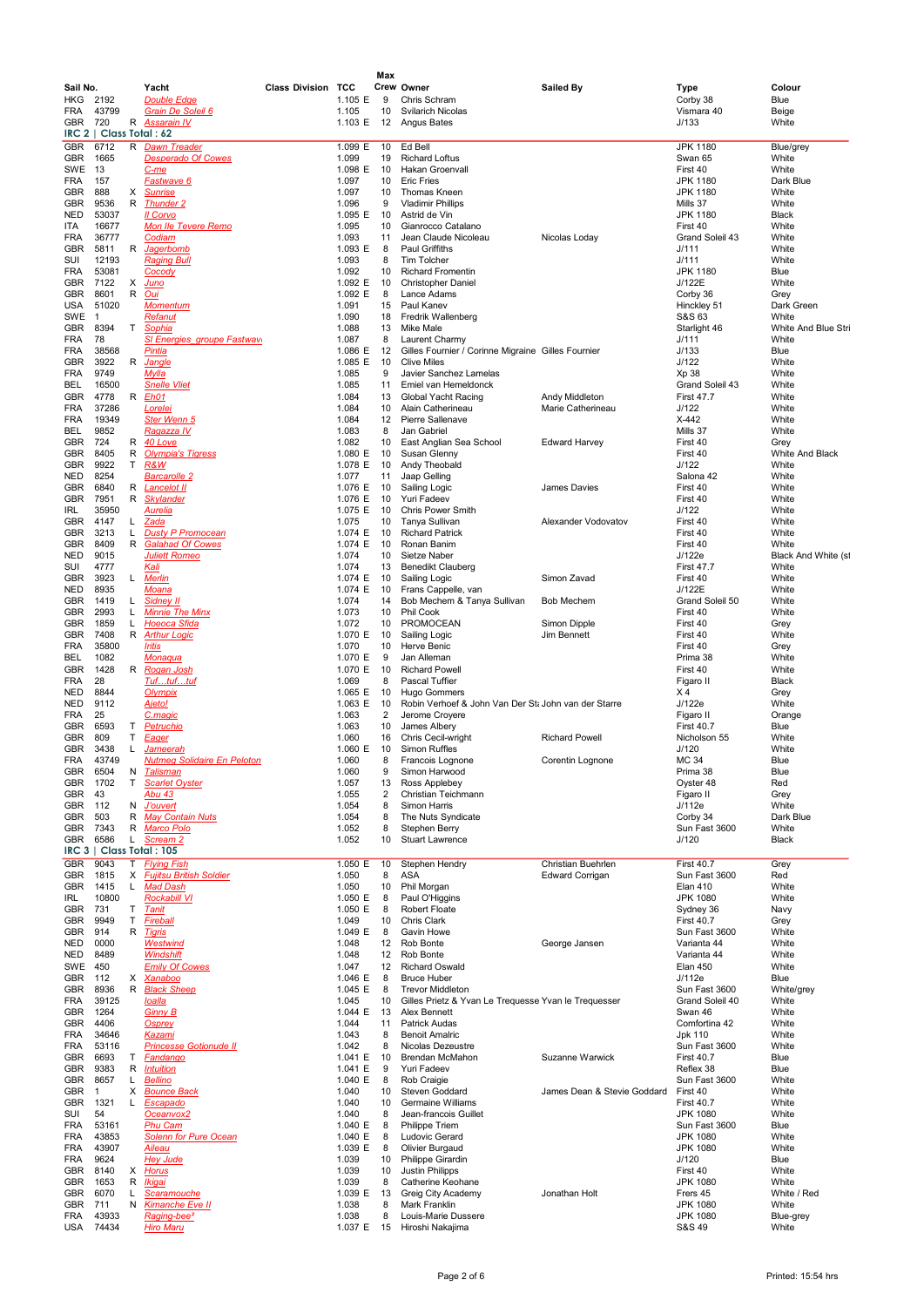|                 |                         |        |                                                 |                           |                    | Max            |                                                                        |                             |                                    |                              |
|-----------------|-------------------------|--------|-------------------------------------------------|---------------------------|--------------------|----------------|------------------------------------------------------------------------|-----------------------------|------------------------------------|------------------------------|
| Sail No.<br>HKG | 2192                    |        | Yacht<br>Double Edge                            | <b>Class Division TCC</b> | 1.105 E            | 9              | Crew Owner<br>Chris Schram                                             | <b>Sailed By</b>            | Type<br>Corby 38                   | Colour<br>Blue               |
| FRA             | 43799                   |        | <b>Grain De Soleil 6</b>                        |                           | 1.105              | 10             | <b>Svilarich Nicolas</b>                                               |                             | Vismara 40                         | Beige                        |
| GBR             | 720                     | R      | <b>Assarain IV</b>                              |                           | 1.103 E            | 12             | Angus Bates                                                            |                             | J/133                              | White                        |
| IRC 2<br>GBR    | Class Total: 62<br>6712 | R      | <b>Dawn Treader</b>                             |                           | 1.099 E            | 10             | Ed Bell                                                                |                             | <b>JPK 1180</b>                    | Blue/grey                    |
| GBR             | 1665                    |        | <b>Desperado Of Cowes</b>                       |                           | 1.099              | 19             | <b>Richard Loftus</b>                                                  |                             | Swan 65                            | White                        |
| SWE             | 13                      |        | <u>C-me</u>                                     |                           | 1.098 E            | 10             | Hakan Groenvall                                                        |                             | First 40                           | White                        |
| FRA<br>GBR      | 157<br>888              | X      | <u>Fastwave 6</u><br><b>Sunrise</b>             |                           | 1.097<br>1.097     | 10<br>10       | <b>Eric Fries</b><br>Thomas Kneen                                      |                             | <b>JPK 1180</b><br><b>JPK 1180</b> | Dark Blue<br>White           |
| GBR             | 9536                    | R      | <b>Thunder 2</b>                                |                           | 1.096              | 9              | <b>Vladimir Phillips</b>                                               |                             | Mills 37                           | White                        |
| NED             | 53037                   |        | II Corvo                                        |                           | 1.095 E            | 10             | Astrid de Vin                                                          |                             | <b>JPK 1180</b>                    | Black                        |
| ITA<br>FRA      | 16677<br>36777          |        | <b>Mon Ile Tevere Remo</b><br>Codiam            |                           | 1.095<br>1.093     | 10<br>11       | Gianrocco Catalano<br>Jean Claude Nicoleau                             | Nicolas Loday               | First 40<br>Grand Soleil 43        | White<br>White               |
| GBR             | 5811                    | R      | Jagerbomb                                       |                           | 1.093 E            | 8              | Paul Griffiths                                                         |                             | J/111                              | White                        |
| SUI             | 12193                   |        | <b>Raging Bull</b>                              |                           | 1.093              | 8              | Tim Tolcher                                                            |                             | J/111                              | White                        |
| FRA             | 53081<br>7122           |        | <b>Cocody</b>                                   |                           | 1.092<br>1.092 E   | 10<br>10       | <b>Richard Fromentin</b><br><b>Christopher Daniel</b>                  |                             | <b>JPK 1180</b><br>J/122E          | Blue<br>White                |
| GBR<br>GBR      | 8601                    | X<br>R | <u>Juno</u><br><u>Oui</u>                       |                           | 1.092 E            | 8              | Lance Adams                                                            |                             | Corby 36                           | Grey                         |
| USA             | 51020                   |        | <b>Momentum</b>                                 |                           | 1.091              | 15             | Paul Kanev                                                             |                             | Hinckley 51                        | Dark Green                   |
| SWE             | -1                      |        | <u>Refanut</u>                                  |                           | 1.090              | 18             | Fredrik Wallenberg                                                     |                             | S&S 63                             | White                        |
| GBR<br>FRA      | 8394<br>78              | т      | Sophia<br>SI Energies groupe Fastwav            |                           | 1.088<br>1.087     | 13<br>8        | Mike Male<br>Laurent Charmy                                            |                             | Starlight 46<br>J/111              | White And Blue Stri<br>White |
| FRA             | 38568                   |        | Pintia                                          |                           | 1.086 E            | 12             | Gilles Fournier / Corinne Migraine Gilles Fournier                     |                             | J/133                              | Blue                         |
| GBR             | 3922                    | R      | <b>Jangle</b>                                   |                           | 1.085 E            | 10             | <b>Clive Miles</b>                                                     |                             | J/122                              | White                        |
| FRA<br>BEL      | 9749<br>16500           |        | Mylla<br><b>Snelle Vliet</b>                    |                           | 1.085<br>1.085     | 9<br>11        | Javier Sanchez Lamelas<br>Emiel van Hemeldonck                         |                             | Xp 38<br>Grand Soleil 43           | White<br>White               |
| GBR             | 4778                    |        | R <i>Eh01</i>                                   |                           | 1.084              | 13             | Global Yacht Racing                                                    | Andy Middleton              | <b>First 47.7</b>                  | White                        |
| FRA             | 37286                   |        | Lorelei                                         |                           | 1.084              | 10             | Alain Catherineau                                                      | Marie Catherineau           | J/122                              | White                        |
| FRA             | 19349                   |        | Ster Wenn 5                                     |                           | 1.084              | 12             | Pierre Sallenave                                                       |                             | $X-442$                            | White                        |
| BEL<br>GBR      | 9852<br>724             | R      | Ragazza IV<br>40 Love                           |                           | 1.083<br>1.082     | 8<br>10        | Jan Gabriel<br>East Anglian Sea School                                 | <b>Edward Harvey</b>        | Mills 37<br>First 40               | White<br>Grey                |
| GBR             | 8405                    | R      | <b>Olympia's Tigress</b>                        |                           | 1.080 E            | 10             | Susan Glenny                                                           |                             | First 40                           | White And Black              |
| GBR             | 9922                    | Τ      | R&W                                             |                           | 1.078 E            | 10             | Andy Theobald                                                          |                             | J/122                              | White                        |
| NED             | 8254                    |        | <b>Barcarolle 2</b>                             |                           | 1.077              | 11             | Jaap Gelling                                                           |                             | Salona 42                          | White                        |
| GBR<br>GBR      | 6840<br>7951            | R<br>R | Lancelot II<br><b>Skylander</b>                 |                           | 1.076 E<br>1.076 E | 10<br>10       | Sailing Logic<br><b>Yuri Fadeev</b>                                    | James Davies                | First 40<br>First 40               | White<br>White               |
| IRL             | 35950                   |        | Aurelia                                         |                           | 1.075 E            | 10             | <b>Chris Power Smith</b>                                               |                             | J/122                              | White                        |
| GBR             | 4147                    | L.     | Zada                                            |                           | 1.075              | 10             | Tanya Sullivan                                                         | Alexander Vodovatov         | First 40                           | White                        |
| GBR             | 3213                    | L      | <b>Dusty P Promocean</b>                        |                           | 1.074 E            | 10             | <b>Richard Patrick</b>                                                 |                             | First 40                           | White                        |
| GBR<br>NED      | 8409<br>9015            | R      | <b>Galahad Of Cowes</b><br><b>Juliett Romeo</b> |                           | 1.074 E<br>1.074   | 10<br>10       | Ronan Banim<br>Sietze Naber                                            |                             | First 40<br>J/122e                 | White<br>Black And White (st |
| SUI             | 4777                    |        | <u>Kali</u>                                     |                           | 1.074              | 13             | Benedikt Clauberg                                                      |                             | <b>First 47.7</b>                  | White                        |
| GBR             | 3923                    | L.     | <b>Merlin</b>                                   |                           | 1.074 E            | 10             | Sailing Logic                                                          | Simon Zavad                 | First 40                           | White                        |
| NED<br>GBR      | 8935<br>1419            | L.     | Moana<br>Sidney II                              |                           | 1.074 E<br>1.074   | 10<br>14       | Frans Cappelle, van<br>Bob Mechem & Tanya Sullivan                     | <b>Bob Mechem</b>           | J/122E<br>Grand Soleil 50          | White<br>White               |
| GBR             | 2993                    | L.     | <b>Minnie The Minx</b>                          |                           | 1.073              | 10             | <b>Phil Cook</b>                                                       |                             | First 40                           | White                        |
| GBR             | 1859                    | L      | <b>Hoeoca Sfida</b>                             |                           | 1.072              | 10             | PROMOCEAN                                                              | Simon Dipple                | First 40                           | Grey                         |
| GBR             | 7408                    | R      | <b>Arthur Logic</b>                             |                           | 1.070 E            | 10             | Sailing Logic                                                          | Jim Bennett                 | First 40                           | White                        |
| FRA<br>BEL      | 35800<br>1082           |        | <b>Iritis</b><br>Monaqua                        |                           | 1.070<br>1.070 E   | 10<br>9        | Herve Benic<br>Jan Alleman                                             |                             | First 40<br>Prima 38               | Grey<br>White                |
| GBR             | 1428                    | R      | Rogan Josh                                      |                           | 1.070 E            | 10             | <b>Richard Powell</b>                                                  |                             | First 40                           | White                        |
| FRA             | 28                      |        | <u>Tuftuftuf</u>                                |                           | 1.069              | 8              | Pascal Tuffier                                                         |                             | Figaro II                          | <b>Black</b>                 |
| NED             | 8844                    |        | Olympix                                         |                           | 1.065 E            | 10             | <b>Hugo Gommers</b>                                                    |                             | Χ4                                 | Grey                         |
| NED<br>FRA      | 9112<br>25              |        | Ajeto!<br><u>C.maqic</u>                        |                           | 1.063 E<br>1.063   | 10<br>2        | Robin Verhoef & John Van Der St: John van der Starre<br>Jerome Croyere |                             | J/122e<br>Figaro II                | White<br>Orange              |
| GBR             | 6593                    | т      | <b>Petruchio</b>                                |                           | 1.063              | 10             | James Albery                                                           |                             | <b>First 40.7</b>                  | Blue                         |
| GBR             | 809                     | т      | <b>Eager</b>                                    |                           | 1.060              | 16             | Chris Cecil-wright                                                     | <b>Richard Powell</b>       | Nicholson 55                       | White                        |
| GBR<br>FRA      | 3438<br>43749           | L      | Jameerah<br><b>Nutmeg Solidaire En Peloton</b>  |                           | 1.060 E<br>1.060   | 10<br>8        | Simon Ruffles                                                          | Corentin Loanone            | J/120<br>MC 34                     | White<br>Blue                |
| GBR             | 6504                    | Ν      | <b>Talisman</b>                                 |                           | 1.060              | 9              | Francois Lognone<br>Simon Harwood                                      |                             | Prima 38                           | Blue                         |
| GBR             | 1702                    | т      | <b>Scarlet Oyster</b>                           |                           | 1.057              | 13             | Ross Applebey                                                          |                             | Oyster 48                          | Red                          |
| GBR             | 43                      |        | Abu 43                                          |                           | 1.055              | $\overline{2}$ | Christian Teichmann                                                    |                             | Figaro II                          | Grey                         |
| GBR<br>GBR      | 112<br>503              | N<br>R | <b>J'ouvert</b><br><b>May Contain Nuts</b>      |                           | 1.054<br>1.054     | 8<br>8         | Simon Harris<br>The Nuts Syndicate                                     |                             | J/112e<br>Corby 34                 | White<br>Dark Blue           |
| GBR             | 7343                    | R      | <b>Marco Polo</b>                               |                           | 1.052              | 8              | Stephen Berry                                                          |                             | Sun Fast 3600                      | White                        |
| GBR             | 6586                    | L.     | Scream 2                                        |                           | 1.052              | 10             | <b>Stuart Lawrence</b>                                                 |                             | J/120                              | Black                        |
| IRC 3<br>GBR    | 9043                    | т      | Class Total: 105<br><b>Flying Fish</b>          |                           | 1.050 E            | 10             | Stephen Hendry                                                         | Christian Buehrlen          | <b>First 40.7</b>                  | Grey                         |
| GBR             | 1815                    | X      | <b>Fujitsu British Soldier</b>                  |                           | 1.050              | 8              | ASA                                                                    | <b>Edward Corrigan</b>      | Sun Fast 3600                      | Red                          |
| GBR             | 1415                    | L.     | <b>Mad Dash</b>                                 |                           | 1.050              | 10             | Phil Morgan                                                            |                             | <b>Elan 410</b>                    | White                        |
| IRL             | 10800                   |        | <b>Rockabill VI</b>                             |                           | 1.050 E            | 8              | Paul O'Higgins                                                         |                             | <b>JPK 1080</b>                    | White                        |
| GBR<br>GBR      | 731<br>9949             | T<br>т | Tanit<br><b>Fireball</b>                        |                           | 1.050 E<br>1.049   | 8<br>10        | Robert Floate<br>Chris Clark                                           |                             | Sydney 36<br><b>First 40.7</b>     | Navy<br>Grey                 |
| GBR             | 914                     | R      | <b>Tigris</b>                                   |                           | 1.049 E            | 8              | <b>Gavin Howe</b>                                                      |                             | Sun Fast 3600                      | White                        |
| NED             | 0000                    |        | <b>Westwind</b>                                 |                           | 1.048              | 12             | Rob Bonte                                                              | George Jansen               | Varianta 44                        | White                        |
| NED             | 8489<br>450             |        | Windshift<br><b>Emily Of Cowes</b>              |                           | 1.048              | 12             | Rob Bonte<br><b>Richard Oswald</b>                                     |                             | Varianta 44<br><b>Elan 450</b>     | White<br>White               |
| SWE<br>GBR      | 112                     | х      | <u>Xanaboo</u>                                  |                           | 1.047<br>1.046 E   | 12<br>8        | <b>Bruce Huber</b>                                                     |                             | J/112e                             | Blue                         |
| GBR             | 8936                    | R      | <b>Black Sheep</b>                              |                           | 1.045 E            | 8              | <b>Trevor Middleton</b>                                                |                             | Sun Fast 3600                      | White/grey                   |
| FRA             | 39125                   |        | loalla                                          |                           | 1.045              | 10             | Gilles Prietz & Yvan Le Trequesse Yvan le Trequesser                   |                             | Grand Soleil 40                    | White                        |
| GBR<br>GBR      | 1264<br>4406            |        | <b>Ginny B</b><br><b>Osprey</b>                 |                           | 1.044 E<br>1.044   | 13<br>11       | Alex Bennett<br><b>Patrick Audas</b>                                   |                             | Swan 46<br>Comfortina 42           | White<br>White               |
| FRA             | 34646                   |        | <b>Kazami</b>                                   |                           | 1.043              | 8              | <b>Benoit Amalric</b>                                                  |                             | Jpk 110                            | White                        |
| FRA             | 53116                   |        | <b>Princesse Gotionude II</b>                   |                           | 1.042              | 8              | Nicolas Dezeustre                                                      |                             | Sun Fast 3600                      | White                        |
| GBR             | 6693                    | Τ      | Fandango                                        |                           | 1.041 E            | 10<br>9        | Brendan McMahon                                                        | Suzanne Warwick             | <b>First 40.7</b>                  | Blue                         |
| GBR<br>GBR      | 9383<br>8657            | R<br>Г | <b>Intuition</b><br><b>Bellino</b>              |                           | 1.041 E<br>1.040 E | 8              | Yuri Fadeev<br>Rob Craigie                                             |                             | Reflex 38<br>Sun Fast 3600         | Blue<br>White                |
| GBR             | 1                       | Х      | <b>Bounce Back</b>                              |                           | 1.040              | 10             | Steven Goddard                                                         | James Dean & Stevie Goddard | First 40                           | White                        |
| GBR             | 1321                    | L      | Escapado                                        |                           | 1.040              | 10             | <b>Germaine Williams</b>                                               |                             | <b>First 40.7</b>                  | White                        |
| SUI             | 54                      |        | Oceanvox2                                       |                           | 1.040              | 8              | Jean-francois Guillet                                                  |                             | <b>JPK 1080</b>                    | White                        |
| FRA<br>FRA      | 53161<br>43853          |        | <b>Phu Cam</b><br>Solenn for Pure Ocean         |                           | 1.040 E<br>1.040 E | 8<br>8         | Philippe Triem<br>Ludovic Gerard                                       |                             | Sun Fast 3600<br><b>JPK 1080</b>   | Blue<br>White                |
| FRA             | 43907                   |        | Aileau                                          |                           | 1.039 E            | 8              | Olivier Burgaud                                                        |                             | <b>JPK 1080</b>                    | White                        |
| FRA             | 9624                    |        | <b>Hey Jude</b>                                 |                           | 1.039              | 10             | Philippe Girardin                                                      |                             | J/120                              | Blue                         |
| GBR             | 8140                    |        | X Horus                                         |                           | 1.039              | 10             | Justin Philipps                                                        |                             | First 40                           | White                        |
| GBR<br>GBR      | 1653<br>6070            | R<br>Г | <u>Ikiqai</u><br>Scaramouche                    |                           | 1.039<br>1.039 E   | 8<br>13        | Catherine Keohane<br>Greig City Academy                                | Jonathan Holt               | <b>JPK 1080</b><br>Frers 45        | White<br>White / Red         |
| GBR             | 711                     |        | N Kimanche Eve II                               |                           | 1.038              | 8              | Mark Franklin                                                          |                             | <b>JPK 1080</b>                    | White                        |
| FRA             | 43933                   |        | Raging-bee <sup>2</sup>                         |                           | 1.038              | 8              | Louis-Marie Dussere                                                    |                             | <b>JPK 1080</b>                    | Blue-grey                    |
| USA             | 74434                   |        | <b>Hiro Maru</b>                                |                           |                    |                | 1.037 E 15 Hiroshi Nakajima                                            |                             | S&S 49                             | White                        |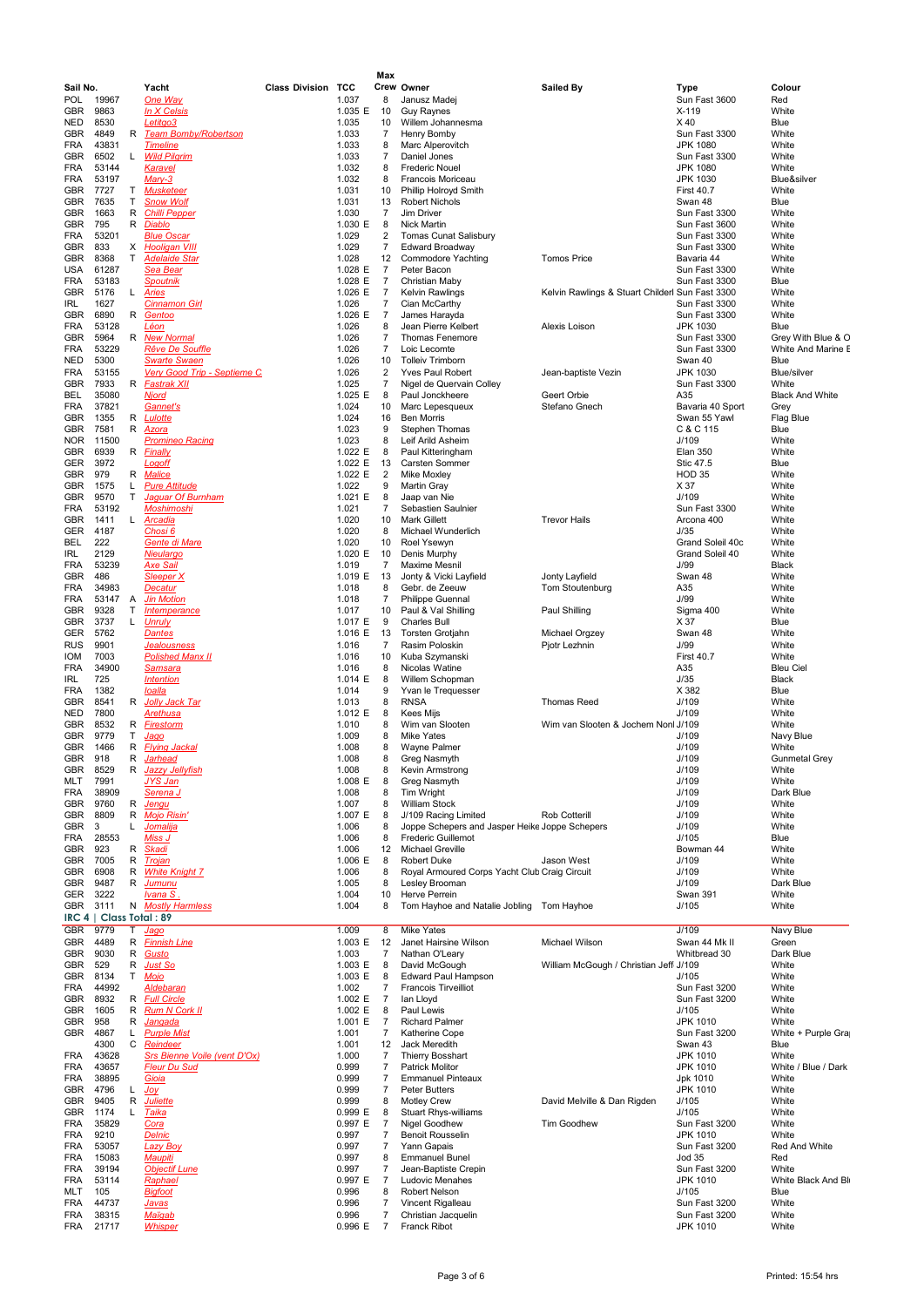|                   |                |        |                                                 |                           |                    | Max                  |                                                                             |                                                 |                                    |                               |
|-------------------|----------------|--------|-------------------------------------------------|---------------------------|--------------------|----------------------|-----------------------------------------------------------------------------|-------------------------------------------------|------------------------------------|-------------------------------|
| Sail No.          |                |        | Yacht                                           | <b>Class Division TCC</b> |                    |                      | Crew Owner                                                                  | <b>Sailed By</b>                                | Type                               | Colour                        |
| POL               | 19967          |        | One Way                                         |                           | 1.037              | 8                    | Janusz Madej                                                                |                                                 | Sun Fast 3600                      | Red                           |
| GBR<br>NED        | 9863<br>8530   |        | In X Celsis<br><u>Letitgo3</u>                  |                           | 1.035 E<br>1.035   | 10<br>10             | <b>Guy Raynes</b><br>Willem Johannesma                                      |                                                 | $X-119$<br>X40                     | White<br>Blue                 |
| GBR               | 4849           | R      | <b>Team Bomby/Robertson</b>                     |                           | 1.033              | 7                    | Henry Bomby                                                                 |                                                 | Sun Fast 3300                      | White                         |
| FRA               | 43831          |        | <b>Timeline</b>                                 |                           | 1.033              | 8                    | Marc Alperovitch                                                            |                                                 | JPK 1080                           | White                         |
| GBR               | 6502           | L      | <b>Wild Pilgrim</b>                             |                           | 1.033              | 7                    | Daniel Jones                                                                |                                                 | Sun Fast 3300                      | White                         |
| FRA<br>FRA        | 53144<br>53197 |        | Karavel<br>Mary-3                               |                           | 1.032<br>1.032     | 8<br>8               | <b>Frederic Nouel</b><br>Francois Moriceau                                  |                                                 | <b>JPK 1080</b><br><b>JPK 1030</b> | White<br>Blue&silver          |
| GBR               | 7727           | Τ      | <b>Musketeer</b>                                |                           | 1.031              | 10                   | Phillip Holroyd Smith                                                       |                                                 | <b>First 40.7</b>                  | White                         |
| GBR               | 7635           | т      | <b>Snow Wolf</b>                                |                           | 1.031              | 13                   | <b>Robert Nichols</b>                                                       |                                                 | Swan 48                            | Blue                          |
| GBR               | 1663           | R      | <b>Chilli Pepper</b>                            |                           | 1.030              | 7                    | Jim Driver                                                                  |                                                 | Sun Fast 3300                      | White                         |
| GBR               | 795            | R      | <u>Diablo</u>                                   |                           | 1.030 E            | 8                    | <b>Nick Martin</b>                                                          |                                                 | Sun Fast 3600                      | White                         |
| FRA<br>GBR        | 53201<br>833   |        | <b>Blue Oscar</b><br>X Hooligan VIII            |                           | 1.029<br>1.029     | 2<br>7               | <b>Tomas Cunat Salisbury</b><br><b>Edward Broadway</b>                      |                                                 | Sun Fast 3300<br>Sun Fast 3300     | White<br>White                |
| GBR               | 8368           | т      | <b>Adelaide Star</b>                            |                           | 1.028              | 12                   | <b>Commodore Yachting</b>                                                   | <b>Tomos Price</b>                              | Bavaria 44                         | White                         |
| USA               | 61287          |        | Sea Bear                                        |                           | 1.028 E            | 7                    | Peter Bacon                                                                 |                                                 | Sun Fast 3300                      | White                         |
| FRA               | 53183          |        | <b>Spoutnik</b>                                 |                           | 1.028 E            | 7                    | Christian Maby                                                              |                                                 | Sun Fast 3300                      | Blue                          |
| GBR<br>IRL        | 5176<br>1627   |        | L Aries                                         |                           | 1.026 E<br>1.026   | 7<br>7               | <b>Kelvin Rawlings</b><br>Cian McCarthy                                     | Kelvin Rawlings & Stuart Childerl Sun Fast 3300 | Sun Fast 3300                      | White<br>White                |
| GBR               | 6890           | R      | <b>Cinnamon Girl</b><br><u>Gentoo</u>           |                           | 1.026 E            | $\overline{7}$       | James Harayda                                                               |                                                 | Sun Fast 3300                      | White                         |
| FRA               | 53128          |        | Léon                                            |                           | 1.026              | 8                    | Jean Pierre Kelbert                                                         | Alexis Loison                                   | <b>JPK 1030</b>                    | Blue                          |
| GBR               | 5964           |        | R New Normal                                    |                           | 1.026              | 7                    | <b>Thomas Fenemore</b>                                                      |                                                 | Sun Fast 3300                      | Grey With Blue & O            |
| FRA               | 53229          |        | <b>Rêve De Souffle</b>                          |                           | 1.026              | 7                    | Loic Lecomte                                                                |                                                 | Sun Fast 3300                      | White And Marine E            |
| NED<br><b>FRA</b> | 5300<br>53155  |        | Swarte Swaen<br>Very Good Trip - Septieme C.    |                           | 1.026<br>1.026     | 10<br>2              | <b>Tolleiv Trimborn</b><br>Yves Paul Robert                                 | Jean-baptiste Vezin                             | Swan 40<br><b>JPK 1030</b>         | Blue<br>Blue/silver           |
| GBR               | 7933           |        | R Fastrak XII                                   |                           | 1.025              | 7                    | Nigel de Quervain Colley                                                    |                                                 | Sun Fast 3300                      | White                         |
| BEL               | 35080          |        | <u>Njord</u>                                    |                           | 1.025 E            | 8                    | Paul Jonckheere                                                             | Geert Orbie                                     | A35                                | <b>Black And White</b>        |
| FRA               | 37821          |        | Gannet's                                        |                           | 1.024              | 10                   | Marc Lepesqueux                                                             | Stefano Gnech                                   | Bavaria 40 Sport                   | Grey                          |
| GBR               | 1355           | R      | <b>Lulotte</b>                                  |                           | 1.024              | 16                   | <b>Ben Morris</b>                                                           |                                                 | Swan 55 Yawl                       | Flag Blue                     |
| GBR               | 7581<br>11500  | R      | Azora                                           |                           | 1.023              | 9<br>8               | <b>Stephen Thomas</b>                                                       |                                                 | C & C 115                          | Blue<br>White                 |
| NOR.<br>GBR       | 6939           |        | <b>Promineo Racing</b><br>R <i>Finally</i>      |                           | 1.023<br>1.022 $E$ | 8                    | Leif Arild Asheim<br>Paul Kitteringham                                      |                                                 | J/109<br><b>Elan 350</b>           | White                         |
| GER               | 3972           |        | <u>Loqoff</u>                                   |                           | 1.022 E            | 13                   | Carsten Sommer                                                              |                                                 | Stic 47.5                          | Blue                          |
| GBR               | 979            | R      | <b>Malice</b>                                   |                           | 1.022 E            | $\overline{2}$       | Mike Moxley                                                                 |                                                 | <b>HOD 35</b>                      | White                         |
| GBR               | 1575           | L      | <b>Pure Attitude</b>                            |                           | 1.022              | 9                    | Martin Gray                                                                 |                                                 | X 37                               | White                         |
| GBR<br>FRA        | 9570<br>53192  | Т      | <b>Jaquar Of Burnham</b><br><b>Moshimoshi</b>   |                           | 1.021 $E$<br>1.021 | 8<br>7               | Jaap van Nie<br>Sebastien Saulnier                                          |                                                 | J/109<br>Sun Fast 3300             | White<br>White                |
| GBR               | 1411           | L.     | <u>Arcadia</u>                                  |                           | 1.020              | 10                   | Mark Gillett                                                                | <b>Trevor Hails</b>                             | Arcona 400                         | White                         |
| GER               | 4187           |        | <u>Chosi 6</u>                                  |                           | 1.020              | 8                    | Michael Wunderlich                                                          |                                                 | J/35                               | White                         |
| BEL               | 222            |        | Gente di Mare                                   |                           | 1.020              | 10                   | Roel Ysewyn                                                                 |                                                 | Grand Soleil 40c                   | White                         |
| IRL               | 2129           |        | Nieulargo                                       |                           | 1.020 E            | 10                   | Denis Murphy                                                                |                                                 | Grand Soleil 40                    | White                         |
| FRA<br>GBR        | 53239<br>486   |        | <b>Axe Sail</b><br><b>Sleeper X</b>             |                           | 1.019<br>1.019 E   | 7<br>13              | Maxime Mesnil<br>Jonty & Vicki Layfield                                     | Jonty Layfield                                  | J/99<br>Swan 48                    | Black<br>White                |
| FRA               | 34983          |        | Decatur                                         |                           | 1.018              | 8                    | Gebr. de Zeeuw                                                              | Tom Stoutenburg                                 | A35                                | White                         |
| FRA               | 53147          | A      | <b>Jin Motion</b>                               |                           | 1.018              | 7                    | Philippe Guennal                                                            |                                                 | J/99                               | White                         |
| GBR               | 9328           | Т      | Intemperance                                    |                           | 1.017              | 10                   | Paul & Val Shilling                                                         | Paul Shilling                                   | Sigma 400                          | White                         |
| GBR               | 3737           | L.     | <b>Unruly</b>                                   |                           | 1.017 E            | 9                    | Charles Bull                                                                |                                                 | X 37                               | Blue                          |
| GER<br><b>RUS</b> | 5762<br>9901   |        | <b>Dantes</b><br>Jea <u>lousness</u>            |                           | 1.016 E<br>1.016   | 13<br>7              | <b>Torsten Grotjahn</b><br>Rasim Poloskin                                   | Michael Orgzey<br>Pjotr Lezhnin                 | Swan 48<br>J/99                    | White<br>White                |
| <b>IOM</b>        | 7003           |        | <b>Polished Manx II</b>                         |                           | 1.016              | 10                   | Kuba Szymanski                                                              |                                                 | <b>First 40.7</b>                  | White                         |
| FRA               | 34900          |        | <u>Samsara</u>                                  |                           | 1.016              | 8                    | Nicolas Watine                                                              |                                                 | A35                                | <b>Bleu Ciel</b>              |
| IRL               | 725            |        | <b>Intention</b>                                |                           | 1.014 E            | 8                    | Willem Schopman                                                             |                                                 | J/35                               | Black                         |
| FRA               | 1382           |        | <u>Ioalla</u>                                   |                           | 1.014              | 9                    | Yvan le Trequesser                                                          | <b>Thomas Reed</b>                              | X 382                              | Blue                          |
| GBR<br>NED        | 8541<br>7800   |        | R Jolly Jack Tar<br><u>Arethusa</u>             |                           | 1.013<br>1.012 E   | 8<br>8               | <b>RNSA</b><br>Kees Mijs                                                    |                                                 | J/109<br>J/109                     | White<br>White                |
| GBR               | 8532           | R      | <b>Firestorm</b>                                |                           | 1.010              | 8                    | Wim van Slooten                                                             | Wim van Slooten & Jochem Nonl J/109             |                                    | White                         |
| GBR               | 9779           | Т      | <u>Jaqo</u>                                     |                           | 1.009              | 8                    | <b>Mike Yates</b>                                                           |                                                 | J/109                              | Navy Blue                     |
| GBR               | 1466           | R      | <b>Flying Jackal</b>                            |                           | 1.008              | 8                    | Wayne Palmer                                                                |                                                 | J/109                              | White                         |
| GBR<br>GBR        | 918<br>8529    | R<br>R | Jarhead<br><b>Jazzy Jellyfish</b>               |                           | 1.008<br>1.008     | 8                    | Greg Nasmyth<br>Kevin Armstrong                                             |                                                 | J/109<br>J/109                     | <b>Gunmetal Grey</b><br>White |
| MLT               | 7991           |        | <u>JYS Jan</u>                                  |                           | 1.008 E            | 8<br>8               | Greg Nasmyth                                                                |                                                 | J/109                              | White                         |
| <b>FRA</b>        | 38909          |        | Serena J                                        |                           | 1.008              | 8                    | Tim Wright                                                                  |                                                 | J/109                              | Dark Blue                     |
| <b>GBR</b>        | 9760           |        | R Jengu                                         |                           | 1.007              | 8                    | <b>William Stock</b>                                                        |                                                 | J/109                              | White                         |
| GBR               | 8809           |        | R Mojo Risin'                                   |                           | 1.007 E            | 8                    | J/109 Racing Limited                                                        | <b>Rob Cotterill</b>                            | J/109                              | White                         |
| GBR<br>FRA        | 3<br>28553     | L      | Jomalija<br>Miss J                              |                           | 1.006<br>1.006     | 8<br>8               | Joppe Schepers and Jasper Heike Joppe Schepers<br><b>Frederic Guillemot</b> |                                                 | J/109<br>J/105                     | White<br>Blue                 |
| GBR               | 923            | R      | Skadi                                           |                           | 1.006              | 12                   | <b>Michael Greville</b>                                                     |                                                 | Bowman 44                          | White                         |
| GBR               | 7005           | R      | <u>Trojan</u>                                   |                           | 1.006 E            | 8                    | <b>Robert Duke</b>                                                          | Jason West                                      | J/109                              | White                         |
| GBR               | 6908           | R      | <b>White Knight 7</b>                           |                           | 1.006              | 8                    | Royal Armoured Corps Yacht Club Craig Circuit                               |                                                 | J/109                              | White                         |
| GBR               | 9487           | R      | <u>Jumunu</u>                                   |                           | 1.005              | 8                    | Lesley Brooman                                                              |                                                 | J/109                              | Dark Blue                     |
| <b>GER</b><br>GBR | 3222<br>3111   |        | <u>Ivana S</u><br>N Mostly Harmless             |                           | 1.004<br>1.004     | 10<br>8              | Herve Perrein<br>Tom Hayhoe and Natalie Jobling Tom Hayhoe                  |                                                 | Swan 391<br>J/105                  | White<br>White                |
| RC4               |                |        | Class Total: 89                                 |                           |                    |                      |                                                                             |                                                 |                                    |                               |
| GBR               | 9779           | т      | <u>Jaqo</u>                                     |                           | 1.009              | 8                    | Mike Yates                                                                  |                                                 | J/109                              | Navy Blue                     |
| GBR               | 4489           | R      | <b>Finnish Line</b>                             |                           | 1.003 E            | 12                   | Janet Hairsine Wilson                                                       | Michael Wilson                                  | Swan 44 Mk II                      | Green                         |
| GBR               | 9030           | R      | Gusto                                           |                           | 1.003              | 7                    | Nathan O'Leary                                                              |                                                 | Whitbread 30                       | Dark Blue                     |
| GBR               | 529            | R      | <u>Just So</u>                                  |                           | 1.003 E            | 8                    | David McGough                                                               | William McGough / Christian Jeff J/109          |                                    | White                         |
| GBR<br>FRA        | 8134<br>44992  | T.     | <u>Mojo</u><br>Aldebaran                        |                           | 1.003 E<br>1.002   | 8<br>7               | <b>Edward Paul Hampson</b><br><b>Francois Tirveilliot</b>                   |                                                 | J/105<br>Sun Fast 3200             | White<br>White                |
| GBR               | 8932           |        | R Full Circle                                   |                           | 1.002 E            | 7                    | Ian Lloyd                                                                   |                                                 | Sun Fast 3200                      | White                         |
| GBR               | 1605           | R      | <b>Rum N Cork II</b>                            |                           | 1.002 E            | 8                    | Paul Lewis                                                                  |                                                 | J/105                              | White                         |
| GBR               | 958            | R      | Jangada                                         |                           | 1.001 E            | 7                    | <b>Richard Palmer</b>                                                       |                                                 | JPK 1010                           | White                         |
| GBR               | 4867           | Г      | <b>Purple Mist</b>                              |                           | 1.001              | 7                    | Katherine Cope                                                              |                                                 | Sun Fast 3200                      | White + Purple Gra            |
| FRA               | 4300<br>43628  | C      | Reindeer<br><b>Srs Bienne Voile (vent D'Ox)</b> |                           | 1.001<br>1.000     | 12<br>$\overline{7}$ | Jack Meredith<br>Thierry Bosshart                                           |                                                 | Swan 43<br><b>JPK 1010</b>         | Blue<br>White                 |
| FRA               | 43657          |        | <b>Fleur Du Sud</b>                             |                           | 0.999              | 7                    | <b>Patrick Molitor</b>                                                      |                                                 | <b>JPK 1010</b>                    | White / Blue / Dark           |
| <b>FRA</b>        | 38895          |        | Gioia                                           |                           | 0.999              | 7                    | <b>Emmanuel Pinteaux</b>                                                    |                                                 | Jpk 1010                           | White                         |
| GBR               | 4796           | L      | Joy                                             |                           | 0.999              | 7                    | Peter Butters                                                               |                                                 | JPK 1010                           | White                         |
| GBR               | 9405           | R      | <b>Juliette</b>                                 |                           | 0.999              | 8                    | <b>Motley Crew</b>                                                          | David Melville & Dan Rigden                     | J/105                              | White                         |
| GBR<br>FRA        | 1174<br>35829  |        | L Taika<br>Cora                                 |                           | 0.999 E<br>0.997 E | 8<br>7               | <b>Stuart Rhys-williams</b><br>Nigel Goodhew                                | Tim Goodhew                                     | J/105<br>Sun Fast 3200             | White<br>White                |
| FRA               | 9210           |        | <b>Delnic</b>                                   |                           | 0.997              | 7                    | <b>Benoit Rousselin</b>                                                     |                                                 | <b>JPK 1010</b>                    | White                         |
| FRA               | 53057          |        | <b>Lazy Boy</b>                                 |                           | 0.997              | 7                    | Yann Gapais                                                                 |                                                 | Sun Fast 3200                      | Red And White                 |
| FRA               | 15083          |        | Maupiti                                         |                           | 0.997              | 8                    | <b>Emmanuel Bunel</b>                                                       |                                                 | <b>Jod 35</b>                      | Red                           |
| FRA               | 39194          |        | <b>Objectif Lune</b>                            |                           | 0.997              | 7                    | Jean-Baptiste Crepin                                                        |                                                 | Sun Fast 3200                      | White                         |
| FRA<br>MLT        | 53114<br>105   |        | Raphael<br><b>Bigfoot</b>                       |                           | 0.997 E<br>0.996   | $\overline{7}$<br>8  | Ludovic Menahes<br><b>Robert Nelson</b>                                     |                                                 | <b>JPK 1010</b><br>J/105           | White Black And Bl<br>Blue    |
| <b>FRA</b>        | 44737          |        | <b>Javas</b>                                    |                           | 0.996              | 7                    | Vincent Rigalleau                                                           |                                                 | Sun Fast 3200                      | White                         |
| FRA               | 38315          |        | Maïgab                                          |                           | 0.996              | 7                    | Christian Jacquelin                                                         |                                                 | Sun Fast 3200                      | White                         |
| <b>FRA</b>        | 21717          |        | <b>Whisper</b>                                  |                           | 0.996 E            | $\overline{7}$       | <b>Franck Ribot</b>                                                         |                                                 | JPK 1010                           | White                         |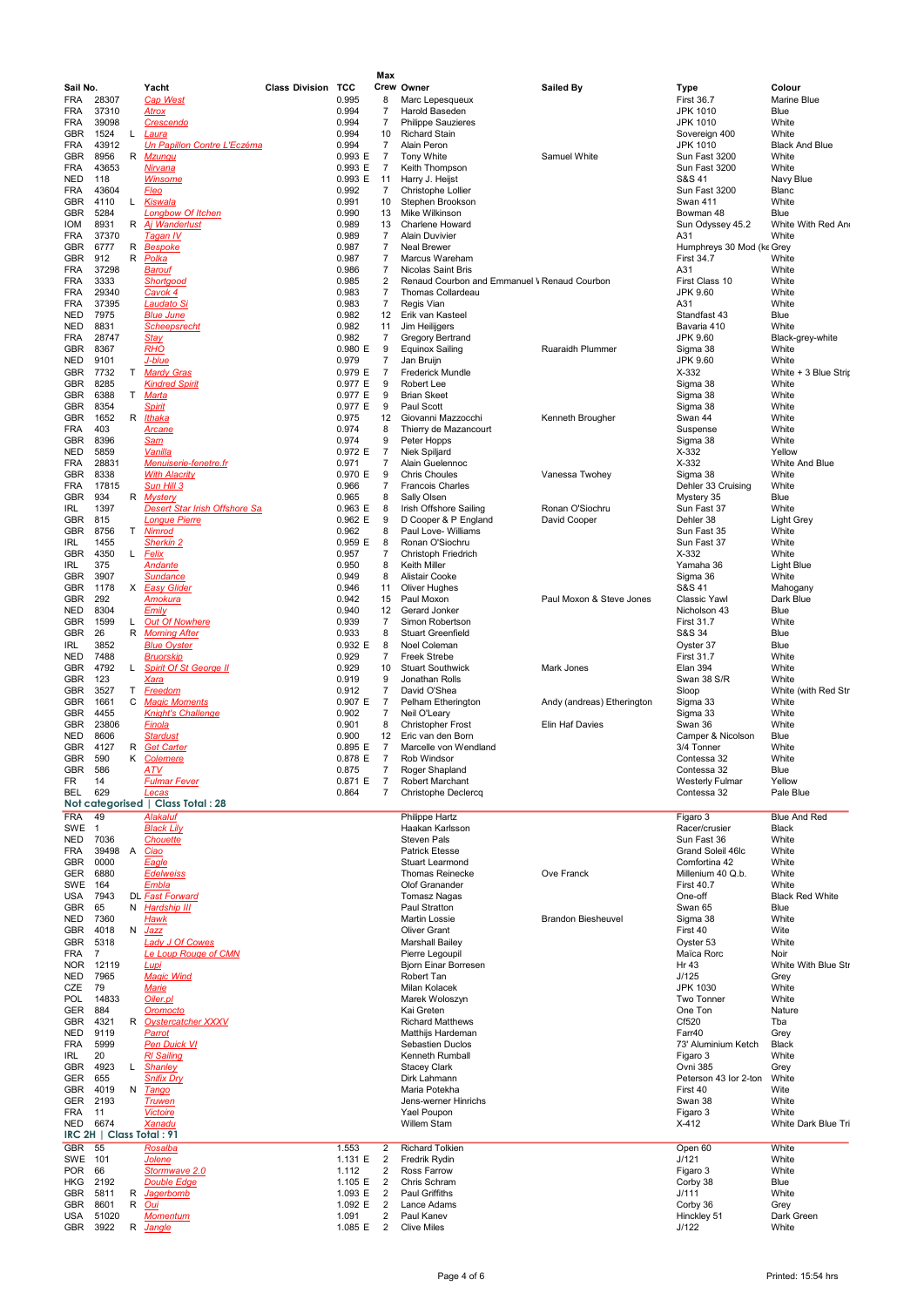|                   |                          |        |                                                              |                           |                    | Max                  |                                                                   |                                 |                                     |                                |
|-------------------|--------------------------|--------|--------------------------------------------------------------|---------------------------|--------------------|----------------------|-------------------------------------------------------------------|---------------------------------|-------------------------------------|--------------------------------|
| Sail No.          |                          |        | Yacht                                                        | <b>Class Division TCC</b> |                    |                      | Crew Owner                                                        | Sailed By                       | Type                                | Colour                         |
| FRA               | 28307                    |        | <b>Cap West</b>                                              |                           | 0.995              | 8                    | Marc Lepesqueux                                                   |                                 | <b>First 36.7</b>                   | Marine Blue                    |
| FRA               | 37310                    |        | <u>Atrox</u>                                                 |                           | 0.994              | 7                    | Harold Baseden                                                    |                                 | JPK 1010                            | Blue                           |
| <b>FRA</b>        | 39098                    |        | Crescendo                                                    |                           | 0.994              | $\overline{7}$       | <b>Philippe Sauzieres</b>                                         |                                 | <b>JPK 1010</b>                     | White                          |
| GBR<br><b>FRA</b> | 1524<br>43912            | L      | Laura<br>Un Papillon Contre L'Eczéma                         |                           | 0.994<br>0.994     | 10<br>$\overline{7}$ | <b>Richard Stain</b><br>Alain Peron                               |                                 | Sovereign 400<br><b>JPK 1010</b>    | White<br><b>Black And Blue</b> |
| GBR               | 8956                     | R      | Mzungu                                                       |                           | 0.993 E            | $\overline{7}$       | Tony White                                                        | Samuel White                    | Sun Fast 3200                       | White                          |
| FRA               | 43653                    |        | <u>Nirvana</u>                                               |                           | 0.993 E            | 7                    | Keith Thompson                                                    |                                 | Sun Fast 3200                       | White                          |
| NED               | 118                      |        | Winsome                                                      |                           | 0.993 E            | 11                   | Harry J. Heijst                                                   |                                 | S&S 41                              | Navy Blue                      |
| FRA               | 43604                    |        | <b>Fleo</b>                                                  |                           | 0.992              | 7                    | Christophe Lollier                                                |                                 | Sun Fast 3200                       | Blanc                          |
| GBR<br>GBR        | 4110<br>5284             | L.     | Kiswala<br><b>Longbow Of Itchen</b>                          |                           | 0.991<br>0.990     | 10<br>13             | Stephen Brookson<br>Mike Wilkinson                                |                                 | Swan 411<br>Bowman 48               | White<br>Blue                  |
| IOM               | 8931                     | R      | Aj Wanderlust                                                |                           | 0.989              | 13                   | Charlene Howard                                                   |                                 | Sun Odyssey 45.2                    | White With Red And             |
| FRA               | 37370                    |        | Tagan IV                                                     |                           | 0.989              | 7                    | <b>Alain Duvivier</b>                                             |                                 | A31                                 | White                          |
| <b>GBR</b>        | 6777                     | R      | <u>Bespoke</u>                                               |                           | 0.987              | 7                    | Neal Brewer                                                       |                                 | Humphreys 30 Mod (ke Grey           |                                |
| GBR               | 912                      | R      | <u>Polka</u>                                                 |                           | 0.987              | 7                    | Marcus Wareham                                                    |                                 | <b>First 34.7</b>                   | White                          |
| FRA               | 37298                    |        | <u>Barouf</u>                                                |                           | 0.986              | 7                    | <b>Nicolas Saint Bris</b>                                         |                                 | A31                                 | White                          |
| FRA<br>FRA        | 3333<br>29340            |        | Shortaood<br>Cavok 4                                         |                           | 0.985<br>0.983     | 2<br>7               | Renaud Courbon and Emmanuel V Renaud Courbon<br>Thomas Collardeau |                                 | First Class 10<br>JPK 9.60          | White<br>White                 |
| FRA               | 37395                    |        | Laudato Si                                                   |                           | 0.983              | 7                    | Regis Vian                                                        |                                 | A31                                 | White                          |
| NED               | 7975                     |        | <b>Blue June</b>                                             |                           | 0.982              | 12                   | Erik van Kasteel                                                  |                                 | Standfast 43                        | Blue                           |
| NED               | 8831                     |        | <b>Scheepsrecht</b>                                          |                           | 0.982              | 11                   | Jim Heilijgers                                                    |                                 | Bavaria 410                         | White                          |
| <b>FRA</b>        | 28747                    |        | <b>Stay</b>                                                  |                           | 0.982              | 7                    | Gregory Bertrand                                                  |                                 | JPK 9.60                            | Black-grey-white               |
| GBR               | 8367                     |        | <b>RHO</b>                                                   |                           | 0.980 E            | 9                    | <b>Equinox Sailing</b>                                            | Ruaraidh Plummer                | Sigma 38                            | White                          |
| NED<br>GBR        | 9101<br>7732             | T.     | <u>J-blue</u><br><b>Mardy Gras</b>                           |                           | 0.979<br>0.979 E   | 7<br>7               | Jan Bruijn<br><b>Frederick Mundle</b>                             |                                 | JPK 9.60<br>$X-332$                 | White<br>White + 3 Blue Strip  |
| GBR               | 8285                     |        | <b>Kindred Spirit</b>                                        |                           | 0.977 E            | 9                    | Robert Lee                                                        |                                 | Sigma 38                            | White                          |
| GBR               | 6388                     | T.     | Marta                                                        |                           | 0.977 E            | 9                    | <b>Brian Skeet</b>                                                |                                 | Sigma 38                            | White                          |
| GBR               | 8354                     |        | <u>Spirit</u>                                                |                           | 0.977 E            | 9                    | Paul Scott                                                        |                                 | Sigma 38                            | White                          |
| GBR               | 1652                     | R      | Ithaka                                                       |                           | 0.975              | 12                   | Giovanni Mazzocchi                                                | Kenneth Brougher                | Swan 44                             | White                          |
| FRA               | 403                      |        | <u>Arcane</u>                                                |                           | 0.974              | 8                    | Thierry de Mazancourt                                             |                                 | Suspense                            | White                          |
| GBR<br>NED        | 8396<br>5859             |        | <b>Sam</b><br><u>Vanilla</u>                                 |                           | 0.974<br>0.972 E   | 9<br>$\overline{7}$  | Peter Hopps<br>Niek Spiljard                                      |                                 | Sigma 38<br>$X-332$                 | White<br>Yellow                |
| FRA               | 28831                    |        | <b>Menuiserie-fenetre.fr</b>                                 |                           | 0.971              | 7                    | Alain Guelennoc                                                   |                                 | $X-332$                             | White And Blue                 |
| GBR               | 8338                     |        | <b>With Alacrity</b>                                         |                           | 0.970 E            | 9                    | <b>Chris Choules</b>                                              | Vanessa Twohey                  | Sigma 38                            | White                          |
| FRA               | 17815                    |        | Sun Hill 3                                                   |                           | 0.966              | 7                    | <b>Francois Charles</b>                                           |                                 | Dehler 33 Cruising                  | White                          |
| GBR               | 934                      | R      | <b>Mystery</b>                                               |                           | 0.965              | 8                    | Sally Olsen                                                       |                                 | Mystery 35                          | Blue                           |
| IRL               | 1397<br>815              |        | <b>Desert Star Irish Offshore Sa</b><br><b>Longue Pierre</b> |                           | 0.963 E<br>0.962 E | 8<br>9               | Irish Offshore Sailing<br>D Cooper & P England                    | Ronan O'Siochru<br>David Cooper | Sun Fast 37<br>Dehler 38            | White                          |
| GBR<br>GBR        | 8756                     | T.     | <b>Nimrod</b>                                                |                           | 0.962              | 8                    | Paul Love- Williams                                               |                                 | Sun Fast 35                         | <b>Light Grey</b><br>White     |
| IRL               | 1455                     |        | Sherkin 2                                                    |                           | 0.959 E            | 8                    | Ronan O'Siochru                                                   |                                 | Sun Fast 37                         | White                          |
| GBR               | 4350                     |        | L Felix                                                      |                           | 0.957              | 7                    | Christoph Friedrich                                               |                                 | $X-332$                             | White                          |
| IRL               | 375                      |        | Andante                                                      |                           | 0.950              | 8                    | Keith Miller                                                      |                                 | Yamaha 36                           | Light Blue                     |
| GBR               | 3907                     |        | Sundance                                                     |                           | 0.949              | 8                    | Alistair Cooke                                                    |                                 | Sigma 36                            | White                          |
| GBR               | 1178<br>292              | х      | <b>Easy Glider</b>                                           |                           | 0.946<br>0.942     | 11                   | Oliver Hughes                                                     |                                 | S&S 41                              | Mahogany                       |
| GBR<br>NED        | 8304                     |        | <u>Amokura</u><br>Emily                                      |                           | 0.940              | 15<br>12             | Paul Moxon<br>Gerard Jonker                                       | Paul Moxon & Steve Jones        | <b>Classic Yawl</b><br>Nicholson 43 | Dark Blue<br>Blue              |
| GBR               | 1599                     | L.     | <b>Out Of Nowhere</b>                                        |                           | 0.939              | 7                    | Simon Robertson                                                   |                                 | <b>First 31.7</b>                   | White                          |
| GBR               | 26                       | R      | <b>Morning After</b>                                         |                           | 0.933              | 8                    | <b>Stuart Greenfield</b>                                          |                                 | S&S 34                              | Blue                           |
| IRL               | 3852                     |        | <b>Blue Oyster</b>                                           |                           | 0.932 E            | 8                    | Noel Coleman                                                      |                                 | Oyster 37                           | Blue                           |
| NED               | 7488                     |        | <u>Bruorskip</u>                                             |                           | 0.929              | 7                    | <b>Freek Strebe</b>                                               |                                 | <b>First 31.7</b>                   | White                          |
| GBR               | 4792                     | L.     | <b>Spirit Of St George II</b>                                |                           | 0.929              | 10                   | <b>Stuart Southwick</b>                                           | Mark Jones                      | Elan 394                            | White                          |
| GBR<br>GBR        | 123<br>3527              | T.     | <u>Xara</u><br><b>Freedom</b>                                |                           | 0.919<br>0.912     | 9<br>$\overline{7}$  | Jonathan Rolls<br>David O'Shea                                    |                                 | Swan 38 S/R<br>Sloop                | White<br>White (with Red Str   |
| GBR               | 1661                     | С      | <b>Magic Moments</b>                                         |                           | 0.907 E            | $\overline{7}$       | Pelham Etherington                                                | Andy (andreas) Etherington      | Sigma 33                            | White                          |
| GBR               | 4455                     |        | <b>Knight's Challenge</b>                                    |                           | 0.902              | 7                    | Neil O'Leary                                                      |                                 | Sigma 33                            | White                          |
| GBR               | 23806                    |        | <b>Finola</b>                                                |                           | 0.901              | 8                    | Christopher Frost                                                 | Elin Haf Davies                 | Swan 36                             | White                          |
| NED               | 8606                     |        | <b>Stardust</b>                                              |                           | 0.900              | 12                   | Eric van den Born                                                 |                                 | Camper & Nicolson                   | Blue                           |
| GBR<br><b>GBR</b> | 4127<br>590              | R<br>Κ | <b>Get Carter</b><br>Colemere                                |                           | 0.895 E<br>0.878 E | 7<br>7               | Marcelle von Wendland<br>Rob Windsor                              |                                 | 3/4 Tonner<br>Contessa 32           | White<br>White                 |
| GBR               | 586                      |        | <b>ATV</b>                                                   |                           | 0.875              | 7                    | Roger Shapland                                                    |                                 | Contessa 32                         | Blue                           |
| FR                | 14                       |        | <b>Fulmar Fever</b>                                          |                           | 0.871 E            | $\overline{7}$       | Robert Marchant                                                   |                                 | <b>Westerly Fulmar</b>              | Yellow                         |
| BEL               | 629                      |        | Lecas                                                        |                           | 0.864              | $\overline{7}$       | Christophe Declercq                                               |                                 | Contessa 32                         | Pale Blue                      |
|                   |                          |        | Not categorised   Class Total: 28                            |                           |                    |                      |                                                                   |                                 |                                     |                                |
| <b>FRA</b>        | 49                       |        | Alakaluf                                                     |                           |                    |                      | Philippe Hartz                                                    |                                 | Figaro 3                            | <b>Blue And Red</b>            |
| SWE<br>NED        | $\mathbf{1}$<br>7036     |        | <b>Black Lily</b><br>Chouette                                |                           |                    |                      | Haakan Karlsson<br>Steven Pals                                    |                                 | Racer/crusier<br>Sun Fast 36        | Black<br>White                 |
| FRA               | 39498                    |        | A Ciao                                                       |                           |                    |                      | <b>Patrick Etesse</b>                                             |                                 | Grand Soleil 46lc                   | White                          |
| GBR               | 0000                     |        | Eagle                                                        |                           |                    |                      | Stuart Learmond                                                   |                                 | Comfortina 42                       | White                          |
| GER               | 6880                     |        | <b>Edelweiss</b>                                             |                           |                    |                      | <b>Thomas Reinecke</b>                                            | Ove Franck                      | Millenium 40 Q.b.                   | White                          |
| SWE               | 164                      |        | <b>Embla</b>                                                 |                           |                    |                      | Olof Granander                                                    |                                 | <b>First 40.7</b>                   | White                          |
| USA<br>GBR        | 7943<br>65               |        | DL Fast Forward<br>N Hardship III                            |                           |                    |                      | <b>Tomasz Nagas</b><br>Paul Stratton                              |                                 | One-off<br>Swan 65                  | <b>Black Red White</b><br>Blue |
| NED               | 7360                     |        | <u>Hawk</u>                                                  |                           |                    |                      | Martin Lossie                                                     | <b>Brandon Biesheuvel</b>       | Sigma 38                            | White                          |
| GBR               | 4018                     |        | N <u>Jazz</u>                                                |                           |                    |                      | <b>Oliver Grant</b>                                               |                                 | First 40                            | Wite                           |
| GBR               | 5318                     |        | <b>Lady J Of Cowes</b>                                       |                           |                    |                      | Marshall Bailey                                                   |                                 | Ovster 53                           | White                          |
| FRA               | 7                        |        | Le Loup Rouge of CMN                                         |                           |                    |                      | Pierre Legoupil                                                   |                                 | Maïca Rorc                          | Noir                           |
| NOR.<br>NED       | 12119<br>7965            |        | Lupi<br><b>Magic Wind</b>                                    |                           |                    |                      | <b>Bjorn Einar Borresen</b><br>Robert Tan                         |                                 | Hr 43<br>J/125                      | White With Blue Str<br>Grey    |
| CZE               | 79                       |        | <b>Marie</b>                                                 |                           |                    |                      | Milan Kolacek                                                     |                                 | <b>JPK 1030</b>                     | White                          |
| POL               | 14833                    |        | Oiler.pl                                                     |                           |                    |                      | Marek Woloszyn                                                    |                                 | Two Tonner                          | White                          |
| <b>GER</b>        | 884                      |        | Oromocto                                                     |                           |                    |                      | Kai Greten                                                        |                                 | One Ton                             | Nature                         |
| GBR               | 4321                     |        | R Oystercatcher XXXV                                         |                           |                    |                      | <b>Richard Matthews</b>                                           |                                 | Cf520                               | Tba                            |
| NED               | 9119<br>5999             |        | Parrot                                                       |                           |                    |                      | Matthijs Hardeman                                                 |                                 | Farr40                              | Grey                           |
| <b>FRA</b><br>IRL | 20                       |        | <b>Pen Duick VI</b><br><b>RI</b> Sailing                     |                           |                    |                      | <b>Sebastien Duclos</b><br>Kenneth Rumball                        |                                 | 73' Aluminium Ketch<br>Figaro 3     | Black<br>White                 |
| GBR               | 4923                     |        | L Shanley                                                    |                           |                    |                      | <b>Stacey Clark</b>                                               |                                 | Ovni 385                            | Grey                           |
| GER               | 655                      |        | <b>Snifix Dry</b>                                            |                           |                    |                      | Dirk Lahmann                                                      |                                 | Peterson 43 lor 2-ton               | White                          |
| GBR               | 4019                     |        | N Tango                                                      |                           |                    |                      | Maria Potekha                                                     |                                 | First 40                            | Wite                           |
| <b>GER</b>        | 2193                     |        | <b>Truwen</b>                                                |                           |                    |                      | Jens-werner Hinrichs                                              |                                 | Swan 38                             | White                          |
| FRA               | 11<br>6674               |        | <b>Victoire</b>                                              |                           |                    |                      | Yael Poupon                                                       |                                 | Figaro 3                            | White                          |
| NED               | IRC 2H   Class Total: 91 |        | Xanadu                                                       |                           |                    |                      | <b>Willem Stam</b>                                                |                                 | $X-412$                             | White Dark Blue Tri            |
| GBR               | 55                       |        | Rosalba                                                      |                           | 1.553              | 2                    | <b>Richard Tolkien</b>                                            |                                 | Open 60                             | White                          |
| SWE               | 101                      |        | Jolene                                                       |                           | 1.131 E            | $\overline{2}$       | Fredrik Rydin                                                     |                                 | J/121                               | White                          |
| POR               | 66                       |        | Stormwave 2.0                                                |                           | 1.112              | 2                    | <b>Ross Farrow</b>                                                |                                 | Figaro 3                            | White                          |
| HKG               | 2192                     |        | <b>Double Edge</b>                                           |                           | 1.105 E            | $\overline{2}$       | Chris Schram                                                      |                                 | Corby 38                            | Blue                           |
| GBR<br>GBR        | 5811<br>8601             | R      | <b>Jagerbomb</b><br>R Oui                                    |                           | 1.093 E<br>1.092 E | $\overline{2}$<br>2  | Paul Griffiths<br>Lance Adams                                     |                                 | J/111<br>Corby 36                   | White<br>Grey                  |
| USA               | 51020                    |        | <b>Momentum</b>                                              |                           | 1.091              | $\overline{2}$       | Paul Kanev                                                        |                                 | Hinckley 51                         | Dark Green                     |
| GBR               | 3922                     | R      | Jangle                                                       |                           | 1.085 E            | 2                    | <b>Clive Miles</b>                                                |                                 | J/122                               | White                          |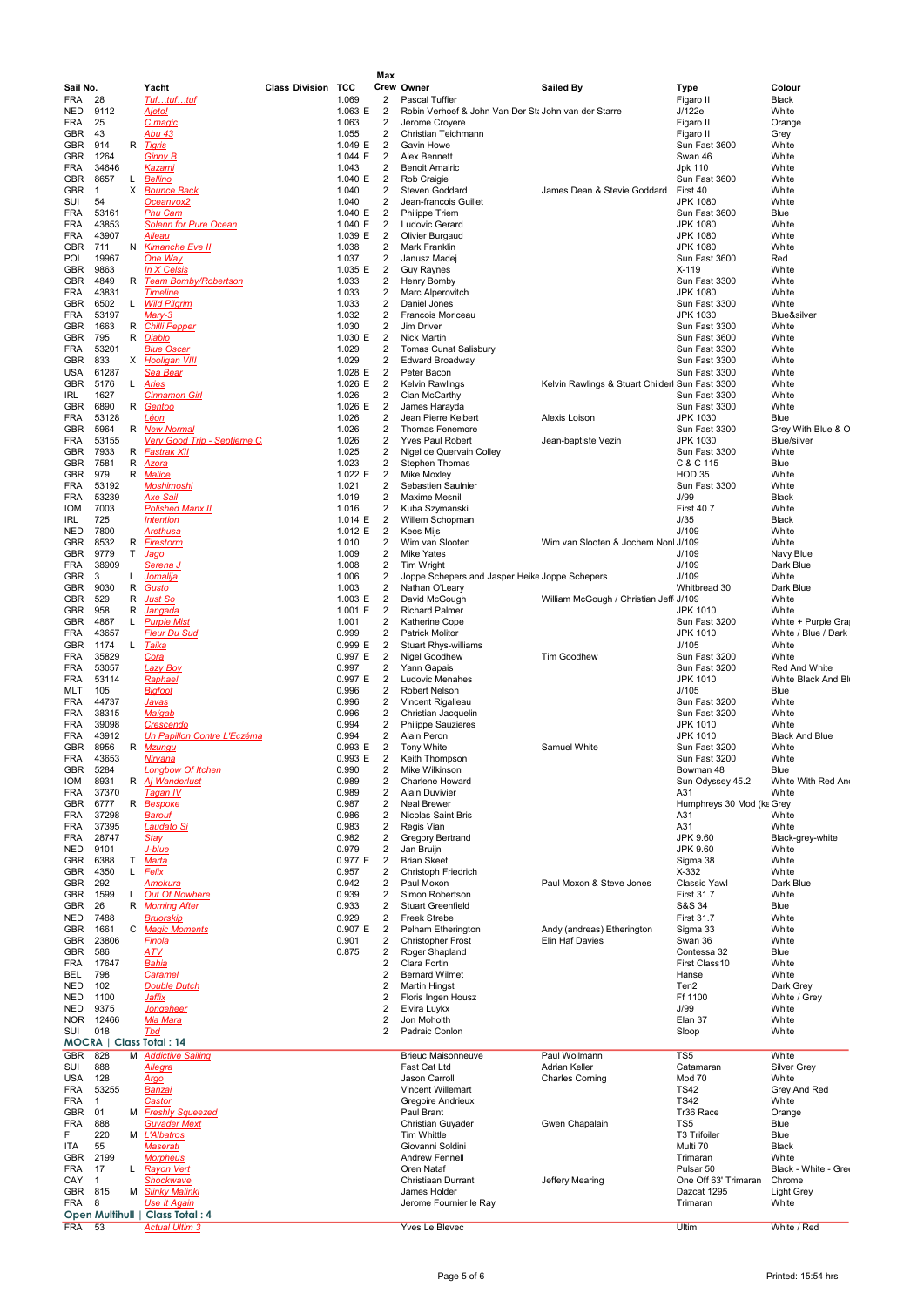| Sail No.                 |                |         | Yacht                                           | <b>Class Divisio</b> |
|--------------------------|----------------|---------|-------------------------------------------------|----------------------|
| FRA<br>NED               | 28<br>9112     |         | Tuftuftuf<br>Ajeto!                             |                      |
| <b>FRA</b>               | 25             |         | C.magic                                         |                      |
| <b>GBR</b>               | 43             |         | Abu 43                                          |                      |
| <b>GBR</b><br>GBR        | 914<br>1264    | R       | <b>Tigris</b><br><b>Ginny B</b>                 |                      |
| <b>FRA</b>               | 34646          |         | <u>Kazami</u>                                   |                      |
| GBR                      | 8657           | L       | Bellino                                         |                      |
| GBR<br>SUI               | 1<br>54        | x       | <b>Bounce Back</b><br>Oceanvox <sub>2</sub>     |                      |
| <b>FRA</b>               | 53161          |         | <u>Phu Cam</u>                                  |                      |
| <b>FRA</b>               | 43853          |         | <b>Solenn for Pure Ocean</b>                    |                      |
| <b>FRA</b><br><b>GBR</b> | 43907<br>711   | Ν       | <b>Aileau</b><br><b>Kimanche Eve II</b>         |                      |
| POL                      | 19967          |         | One Way                                         |                      |
| GBR                      | 9863           | R       | In X Celsis                                     |                      |
| GBR<br>FRA               | 4849<br>43831  |         | <b>Team Bomby/Robertson</b><br><b>Timeline</b>  |                      |
| <b>GBR</b>               | 6502           | L       | <b>Wild Pilgrim</b>                             |                      |
| FRA<br>GBR               | 53197<br>1663  | R       | $Mary-3$<br><b>Chilli Pepper</b>                |                      |
| <b>GBR</b>               | 795            | R       | <b>Diablo</b>                                   |                      |
| <b>FRA</b>               | 53201          |         | <b>Blue Oscar</b>                               |                      |
| <b>GBR</b><br>USA        | 833<br>61287   | X       | <b>Hooligan VIII</b><br><u>Sea Bear</u>         |                      |
| <b>GBR</b>               | 5176           | L       | <b>Aries</b>                                    |                      |
| <b>IRL</b>               | 1627           |         | <b>Cinnamon Girl</b>                            |                      |
| GBR<br>FRA               | 6890<br>53128  | R       | Gentoo<br>Léon                                  |                      |
| <b>GBR</b>               | 5964           | R       | <b>New Normal</b>                               |                      |
| <b>FRA</b>               | 53155          |         | Very Good Trip - Septieme C                     |                      |
| GBR<br>GBR               | 7933<br>7581   | R<br>R  | <u>Fastrak XII</u><br>Azora                     |                      |
| GBR                      | 979            | R       | <b>Malice</b>                                   |                      |
| FRA                      | 53192          |         | <b>Moshimoshi</b>                               |                      |
| FRA<br><b>IOM</b>        | 53239<br>7003  |         | <b>Axe Sail</b><br><b>Polished Manx II</b>      |                      |
| IRL                      | 725            |         | <b>Intention</b>                                |                      |
| NED                      | 7800           |         | <b>Arethusa</b>                                 |                      |
| GBR<br>GBR               | 8532<br>9779   | R<br>T. | <b>Firestorm</b><br>Jago                        |                      |
| FRA                      | 38909          |         | Serena J                                        |                      |
| GBR<br>GBR               | 3<br>9030      | L<br>R  | <u>Jomalija</u><br>Gusto                        |                      |
| GBR                      | 529            | R       | Just So                                         |                      |
| GBR                      | 958            | R       | Jangada                                         |                      |
| <b>GBR</b><br><b>FRA</b> | 4867<br>43657  | L       | <b>Purple Mist</b><br><b>Fleur Du Sud</b>       |                      |
| GBR                      | 1174           | L       | <b>Taika</b>                                    |                      |
| <b>FRA</b><br>FRA        | 35829<br>53057 |         | Cora                                            |                      |
| <b>FRA</b>               | 53114          |         | <b>Lazy Boy</b><br>Raphael                      |                      |
| MLT                      | 105            |         | <b>Bigfoot</b>                                  |                      |
| <b>FRA</b><br>FRA        | 44737<br>38315 |         | Javas<br><u>Maïqab</u>                          |                      |
| <b>FRA</b>               | 39098          |         | <b>Crescendo</b>                                |                      |
| <b>FRA</b><br>GBR        | 43912<br>8956  | R       | Un Papillon Contre L'Eczéma<br><b>Mzungu</b>    |                      |
| FRA                      | 43653          |         | <u>Nirvana</u>                                  |                      |
| GBR                      | 5284           |         | <b>Longbow Of Itchen</b>                        |                      |
| IOM<br><b>FRA</b>        | 8931<br>37370  | к       | Aj Wanderlust<br><b>Tagan IV</b>                |                      |
| GBR                      | 6777           | R       | <b>Bespoke</b>                                  |                      |
| FRA                      | 37298          |         | <b>Barouf</b>                                   |                      |
| FRA<br>FRA               | 37395<br>28747 |         | Laudato Si<br><u>Stay</u>                       |                      |
| NED                      | 9101           |         | J-blue                                          |                      |
| GBR                      | 6388           | т       | Marta                                           |                      |
| <b>GBR</b><br>GBR        | 4350<br>292    | L       | Felix<br>Amokura                                |                      |
| GBR                      | 1599           | Г       | <b>Out Of Nowhere</b>                           |                      |
| GBR                      | 26             | R       | <b>Morning After</b>                            |                      |
| NED<br>GBR               | 7488<br>1661   | С       | <b>Bruorskip</b><br><b>Magic Moments</b>        |                      |
| GBR                      | 23806          |         | <b>Finola</b>                                   |                      |
| <b>GBR</b><br>FRA        | 586<br>17647   |         | <u>ATV</u><br><u>Bahia</u>                      |                      |
| BEL                      | 798            |         | Caramel                                         |                      |
| NED                      | 102            |         | <b>Double Dutch</b>                             |                      |
| NED<br>NED               | 1100<br>9375   |         | <u>Jaffix</u><br><b>Jongeheer</b>               |                      |
| NOR                      | 12466          |         | <u>Mia Mara</u>                                 |                      |
| SUI                      | 018            |         | <b>Thd</b><br>MOCRA   Class Total: 14           |                      |
| <b>GBR</b>               | 828            | M       | <b>Addictive Sailing</b>                        |                      |
| SUI                      | 888            |         | <u>Allegra</u>                                  |                      |
| <b>USA</b><br>FRA        | 128<br>53255   |         | Argo<br><u>Banzai</u>                           |                      |
| FRA                      | 1              |         | <b>Castor</b>                                   |                      |
| <b>GBR</b><br><b>FRA</b> | 01<br>888      | м       | <b>Freshly Squeezed</b><br><b>Guyader Mext</b>  |                      |
| F                        | 220            |         | M L'Albatros                                    |                      |
| ITA                      | 55             |         | <b>Maserati</b>                                 |                      |
| <b>GBR</b><br>FRA        | 2199<br>17     | Г       | <b>Morpheus</b><br><b>Rayon Vert</b>            |                      |
| CAY                      | 1              |         | <b>Shockwave</b>                                |                      |
| GBR                      | 815            | М       | <b>Slinky Malinki</b>                           |                      |
| FRA                      | 8              |         | Use It Again<br>Open Multihull   Class Total: 4 |                      |

|                |                     |        |                                           |                           |                  | Max                              |                                                      |                                                 |                                     |                                           |
|----------------|---------------------|--------|-------------------------------------------|---------------------------|------------------|----------------------------------|------------------------------------------------------|-------------------------------------------------|-------------------------------------|-------------------------------------------|
| Sail No.       |                     |        | Yacht                                     | <b>Class Division TCC</b> |                  |                                  | Crew Owner                                           | <b>Sailed By</b>                                | Type                                | Colour                                    |
| FRA            | 28                  |        | Tuftuftuf                                 |                           | 1.069            | 2                                | <b>Pascal Tuffier</b>                                |                                                 | Figaro II                           | Black                                     |
| NED            | 9112                |        | Ajeto!                                    |                           | 1.063 E          | $\overline{2}$                   | Robin Verhoef & John Van Der Sta John van der Starre |                                                 | J/122e                              | White                                     |
| FRA            | 25                  |        | C.magic                                   |                           | 1.063            | $\overline{2}$                   | Jerome Croyere                                       |                                                 | Figaro II                           | Orange                                    |
| GBR            | 43                  |        | Abu 43                                    |                           | 1.055            | 2                                | Christian Teichmann                                  |                                                 | Figaro II                           | Grey                                      |
| GBR            | 914                 | R      | <u>Tiqris</u>                             |                           | 1.049 E          | $\overline{2}$                   | Gavin Howe                                           |                                                 | Sun Fast 3600                       | White                                     |
| GBR            | 1264                |        | <b>Ginny B</b>                            |                           | 1.044 E          | 2                                | Alex Bennett                                         |                                                 | Swan 46                             | White                                     |
| FRA            | 34646               |        | <u>Kazami</u>                             |                           | 1.043            | 2                                | <b>Benoit Amalric</b>                                |                                                 | Jpk 110                             | White                                     |
| GBR            | 8657<br>$\mathbf 1$ | L<br>X | <b>Bellino</b><br><b>Bounce Back</b>      |                           | 1.040 E          | $\overline{2}$<br>2              | Rob Craigie                                          |                                                 | Sun Fast 3600                       | White<br>White                            |
| GBR<br>SUI     | 54                  |        | Oceanvox <sub>2</sub>                     |                           | 1.040<br>1.040   | $\overline{2}$                   | <b>Steven Goddard</b><br>Jean-francois Guillet       | James Dean & Stevie Goddard                     | First 40<br><b>JPK 1080</b>         | White                                     |
| FRA            | 53161               |        | <b>Phu Cam</b>                            |                           | 1.040 E          | $\overline{c}$                   | <b>Philippe Triem</b>                                |                                                 | Sun Fast 3600                       | Blue                                      |
| FRA            | 43853               |        | <b>Solenn for Pure Ocean</b>              |                           | 1.040 E          | $\overline{2}$                   | Ludovic Gerard                                       |                                                 | <b>JPK 1080</b>                     | White                                     |
| FRA            | 43907               |        | <b>Ajleau</b>                             |                           | 1.039 E          | $\overline{c}$                   | Olivier Burgaud                                      |                                                 | <b>JPK 1080</b>                     | White                                     |
| GBR            | 711                 |        | N Kimanche Eve II                         |                           | 1.038            | $\overline{2}$                   | Mark Franklin                                        |                                                 | <b>JPK 1080</b>                     | White                                     |
| POL            | 19967               |        | One Way                                   |                           | 1.037            | 2                                | Janusz Madej                                         |                                                 | Sun Fast 3600                       | Red                                       |
| GBR            | 9863                |        | In X Celsis                               |                           | 1.035 E          | $\overline{c}$                   | <b>Guy Raynes</b>                                    |                                                 | $X-119$                             | White                                     |
| GBR            | 4849                | R      | Team Bomby/Robertson                      |                           | 1.033            | 2                                | Henry Bomby                                          |                                                 | Sun Fast 3300                       | White                                     |
| FRA            | 43831               |        | <b>Timeline</b>                           |                           | 1.033            | 2                                | Marc Alperovitch                                     |                                                 | <b>JPK 1080</b>                     | White                                     |
| GBR            | 6502                | L.     | <b>Wild Pilgrim</b>                       |                           | 1.033            | $\overline{2}$                   | Daniel Jones                                         |                                                 | Sun Fast 3300                       | White                                     |
| FRA            | 53197               |        | $Mary-3$                                  |                           | 1.032            | 2                                | Francois Moriceau                                    |                                                 | <b>JPK 1030</b>                     | Blue&silver                               |
| GBR            | 1663                | R      | <b>Chilli Pepper</b>                      |                           | 1.030            | $\overline{2}$                   | Jim Driver                                           |                                                 | Sun Fast 3300                       | White                                     |
| GBR            | 795                 | R      | <b>Diablo</b>                             |                           | 1.030 E          | $\overline{2}$                   | Nick Martin                                          |                                                 | Sun Fast 3600                       | White                                     |
| FRA            | 53201               |        | <b>Blue Oscar</b>                         |                           | 1.029            | 2                                | <b>Tomas Cunat Salisbury</b>                         |                                                 | Sun Fast 3300                       | White                                     |
| GBR            | 833                 |        | X Hooligan VIII                           |                           | 1.029            | 2                                | <b>Edward Broadway</b><br>Peter Bacon                |                                                 | Sun Fast 3300                       | White                                     |
| USA            | 61287               |        | Sea Bear                                  |                           | 1.028 E          | 2                                |                                                      |                                                 | Sun Fast 3300                       | White                                     |
| GBR            | 5176<br>1627        | L      | <b>Aries</b>                              |                           | 1.026 E<br>1.026 | $\overline{2}$<br>$\overline{2}$ | <b>Kelvin Rawlings</b><br>Cian McCarthy              | Kelvin Rawlings & Stuart Childerl Sun Fast 3300 | Sun Fast 3300                       | White<br>White                            |
| IRL<br>GBR     | 6890                | R      | <b>Cinnamon Girl</b><br>Gentoo            |                           | 1.026 E          | $\overline{2}$                   | James Harayda                                        |                                                 | Sun Fast 3300                       | White                                     |
| FRA            | 53128               |        | Léon                                      |                           | 1.026            | 2                                | Jean Pierre Kelbert                                  | Alexis Loison                                   | <b>JPK 1030</b>                     | Blue                                      |
| GBR            | 5964                |        | R New Normal                              |                           | 1.026            | 2                                | <b>Thomas Fenemore</b>                               |                                                 | Sun Fast 3300                       | Grey With Blue & O                        |
| FRA            | 53155               |        | Very Good Trip - Septieme C.              |                           | 1.026            | 2                                | Yves Paul Robert                                     | Jean-baptiste Vezin                             | <b>JPK 1030</b>                     | <b>Blue/silver</b>                        |
| GBR            | 7933                | R      | <u>Fastrak XII</u>                        |                           | 1.025            | 2                                | Nigel de Quervain Colley                             |                                                 | Sun Fast 3300                       | White                                     |
| GBR            | 7581                | R      | <b>Azora</b>                              |                           | 1.023            | 2                                | Stephen Thomas                                       |                                                 | C & C 115                           | Blue                                      |
| GBR            | 979                 | R      | <u> Malice</u>                            |                           | 1.022 E          | 2                                | Mike Moxley                                          |                                                 | <b>HOD 35</b>                       | White                                     |
| FRA            | 53192               |        | <b>Moshimoshi</b>                         |                           | 1.021            | 2                                | Sebastien Saulnier                                   |                                                 | Sun Fast 3300                       | White                                     |
| FRA            | 53239               |        | <b>Axe Sail</b>                           |                           | 1.019            | 2                                | <b>Maxime Mesnil</b>                                 |                                                 | J/99                                | Black                                     |
| IOM            | 7003                |        | <b>Polished Manx II</b>                   |                           | 1.016            | $\overline{2}$                   | Kuba Szymanski                                       |                                                 | <b>First 40.7</b>                   | White                                     |
| IRL            | 725                 |        | <b>Intention</b>                          |                           | 1.014 E          | $\overline{\mathbf{c}}$          | Willem Schopman                                      |                                                 | J/35                                | <b>Black</b>                              |
| NED            | 7800                |        | <b>Arethusa</b>                           |                           | 1.012 E          | $\boldsymbol{2}$                 | Kees Mijs                                            |                                                 | J/109                               | White                                     |
| GBR            | 8532                | R      | <b>Firestorm</b>                          |                           | 1.010            | 2                                | Wim van Slooten                                      | Wim van Slooten & Jochem Nonl J/109             |                                     | White                                     |
| GBR            | 9779                | T      | <u>Jaqo</u>                               |                           | 1.009            | 2                                | <b>Mike Yates</b>                                    |                                                 | J/109                               | Navy Blue                                 |
| FRA            | 38909               |        | Serena J                                  |                           | 1.008            | 2                                | <b>Tim Wright</b>                                    |                                                 | J/109                               | Dark Blue                                 |
| GBR            | 3                   | L      | Jomalija                                  |                           | 1.006            | 2                                | Joppe Schepers and Jasper Heike Joppe Schepers       |                                                 | J/109                               | White                                     |
| GBR            | 9030                | R      | Gusto                                     |                           | 1.003            | 2                                | Nathan O'Leary                                       |                                                 | Whitbread 30                        | Dark Blue                                 |
| GBR            | 529                 | R      | <b>Just So</b>                            |                           | 1.003 E          | $\overline{2}$                   | David McGough                                        | William McGough / Christian Jeff J/109          |                                     | White                                     |
| GBR            | 958<br>4867         | R      | Jangada                                   |                           | 1.001 E<br>1.001 | $\boldsymbol{2}$                 | <b>Richard Palmer</b>                                |                                                 | JPK 1010                            | White                                     |
| GBR<br>FRA     | 43657               | L      | <b>Purple Mist</b><br><b>Fleur Du Sud</b> |                           | 0.999            | 2<br>2                           | Katherine Cope<br><b>Patrick Molitor</b>             |                                                 | Sun Fast 3200<br>JPK 1010           | White + Purple Gra<br>White / Blue / Dark |
| GBR            | 1174                | L      | <u>Taika</u>                              |                           | 0.999 E          | 2                                | <b>Stuart Rhys-williams</b>                          |                                                 | J/105                               | White                                     |
| FRA            | 35829               |        | Cora                                      |                           | 0.997 E          | $\overline{2}$                   | Nigel Goodhew                                        | Tim Goodhew                                     | Sun Fast 3200                       | White                                     |
| FRA            | 53057               |        | Lazy Bov                                  |                           | 0.997            | 2                                | Yann Gapais                                          |                                                 | Sun Fast 3200                       | Red And White                             |
| FRA            | 53114               |        | Raphael                                   |                           | 0.997 E          | 2                                | Ludovic Menahes                                      |                                                 | <b>JPK 1010</b>                     | White Black And Bli                       |
| MLT            | 105                 |        | <b>Bigfoot</b>                            |                           | 0.996            | 2                                | <b>Robert Nelson</b>                                 |                                                 | J/105                               | Blue                                      |
| FRA            | 44737               |        | <u>Javas</u>                              |                           | 0.996            | 2                                | Vincent Rigalleau                                    |                                                 | Sun Fast 3200                       | White                                     |
| FRA            | 38315               |        | Maïqab                                    |                           | 0.996            | 2                                | Christian Jacquelin                                  |                                                 | Sun Fast 3200                       | White                                     |
| FRA            | 39098               |        | Crescendo                                 |                           | 0.994            | 2                                | <b>Philippe Sauzieres</b>                            |                                                 | <b>JPK 1010</b>                     | White                                     |
| FRA            | 43912               |        | Un Papillon Contre L'Eczéma               |                           | 0.994            | 2                                | Alain Peron                                          |                                                 | JPK 1010                            | <b>Black And Blue</b>                     |
| GBR            | 8956                | R      | <u>Mzunqu</u>                             |                           | 0.993 E          | $\overline{2}$                   | Tony White                                           | Samuel White                                    | Sun Fast 3200                       | White                                     |
| FRA            | 43653               |        | Nirvana                                   |                           | 0.993 E          | $\overline{2}$                   | Keith Thompson                                       |                                                 | Sun Fast 3200                       | White                                     |
| GBR            | 5284                |        | <b>Longbow Of Itchen</b>                  |                           | 0.990            | 2                                | Mike Wilkinson                                       |                                                 | Bowman 48                           | Blue                                      |
| ЮM             | 8931                | R      | Aj Wanderlust                             |                           | 0.989            | 2                                | Charlene Howard                                      |                                                 | Sun Odyssey 45.2                    | White With Red And                        |
| FRA            | 37370<br>6777       |        | Tagan IV                                  |                           | 0.989            | $\overline{2}$                   | <b>Alain Duvivier</b>                                |                                                 | A31                                 | White                                     |
| GBR<br>FRA     | 37298               | R      | Bespoke<br>Barouf                         |                           | 0.987<br>0.986   | 2<br>$\overline{\mathbf{c}}$     | Neal Brewer<br>Nicolas Saint Bris                    |                                                 | Humphreys 30 Mod (ke Grey<br>A31    | White                                     |
| FRA            | 37395               |        | Laudato Si                                |                           | 0.983            | 2                                | Regis Vian                                           |                                                 | A31                                 | White                                     |
| FRA            | 28747               |        | <b>Stay</b>                               |                           | 0.982            | 2                                | Gregory Bertrand                                     |                                                 | JPK 9.60                            | Black-grey-white                          |
| NED            | 9101                |        | J-blue                                    |                           | 0.979            | $\overline{2}$                   | Jan Bruiin                                           |                                                 | JPK 9.60                            | White                                     |
| GBR            | 6388                | Т      | Marta                                     |                           | 0.977 E          | $\overline{2}$                   | <b>Brian Skeet</b>                                   |                                                 | Sigma 38                            | White                                     |
| GBR            | 4350                | L      | Felix                                     |                           | 0.957            | $\overline{2}$                   | Christoph Friedrich                                  |                                                 | X-332                               | White                                     |
| GBR            | 292                 |        | Amokura                                   |                           | 0.942            | 2                                | Paul Moxon                                           | Paul Moxon & Steve Jones                        | Classic Yawl                        | Dark Blue                                 |
| GBR            | 1599                | L      | Out_Of Nowhere                            |                           | 0.939            | $\overline{2}$                   | Simon Robertson                                      |                                                 | <b>First 31.7</b>                   | White                                     |
| GBR            | 26                  | R      | <b>Morning After</b>                      |                           | 0.933            | 2                                | <b>Stuart Greenfield</b>                             |                                                 | S&S 34                              | Blue                                      |
| NED            | 7488                |        | <b>Bruorskip</b>                          |                           | 0.929            | $\overline{2}$                   | <b>Freek Strebe</b>                                  |                                                 | <b>First 31.7</b>                   | White                                     |
| GBR            | 1661                | С      | <b>Magic Moments</b>                      |                           | 0.907 E          | $\overline{2}$                   | Pelham Etherington                                   | Andy (andreas) Etherington                      | Sigma 33                            | White                                     |
| GBR            | 23806               |        | <b>Finola</b>                             |                           | 0.901            | 2<br>$\overline{2}$              | <b>Christopher Frost</b>                             | Elin Haf Davies                                 | Swan 36<br>Contessa 32              | White                                     |
| GBR<br>FRA     | 586<br>17647        |        | ATV<br>Bahia                              |                           | 0.875            | $\overline{2}$                   | Roger Shapland<br>Clara Fortin                       |                                                 | First Class10                       | Blue<br>White                             |
| BEL            | 798                 |        | Caramel                                   |                           |                  | $\overline{2}$                   | <b>Bernard Wilmet</b>                                |                                                 | Hanse                               | White                                     |
| NED            | 102                 |        | <b>Double Dutch</b>                       |                           |                  | $\overline{2}$                   | <b>Martin Hingst</b>                                 |                                                 | Ten2                                | Dark Grey                                 |
| NED            | 1100                |        | Jaffix                                    |                           |                  | 2                                | Floris Ingen Housz                                   |                                                 | Ff 1100                             | White / Grey                              |
| NED            | 9375                |        | Jongeheer                                 |                           |                  | 2                                | Elvira Luykx                                         |                                                 | J/99                                | White                                     |
|                | NOR 12466           |        | Mia Mara                                  |                           |                  | $\overline{2}$                   | Jon Moholth                                          |                                                 | Elan 37                             | White                                     |
| SUI            | 018                 |        | <u>Tbd</u>                                |                           |                  | 2                                | Padraic Conlon                                       |                                                 | Sloop                               | White                                     |
| MOCRA          |                     |        | Class Total: 14                           |                           |                  |                                  |                                                      |                                                 |                                     |                                           |
| GBR            | 828                 | м      | <b>Addictive Sailing</b>                  |                           |                  |                                  | <b>Brieuc Maisonneuve</b>                            | Paul Wollmann                                   | TS <sub>5</sub>                     | White                                     |
| SUI            | 888                 |        | Allegra                                   |                           |                  |                                  | Fast Cat Ltd                                         | Adrian Keller                                   | Catamaran                           | Silver Grey                               |
| USA            | 128                 |        | Argo                                      |                           |                  |                                  | Jason Carroll                                        | <b>Charles Corning</b>                          | Mod 70                              | White                                     |
| FRA            | 53255               |        | <b>Banzai</b>                             |                           |                  |                                  | Vincent Willemart                                    |                                                 | <b>TS42</b>                         | Grey And Red                              |
| FRA            | $\overline{1}$      |        | Castor                                    |                           |                  |                                  | Gregoire Andrieux                                    |                                                 | <b>TS42</b>                         | White                                     |
| GBR            | 01                  |        | M Freshly Squeezed                        |                           |                  |                                  | Paul Brant                                           |                                                 | Tr36 Race                           | Orange                                    |
| FRA            | 888                 |        | <b>Guyader Mext</b>                       |                           |                  |                                  | <b>Christian Guyader</b>                             | Gwen Chapalain                                  | TS <sub>5</sub>                     | Blue                                      |
| F              | 220                 | м      | <b>L'Albatros</b>                         |                           |                  |                                  | <b>Tim Whittle</b>                                   |                                                 | T3 Trifoiler                        | Blue                                      |
| ITA            | 55                  |        | Maserati                                  |                           |                  |                                  | Giovanni Soldini                                     |                                                 | Multi 70                            | <b>Black</b>                              |
| GBR            | 2199                |        | <b>Morpheus</b>                           |                           |                  |                                  | Andrew Fennell                                       |                                                 | Trimaran                            | White                                     |
| FRA            | 17                  | L.     | <b>Rayon Vert</b>                         |                           |                  |                                  | Oren Nataf                                           |                                                 | Pulsar 50                           | Black - White - Gree                      |
| CAY<br>GBR 815 | $\mathbf{1}$        | м      | <b>Shockwave</b><br><b>Slinky Malinki</b> |                           |                  |                                  | Christiaan Durrant<br>James Holder                   | Jeffery Mearing                                 | One Off 63' Trimaran<br>Dazcat 1295 | Chrome<br>Light Grey                      |
| FRA 8          |                     |        | <b>Use It Again</b>                       |                           |                  |                                  | Jerome Fournier le Ray                               |                                                 | Trimaran                            | White                                     |

FRA 53 <u>Actual Ultim 3</u> Yves Le Blevec Ultim White / Red